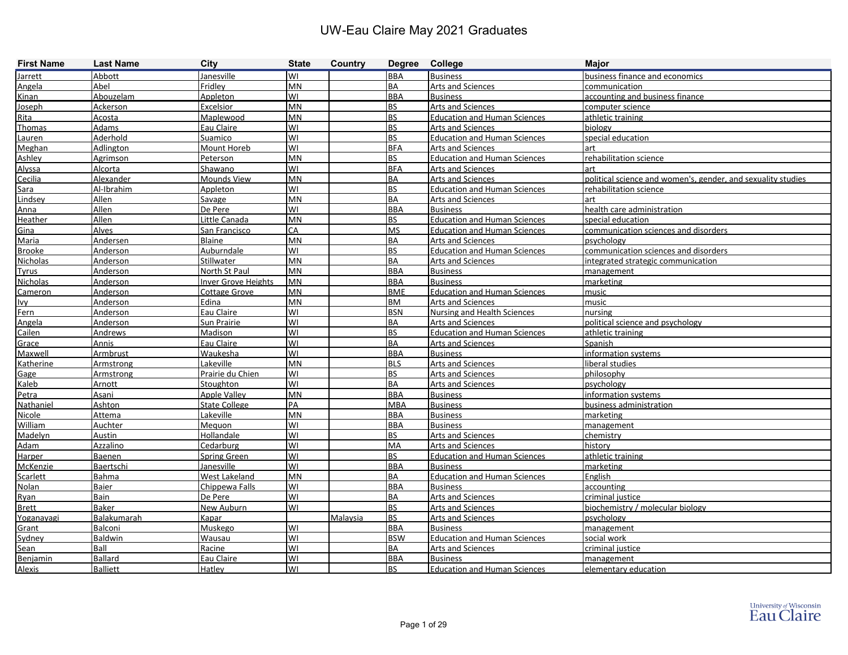| <b>First Name</b> | <b>Last Name</b>   | City                       | <b>State</b> | Country  | Degree College |                                     | <b>Major</b>                                                 |
|-------------------|--------------------|----------------------------|--------------|----------|----------------|-------------------------------------|--------------------------------------------------------------|
| Jarrett           | Abbott             | lanesville                 | W١           |          | <b>BBA</b>     | <b>Business</b>                     | business finance and economics                               |
| Angela            | Abel               | Fridley                    | MN           |          | <b>BA</b>      | <b>Arts and Sciences</b>            | communication                                                |
| <b>Kinan</b>      | Abouzelam          | Appleton                   | WI           |          | <b>BBA</b>     | <b>Business</b>                     | accounting and business finance                              |
| <b>Joseph</b>     | Ackerson           | Excelsior                  | <b>MN</b>    |          | <b>BS</b>      | <b>Arts and Sciences</b>            | computer science                                             |
| <b>Rita</b>       | Acosta             | Maplewood                  | MN           |          | <b>BS</b>      | <b>Education and Human Sciences</b> | athletic training                                            |
| Thomas            | Adams              | Eau Claire                 | WI           |          | <b>BS</b>      | <b>Arts and Sciences</b>            | biology                                                      |
| Lauren            | Aderhold           | Suamico                    | WI           |          | <b>BS</b>      | <b>Education and Human Sciences</b> | special education                                            |
| Meghan            | Adlington          | Mount Horeb                | WI           |          | <b>BFA</b>     | <b>Arts and Sciences</b>            | art                                                          |
| Ashley            | <b>Agrimson</b>    | Peterson                   | MN           |          | <b>BS</b>      | <b>Education and Human Sciences</b> | rehabilitation science                                       |
| Alyssa            | Alcorta            | Shawano                    | W١           |          | <b>BFA</b>     | <b>Arts and Sciences</b>            | art                                                          |
| Cecilia           | Alexander          | Mounds View                | <b>MN</b>    |          | <b>BA</b>      | <b>Arts and Sciences</b>            | political science and women's, gender, and sexuality studies |
| Sara              | Al-Ibrahim         | Appleton                   | WI           |          | <b>BS</b>      | <b>Education and Human Sciences</b> | rehabilitation science                                       |
| Lindsey           | Allen              | Savage                     | <b>MN</b>    |          | <b>BA</b>      | Arts and Sciences                   | art                                                          |
| Anna              | Allen              | De Pere                    | WI           |          | <b>BBA</b>     | <b>Business</b>                     | health care administration                                   |
| Heather           | Allen              | Little Canada              | <b>MN</b>    |          | <b>BS</b>      | <b>Education and Human Sciences</b> | special education                                            |
| Gina              | Alves              | San Francisco              | CA           |          | <b>MS</b>      | <b>Education and Human Sciences</b> | communication sciences and disorders                         |
| Maria             | Andersen           | Blaine                     | <b>MN</b>    |          | <b>BA</b>      | Arts and Sciences                   | psychology                                                   |
| <b>Brooke</b>     | Anderson           | Auburndale                 | WI           |          | <b>BS</b>      | <b>Education and Human Sciences</b> | communication sciences and disorders                         |
| Nicholas          | Anderson           | Stillwater                 | MN           |          | <b>BA</b>      | <b>Arts and Sciences</b>            | integrated strategic communication                           |
| Tyrus             | Anderson           | North St Paul              | <b>MN</b>    |          | <b>BBA</b>     | <b>Business</b>                     | management                                                   |
| Nicholas          | Anderson           | <b>Inver Grove Heights</b> | <b>MN</b>    |          | <b>BBA</b>     | <b>Business</b>                     | marketing                                                    |
| Cameron           | Anderson           | Cottage Grove              | <b>MN</b>    |          | <b>BME</b>     | <b>Education and Human Sciences</b> | music                                                        |
| lvv               | Anderson           | Edina                      | <b>MN</b>    |          | <b>BM</b>      | <b>Arts and Sciences</b>            | music                                                        |
| Fern              | Anderson           | Eau Claire                 | WI           |          | <b>BSN</b>     | <b>Nursing and Health Sciences</b>  | nursing                                                      |
| Angela            | Anderson           | Sun Prairie                | WI           |          | <b>BA</b>      | <b>Arts and Sciences</b>            | political science and psychology                             |
| Cailen            | <b>Andrews</b>     | <b>Madison</b>             | WI           |          | <b>BS</b>      | <b>Education and Human Sciences</b> | athletic training                                            |
| Grace             | Annis              | Eau Claire                 | WI           |          | <b>BA</b>      | <b>Arts and Sciences</b>            | Spanish                                                      |
| Maxwell           | Armbrust           | Waukesha                   | WI           |          | <b>BBA</b>     | <b>Business</b>                     | information systems                                          |
| Katherine         | Armstrong          | Lakeville                  | <b>MN</b>    |          | <b>BLS</b>     | Arts and Sciences                   | liberal studies                                              |
| Gage              | Armstrong          | Prairie du Chien           | WI           |          | <b>BS</b>      | Arts and Sciences                   | philosophy                                                   |
| Kaleb             | Arnott             | Stoughton                  | WI           |          | <b>BA</b>      | <b>Arts and Sciences</b>            | psychology                                                   |
| Petra             | Asani              | <b>Apple Valley</b>        | <b>MN</b>    |          | <b>BBA</b>     | <b>Business</b>                     | information systems                                          |
| Nathaniel         | Ashton             | <b>State College</b>       | PA           |          | <b>MBA</b>     | <b>Business</b>                     | business administration                                      |
| <b>Nicole</b>     | Attema             | Lakeville                  | <b>MN</b>    |          | <b>BBA</b>     | <b>Business</b>                     | marketing                                                    |
| William           | Auchter            | Meguon                     | WI           |          | <b>BBA</b>     | <b>Business</b>                     | management                                                   |
| Madelyn           | <b>Austin</b>      | Hollandale                 | WI           |          | <b>BS</b>      | <b>Arts and Sciences</b>            | chemistry                                                    |
| Adam              | Azzalino           | Cedarburg                  | WI           |          | MA             | <b>Arts and Sciences</b>            | history                                                      |
| Harper            | Baenen             | <b>Spring Green</b>        | WI           |          | <b>BS</b>      | <b>Education and Human Sciences</b> | athletic training                                            |
| McKenzie          | Baertschi          | Janesville                 | WI           |          | <b>BBA</b>     | <b>Business</b>                     | marketing                                                    |
| Scarlett          | Bahma              | <b>West Lakeland</b>       | <b>MN</b>    |          | <b>BA</b>      | <b>Education and Human Sciences</b> | English                                                      |
| Nolan             | Baier              | Chippewa Falls             | WI           |          | <b>BBA</b>     | <b>Business</b>                     | accounting                                                   |
| Ryan              | Bain               | De Pere                    | WI           |          | <b>BA</b>      | Arts and Sciences                   | criminal justice                                             |
| <b>Brett</b>      | Baker              | New Auburn                 | WI           |          | <b>BS</b>      | <b>Arts and Sciences</b>            | biochemistry / molecular biology                             |
| Yoganayagi        | <b>Balakumarah</b> | Kapar                      |              | Malaysia | <b>BS</b>      | <b>Arts and Sciences</b>            | psychology                                                   |
| Grant             | Balconi            | Muskego                    | <b>WI</b>    |          | <b>BBA</b>     | <b>Business</b>                     | management                                                   |
| Sydney            | <b>Baldwin</b>     | Wausau                     | WI           |          | <b>BSW</b>     | <b>Education and Human Sciences</b> | social work                                                  |
| Sean              | Ball               | Racine                     | WI           |          | <b>BA</b>      | Arts and Sciences                   | criminal justice                                             |
| Benjamin          | <b>Ballard</b>     | Eau Claire                 | <b>WI</b>    |          | <b>BBA</b>     | <b>Business</b>                     | management                                                   |
| <b>Alexis</b>     | <b>Balliett</b>    | Hatley                     | WI           |          | <b>BS</b>      | <b>Education and Human Sciences</b> | elementary education                                         |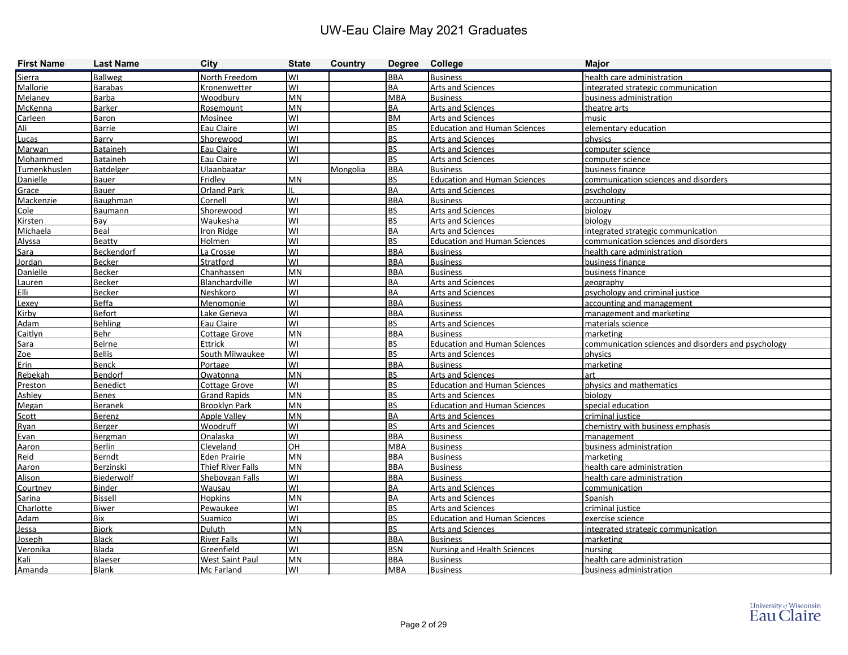| <b>First Name</b> | <b>Last Name</b> | <b>City</b>              | <b>State</b> | Country  | Degree College |                                     | <b>Major</b>                                        |
|-------------------|------------------|--------------------------|--------------|----------|----------------|-------------------------------------|-----------------------------------------------------|
| Sierra            | <b>Ballweg</b>   | North Freedom            | lwı          |          | <b>BBA</b>     | <b>Business</b>                     | health care administration                          |
| Mallorie          | <b>Barabas</b>   | Kronenwetter             | lwı          |          | <b>BA</b>      | <b>Arts and Sciences</b>            | integrated strategic communication                  |
| Melanev           | <b>Barba</b>     | Woodbury                 | <b>MN</b>    |          | <b>MBA</b>     | <b>Business</b>                     | business administration                             |
| McKenna           | <b>Barker</b>    | Rosemount                | <b>MN</b>    |          | <b>BA</b>      | <b>Arts and Sciences</b>            | theatre arts                                        |
| Carleen           | Baron            | Mosinee                  | WI           |          | <b>BM</b>      | <b>Arts and Sciences</b>            | music                                               |
| Ali               | Barrie           | Eau Claire               | WI           |          | <b>BS</b>      | <b>Education and Human Sciences</b> | elementary education                                |
| Lucas             | Barry            | Shorewood                | WI           |          | <b>BS</b>      | <b>Arts and Sciences</b>            | physics                                             |
| Marwan            | Bataineh         | Eau Claire               | WI           |          | <b>BS</b>      | <b>Arts and Sciences</b>            | computer science                                    |
| Mohammed          | Bataineh         | Eau Claire               | lwı          |          | <b>BS</b>      | <b>Arts and Sciences</b>            | computer science                                    |
| Tumenkhuslen      | Batdelger        | Ulaanbaatar              |              | Mongolia | <b>BBA</b>     | <b>Business</b>                     | business finance                                    |
| Danielle          | <b>Bauer</b>     | Fridley                  | <b>MN</b>    |          | <b>BS</b>      | <b>Education and Human Sciences</b> | communication sciences and disorders                |
| Grace             | <b>Bauer</b>     | <b>Orland Park</b>       |              |          | <b>BA</b>      | <b>Arts and Sciences</b>            | psychology                                          |
| Mackenzie         | Baughman         | Cornell                  | lwı          |          | <b>BBA</b>     | <b>Business</b>                     | accounting                                          |
| Cole              | Baumann          | Shorewood                | WI           |          | <b>BS</b>      | <b>Arts and Sciences</b>            | biology                                             |
| Kirsten           | Bay              | Waukesha                 | WI           |          | <b>BS</b>      | <b>Arts and Sciences</b>            | biology                                             |
| Michaela          | Beal             | Iron Ridge               | WI           |          | <b>BA</b>      | Arts and Sciences                   | integrated strategic communication                  |
| Alyssa            | Beatty           | Holmen                   | lwı          |          | <b>BS</b>      | <b>Education and Human Sciences</b> | communication sciences and disorders                |
| Sara              | Beckendorf       | La Crosse                | WI           |          | <b>BBA</b>     | <b>Business</b>                     | health care administration                          |
| <b>Jordan</b>     | <b>Becker</b>    | Stratford                | WI           |          | <b>BBA</b>     | <b>Business</b>                     | business finance                                    |
| Danielle          | <b>Becker</b>    | Chanhassen               | <b>MN</b>    |          | <b>BBA</b>     | <b>Business</b>                     | business finance                                    |
| Lauren            | <b>Becker</b>    | Blanchardville           | lwı          |          | <b>BA</b>      | <b>Arts and Sciences</b>            | geography                                           |
| Elli              | <b>Becker</b>    | Neshkoro                 | lwı          |          | <b>BA</b>      | <b>Arts and Sciences</b>            | psychology and criminal justice                     |
| Lexey             | <b>Beffa</b>     | Menomonie                | WI           |          | <b>BBA</b>     | <b>Business</b>                     | accounting and management                           |
| Kirby             | <b>Befort</b>    | Lake Geneva              | WI           |          | <b>BBA</b>     | <b>Business</b>                     | management and marketing                            |
| Adam              | <b>Behling</b>   | Eau Claire               | lwı          |          | <b>BS</b>      | Arts and Sciences                   | materials science                                   |
| Caitlyn           | <b>Behr</b>      | <b>Cottage Grove</b>     | <b>MN</b>    |          | <b>BBA</b>     | <b>Business</b>                     | marketing                                           |
| Sara              | <b>Beirne</b>    | Ettrick                  | WI           |          | <b>BS</b>      | <b>Education and Human Sciences</b> | communication sciences and disorders and psychology |
| Zoe               | <b>Bellis</b>    | South Milwaukee          | lwı          |          | <b>BS</b>      | Arts and Sciences                   | physics                                             |
| Erin              | <b>Benck</b>     | Portage                  | lwı          |          | <b>BBA</b>     | <b>Business</b>                     | marketing                                           |
| Rebekah           | <b>Bendorf</b>   | Owatonna                 | <b>MN</b>    |          | <b>BS</b>      | <b>Arts and Sciences</b>            | art                                                 |
| Preston           | <b>Benedict</b>  | <b>Cottage Grove</b>     | lwı          |          | <b>BS</b>      | <b>Education and Human Sciences</b> | physics and mathematics                             |
| Ashley            | <b>Benes</b>     | <b>Grand Rapids</b>      | <b>MN</b>    |          | <b>BS</b>      | <b>Arts and Sciences</b>            | biology                                             |
| Megan             | <b>Beranek</b>   | <b>Brooklyn Park</b>     | <b>MN</b>    |          | <b>BS</b>      | <b>Education and Human Sciences</b> | special education                                   |
| Scott             | <b>Berenz</b>    | <b>Apple Valley</b>      | <b>MN</b>    |          | <b>BA</b>      | <b>Arts and Sciences</b>            | criminal justice                                    |
| Ryan              | Berger           | Woodruff                 | WI           |          | <b>BS</b>      | <b>Arts and Sciences</b>            | chemistry with business emphasis                    |
| Evan              | Bergman          | Onalaska                 | lwı          |          | <b>BBA</b>     | <b>Business</b>                     | management                                          |
| Aaron             | <b>Berlin</b>    | Cleveland                | <b>OH</b>    |          | <b>MBA</b>     | <b>Business</b>                     | business administration                             |
| Reid              | Berndt           | <b>Eden Prairie</b>      | <b>MN</b>    |          | <b>BBA</b>     | <b>Business</b>                     | marketing                                           |
| Aaron             | Berzinski        | <b>Thief River Falls</b> | <b>MN</b>    |          | <b>BBA</b>     | <b>Business</b>                     | health care administration                          |
| Alison            | Biederwolf       | Sheboygan Falls          | lwı          |          | <b>BBA</b>     | <b>Business</b>                     | health care administration                          |
| Courtney          | <b>Binder</b>    | Wausau                   | lwı          |          | <b>BA</b>      | <b>Arts and Sciences</b>            | communication                                       |
| Sarina            | <b>Bissell</b>   | Hopkins                  | MN           |          | <b>BA</b>      | <b>Arts and Sciences</b>            | Spanish                                             |
| Charlotte         | <b>Biwer</b>     | Pewaukee                 | lwı          |          | <b>BS</b>      | Arts and Sciences                   | criminal justice                                    |
| <b>Adam</b>       | Bix              | Suamico                  | lwı          |          | <b>BS</b>      | <b>Education and Human Sciences</b> | exercise science                                    |
| Jessa             | <b>Bjork</b>     | <b>Duluth</b>            | MN           |          | <b>BS</b>      | Arts and Sciences                   | integrated strategic communication                  |
| Joseph            | <b>Black</b>     | <b>River Falls</b>       | WI           |          | <b>BBA</b>     | <b>Business</b>                     | marketing                                           |
| Veronika          | Blada            | Greenfield               | lwı          |          | <b>BSN</b>     | <b>Nursing and Health Sciences</b>  | nursing                                             |
| Kali              | <b>Blaeser</b>   | <b>West Saint Paul</b>   | MN           |          | <b>BBA</b>     | <b>Business</b>                     | health care administration                          |
| Amanda            | <b>Blank</b>     | Mc Farland               | lwı          |          | <b>MBA</b>     | <b>Business</b>                     | business administration                             |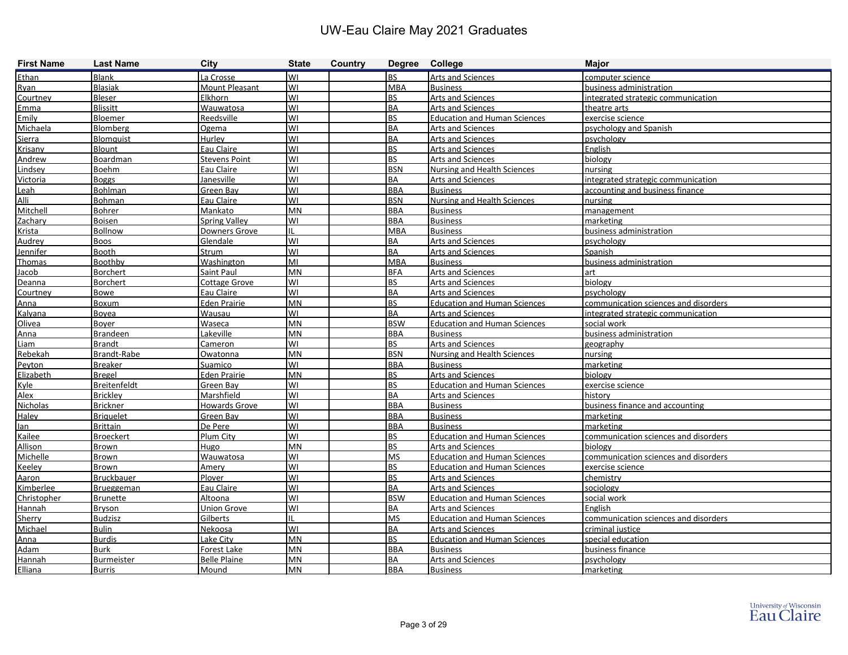| <b>First Name</b> | <b>Last Name</b>    | <b>City</b>          | <b>State</b> | Country | Degree College         |                                     | <b>Major</b>                         |
|-------------------|---------------------|----------------------|--------------|---------|------------------------|-------------------------------------|--------------------------------------|
| Ethan             | <b>Blank</b>        | La Crosse            | lwı          |         | <b>BS</b>              | <b>Arts and Sciences</b>            | computer science                     |
| Ryan              | <b>Blasiak</b>      | Mount Pleasant       | lwı          |         | <b>MBA</b>             | <b>Business</b>                     | business administration              |
| Courtney          | <b>Bleser</b>       | Elkhorn              | lwı          |         | <b>BS</b>              | <b>Arts and Sciences</b>            | integrated strategic communication   |
| Emma              | <b>Blissitt</b>     | Wauwatosa            | lwı          |         | <b>BA</b>              | <b>Arts and Sciences</b>            | theatre arts                         |
| Emily             | <b>Bloemer</b>      | Reedsville           | lwı          |         | <b>BS</b>              | <b>Education and Human Sciences</b> | exercise science                     |
| Michaela          | Blomberg            | Ogema                | WI           |         | <b>BA</b>              | Arts and Sciences                   | psychology and Spanish               |
| Sierra            | <b>Blomquist</b>    | Hurley               | lwı          |         | <b>BA</b>              | <b>Arts and Sciences</b>            | psychology                           |
| Krisany           | <b>Blount</b>       | Eau Claire           | lwı          |         | <b>BS</b>              | Arts and Sciences                   | English                              |
| Andrew            | <b>Boardman</b>     | <b>Stevens Point</b> | lwı          |         | <b>BS</b>              | <b>Arts and Sciences</b>            | biology                              |
| Lindsey           | <b>Boehm</b>        | Eau Claire           | lwı          |         | <b>BSN</b>             | <b>Nursing and Health Sciences</b>  | nursing                              |
| Victoria          | <b>Boggs</b>        | Janesville           | lwı          |         | <b>BA</b>              | <b>Arts and Sciences</b>            | integrated strategic communication   |
| Leah              | Bohlman             | Green Bay            | lwı          |         | <b>BBA</b>             | <b>Business</b>                     | accounting and business finance      |
| Alli              | <b>Bohman</b>       | Eau Claire           | lwı          |         | <b>BSN</b>             | <b>Nursing and Health Sciences</b>  | nursing                              |
| Mitchell          | Bohrer              | Mankato              | <b>MN</b>    |         | <b>BBA</b>             | <b>Business</b>                     | management                           |
| Zachary           | Boisen              | <b>Spring Valley</b> | WI           |         | <b>BBA</b>             | <b>Business</b>                     | marketing                            |
| <b>Krista</b>     | Bollnow             | Downers Grove        | Ш            |         | <b>MBA</b>             | <b>Business</b>                     | business administration              |
| Audrey            | <b>Boos</b>         | Glendale             | lwı          |         | <b>BA</b>              | Arts and Sciences                   | psychology                           |
| Jennifer          | Booth               | Strum                | lwı          |         | <b>BA</b>              | Arts and Sciences                   | Spanish                              |
| Thomas            | Boothby             | Washington           | lмı          |         | <b>MBA</b>             | <b>Business</b>                     | business administration              |
| Jacob             | <b>Borchert</b>     | Saint Paul           | IMN          |         | <b>BFA</b>             | <b>Arts and Sciences</b>            | art                                  |
| Deanna            | <b>Borchert</b>     | <b>Cottage Grove</b> | lwı          |         | <b>BS</b>              | <b>Arts and Sciences</b>            | biology                              |
| Courtney          | Bowe                | Eau Claire           | lwı          |         | <b>BA</b>              | <b>Arts and Sciences</b>            | psychology                           |
| Anna              | Boxum               | <b>Eden Prairie</b>  | <b>MN</b>    |         | <b>BS</b>              | <b>Education and Human Sciences</b> | communication sciences and disorders |
| Kalyana           | Boyea               | Wausau               | WI           |         | <b>BA</b>              | <b>Arts and Sciences</b>            | integrated strategic communication   |
| Olivea            | Bover               | Waseca               | <b>MN</b>    |         | <b>BSW</b>             | <b>Education and Human Sciences</b> | social work                          |
| Anna              | <b>Brandeen</b>     | Lakeville            | <b>MN</b>    |         | <b>BBA</b>             | <b>Business</b>                     | business administration              |
| Liam              | <b>Brandt</b>       | Cameron              | WI           |         | <b>BS</b>              | Arts and Sciences                   | geography                            |
| Rebekah           | Brandt-Rabe         | Owatonna             | <b>MN</b>    |         | <b>BSN</b>             | <b>Nursing and Health Sciences</b>  | nursing                              |
| Peyton            | <b>Breaker</b>      | Suamico              | lwı          |         | <b>BBA</b>             | <b>Business</b>                     | marketing                            |
| Elizabeth         | <b>Bregel</b>       | <b>Eden Prairie</b>  | <b>MN</b>    |         | <b>BS</b>              | <b>Arts and Sciences</b>            | biology                              |
| Kyle              | <b>Breitenfeldt</b> | Green Bay            | WI           |         | <b>BS</b>              | <b>Education and Human Sciences</b> | exercise science                     |
| Alex              | <b>Brickley</b>     | Marshfield           | WI           |         | <b>BA</b>              | <b>Arts and Sciences</b>            | history                              |
| Nicholas          | <b>Brickner</b>     | <b>Howards Grove</b> | lwı          |         | <b>BBA</b>             | <b>Business</b>                     | business finance and accounting      |
| Haley             | <b>Briquelet</b>    | Green Bay            | lwı          |         | <b>BBA</b>             | <b>Business</b>                     | marketing                            |
| lan               | <b>Brittain</b>     | De Pere              | lwı          |         | <b>BBA</b>             | <b>Business</b>                     | marketing                            |
| Kailee            | <b>Broeckert</b>    | Plum City            | lwı          |         | <b>BS</b>              | <b>Education and Human Sciences</b> | communication sciences and disorders |
| <b>Allison</b>    | <b>Brown</b>        | Hugo                 | <b>MN</b>    |         | <b>BS</b>              | <b>Arts and Sciences</b>            | biology                              |
| Michelle          | Brown               | Wauwatosa            | lwı          |         | <b>MS</b>              | <b>Education and Human Sciences</b> | communication sciences and disorders |
| Keelev            | <b>Brown</b>        | Amery                | WI           |         | <b>BS</b>              | <b>Education and Human Sciences</b> | exercise science                     |
| Aaron             | Bruckbauer          | Plover               | lwı          |         | <b>BS</b>              | <b>Arts and Sciences</b>            | chemistry                            |
| Kimberlee         | <b>Brueggeman</b>   | Eau Claire           | lwı          |         | <b>BA</b>              | Arts and Sciences                   | sociology                            |
| Christopher       | <b>Brunette</b>     | Altoona              | lwı          |         | <b>BSW</b>             | <b>Education and Human Sciences</b> | social work                          |
| Hannah            | Bryson              | <b>Union Grove</b>   | lwı          |         | <b>BA</b>              | Arts and Sciences                   | English                              |
| Sherry            | <b>Budzisz</b>      | Gilberts             | IL           |         | <b>MS</b>              | <b>Education and Human Sciences</b> | communication sciences and disorders |
| Michael           | Bulin               | Nekoosa              | lwı          |         | <b>BA</b><br><b>BS</b> | Arts and Sciences                   | criminal justice                     |
| Anna              | <b>Burdis</b>       | Lake City            | MN           |         |                        | <b>Education and Human Sciences</b> | special education                    |
| <b>Adam</b>       | <b>Burk</b>         | <b>Forest Lake</b>   | MN           |         | <b>BBA</b>             | <b>Business</b>                     | business finance                     |
| Hannah            | <b>Burmeister</b>   | <b>Belle Plaine</b>  | MN           |         | <b>BA</b>              | <b>Arts and Sciences</b>            | psychology                           |
| Elliana           | <b>Burris</b>       | Mound                | MN           |         | <b>BBA</b>             | <b>Business</b>                     | marketing                            |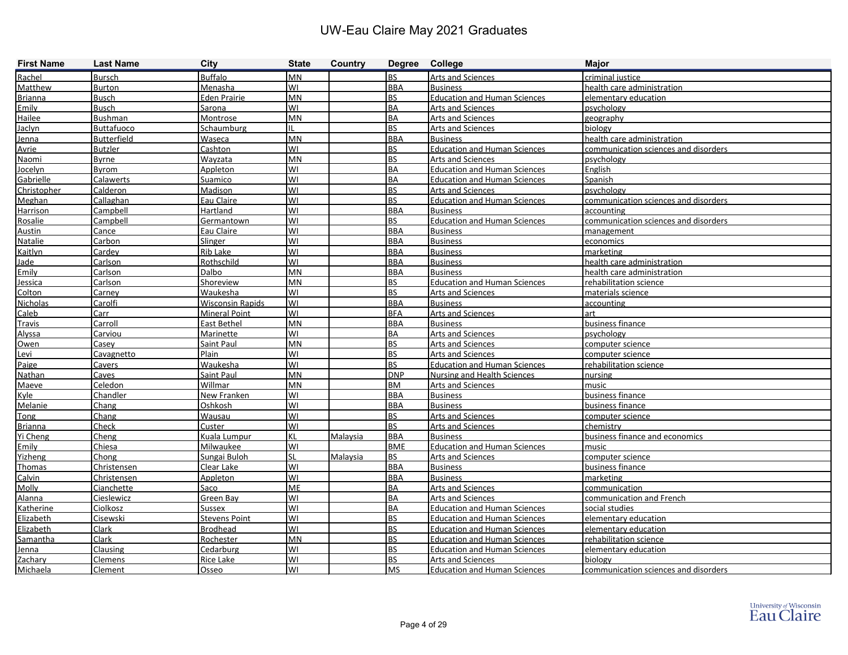| <b>First Name</b> | <b>Last Name</b>   | City                    | <b>State</b> | Country  | Degree College |                                     | <b>Major</b>                         |
|-------------------|--------------------|-------------------------|--------------|----------|----------------|-------------------------------------|--------------------------------------|
| Rachel            | Bursch             | <b>Buffalo</b>          | MΝ           |          | <b>BS</b>      | Arts and Sciences                   | criminal justice                     |
| Matthew           | Burton             | Menasha                 | W١           |          | <b>BBA</b>     | <b>Business</b>                     | health care administration           |
| <b>Brianna</b>    | <b>Busch</b>       | <b>Eden Prairie</b>     | MN           |          | <b>BS</b>      | <b>Education and Human Sciences</b> | elementary education                 |
| Emily             | <b>Busch</b>       | <b>Sarona</b>           | W١           |          | BA             | <b>Arts and Sciences</b>            | psychology                           |
| Hailee            | <b>Bushman</b>     | Montrose                | MN           |          | <b>BA</b>      | <b>Arts and Sciences</b>            | geography                            |
| Jaclyn            | <b>Buttafuoco</b>  | Schaumburg              |              |          | <b>BS</b>      | Arts and Sciences                   | biology                              |
| Jenna             | <b>Butterfield</b> | Waseca                  | MN           |          | <b>BBA</b>     | <b>Business</b>                     | health care administration           |
| Avrie             | <b>Butzler</b>     | Cashton                 | W١           |          | <b>BS</b>      | <b>Education and Human Sciences</b> | communication sciences and disorders |
| Naomi             | <b>Byrne</b>       | Wayzata                 | MN           |          | <b>BS</b>      | <b>Arts and Sciences</b>            | psychology                           |
| Jocelyn           | Byrom              | Appleton                | W١           |          | <b>BA</b>      | <b>Education and Human Sciences</b> | English                              |
| Gabrielle         | Calawerts          | Suamico                 | W١           |          | BA             | <b>Education and Human Sciences</b> | Spanish                              |
| Christopher       | Calderon           | Madison                 | W١           |          | <b>BS</b>      | <b>Arts and Sciences</b>            | psychology                           |
| Meghan            | Callaghan          | Eau Claire              | W١           |          | <b>BS</b>      | <b>Education and Human Sciences</b> | communication sciences and disorders |
| Harrison          | Campbell           | Hartland                | W١           |          | <b>BBA</b>     | <b>Business</b>                     | accounting                           |
| Rosalie           | Campbell           | Germantown              | W١           |          | <b>BS</b>      | <b>Education and Human Sciences</b> | communication sciences and disorders |
| <b>Austin</b>     | Cance              | Eau Claire              | WI           |          | <b>BBA</b>     | Business                            | management                           |
| Natalie           | Carbon             | Slinger                 | W١           |          | <b>BBA</b>     | <b>Business</b>                     | economics                            |
| Kaitlyn           | Cardey             | Rib Lake                | W١           |          | <b>BBA</b>     | <b>Business</b>                     | marketing                            |
| Jade              | Carlson            | Rothschild              | W١           |          | <b>BBA</b>     | <b>Business</b>                     | health care administration           |
| Emily             | Carlson            | <b>Dalbo</b>            | MN           |          | <b>BBA</b>     | <b>Business</b>                     | health care administration           |
| Jessica           | Carlson            | Shoreview               | MN           |          | <b>BS</b>      | <b>Education and Human Sciences</b> | rehabilitation science               |
| Colton            | Carney             | Waukesha                | W١           |          | <b>BS</b>      | <b>Arts and Sciences</b>            | materials science                    |
| Nicholas          | Carolfi            | <b>Wisconsin Rapids</b> | WI           |          | <b>BBA</b>     | <b>Business</b>                     | accounting                           |
| Caleb             | Carr               | <b>Mineral Point</b>    | WI           |          | <b>BFA</b>     | Arts and Sciences                   | art                                  |
| Travis            | Carroll            | East Bethel             | MN           |          | <b>BBA</b>     | <b>Business</b>                     | business finance                     |
| Alyssa            | Carviou            | Marinette               | W١           |          | <b>BA</b>      | <b>Arts and Sciences</b>            | psychology                           |
| Owen              | Casey              | Saint Paul              | MN           |          | <b>BS</b>      | <b>Arts and Sciences</b>            | computer science                     |
| Levi              | Cavagnetto         | Plain                   | W١           |          | <b>BS</b>      | <b>Arts and Sciences</b>            | computer science                     |
| Paige             | Cavers             | Waukesha                | W١           |          | <b>BS</b>      | <b>Education and Human Sciences</b> | rehabilitation science               |
| Nathan            | Caves              | Saint Paul              | MN           |          | <b>DNP</b>     | Nursing and Health Sciences         | nursing                              |
| Maeve             | Celedon            | Willmar                 | MN           |          | <b>BM</b>      | Arts and Sciences                   | music                                |
| Kyle              | Chandler           | New Franken             | W١           |          | <b>BBA</b>     | <b>Business</b>                     | business finance                     |
| Melanie           | Chang              | Oshkosh                 | WI           |          | <b>BBA</b>     | <b>Business</b>                     | business finance                     |
| <b>Tong</b>       | Chang              | Wausau                  | W١           |          | <b>BS</b>      | <b>Arts and Sciences</b>            | computer science                     |
| <b>Brianna</b>    | Check              | Custer                  | W١           |          | BS.            | <b>Arts and Sciences</b>            | chemistrv                            |
| Yi Cheng          | Cheng              | Kuala Lumpur            | ΚL           | Malaysia | <b>BBA</b>     | <b>Business</b>                     | business finance and economics       |
| Emily             | Chiesa             | Milwaukee               | W١           |          | <b>BME</b>     | <b>Education and Human Sciences</b> | music                                |
| Yizheng           | Chong              | Sungai Buloh            |              | Malaysia | lbs.           | <b>Arts and Sciences</b>            | computer science                     |
| <b>Thomas</b>     | Christensen        | Clear Lake              | WI           |          | <b>BBA</b>     | <b>Business</b>                     | business finance                     |
| Calvin            | Christensen        | <b>Appleton</b>         | WI           |          | <b>BBA</b>     | <b>Business</b>                     | marketing                            |
| <b>Molly</b>      | Cianchette         | Saco                    | ME           |          | BA             | Arts and Sciences                   | communication                        |
| Alanna            | Cieslewicz         | Green Bay               | WI           |          | BA             | Arts and Sciences                   | communication and French             |
| Katherine         | Ciolkosz           | Sussex                  | WI           |          | BA             | <b>Education and Human Sciences</b> | social studies                       |
| Elizabeth         | Cisewski           | <b>Stevens Point</b>    | WI           |          | <b>BS</b>      | <b>Education and Human Sciences</b> | elementary education                 |
| Elizabeth         | Clark              | <b>Brodhead</b>         | WI           |          | <b>BS</b>      | <b>Education and Human Sciences</b> | elementary education                 |
| Samantha          | Clark              | Rochester               | <b>MN</b>    |          | <b>BS</b>      | <b>Education and Human Sciences</b> | rehabilitation science               |
| <u>Jenna</u>      | Clausing           | Cedarburg               | W١           |          | <b>BS</b>      | <b>Education and Human Sciences</b> | elementary education                 |
| Zachary           | <b>Clemens</b>     | <b>Rice Lake</b>        | WI           |          | BS.            | Arts and Sciences                   | biology                              |
| Michaela          | <b>Clement</b>     | <b>Osseo</b>            | lwı          |          | <b>MS</b>      | Education and Human Sciences        | communication sciences and disorders |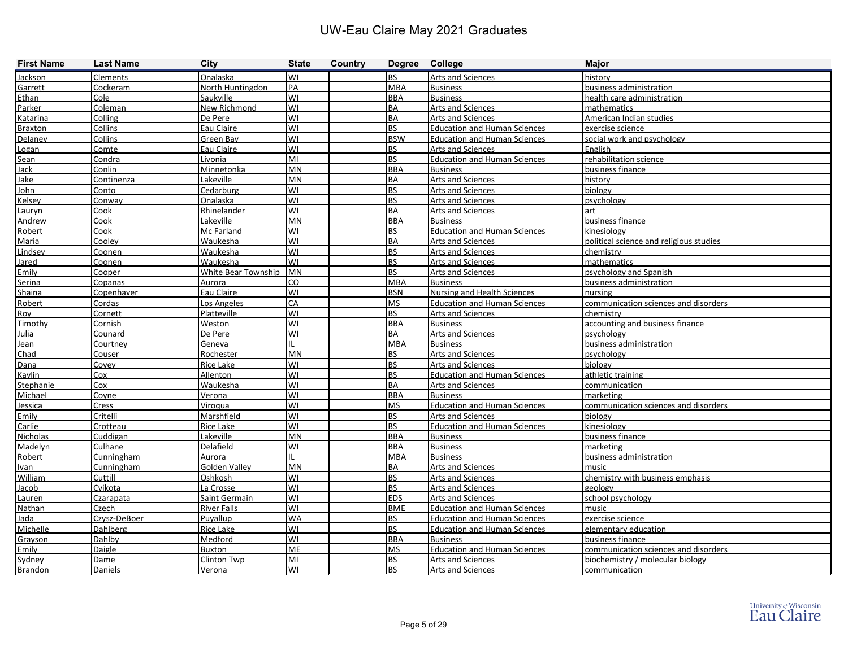| <b>First Name</b> | <b>Last Name</b> | <b>City</b>                | <b>State</b> | Country | Degree College |                                     | <b>Major</b>                            |
|-------------------|------------------|----------------------------|--------------|---------|----------------|-------------------------------------|-----------------------------------------|
| Jackson           | Clements         | Onalaska                   | WI           |         | <b>BS</b>      | Arts and Sciences                   | historv                                 |
| Garrett           | Cockeram         | North Huntingdon           | <b>PA</b>    |         | <b>MBA</b>     | <b>Business</b>                     | business administration                 |
| Ethan             | Cole             | Saukville                  | lwı          |         | <b>BBA</b>     | <b>Business</b>                     | health care administration              |
| Parker            | Coleman          | <b>New Richmond</b>        | lwı          |         | <b>BA</b>      | <b>Arts and Sciences</b>            | mathematics                             |
| Katarina          | Colling          | De Pere                    | lwı          |         | <b>BA</b>      | <b>Arts and Sciences</b>            | American Indian studies                 |
| <b>Braxton</b>    | Collins          | Eau Claire                 | WI           |         | BS             | <b>Education and Human Sciences</b> | exercise science                        |
| Delaney           | Collins          | Green Bay                  | lwı          |         | <b>BSW</b>     | <b>Education and Human Sciences</b> | social work and psychology              |
| Logan             | Comte            | Eau Claire                 | WI           |         | BS.            | Arts and Sciences                   | English                                 |
| Sean              | Condra           | Livonia                    | lмı          |         | <b>BS</b>      | <b>Education and Human Sciences</b> | rehabilitation science                  |
| <b>Jack</b>       | Conlin           | Minnetonka                 | <b>MN</b>    |         | <b>BBA</b>     | <b>Business</b>                     | business finance                        |
| Jake              | Continenza       | Lakeville                  | <b>MN</b>    |         | <b>BA</b>      | Arts and Sciences                   | history                                 |
| <b>John</b>       | Conto            | Cedarburg                  | WI           |         | <b>BS</b>      | <b>Arts and Sciences</b>            | vaoloid                                 |
| Kelsey            | Conway           | Onalaska                   | lwı          |         | l BS           | <b>Arts and Sciences</b>            | psychology                              |
| Lauryn            | Cook             | Rhinelander                | WI           |         | BA             | Arts and Sciences                   | art                                     |
| Andrew            | Cook             | Lakeville                  | <b>MN</b>    |         | <b>BBA</b>     | <b>Business</b>                     | business finance                        |
| Robert            | Cook             | Mc Farland                 | WI           |         | <b>BS</b>      | <b>Education and Human Sciences</b> | kinesiology                             |
| Maria             | Cooley           | Waukesha                   | lwı          |         | BA             | Arts and Sciences                   | political science and religious studies |
| Lindsey           | Coonen           | Waukesha                   | WI           |         | <b>BS</b>      | <b>Arts and Sciences</b>            | chemistry                               |
| Jared             | Coonen           | Waukesha                   | lwı          |         | <b>BS</b>      | Arts and Sciences                   | mathematics                             |
| Emily             | Cooper           | <b>White Bear Township</b> | MN           |         | <b>BS</b>      | <b>Arts and Sciences</b>            | psychology and Spanish                  |
| Serina            | Copanas          | Aurora                     | lco          |         | <b>MBA</b>     | <b>Business</b>                     | business administration                 |
| Shaina            | Copenhaver       | Eau Claire                 | lwı          |         | <b>BSN</b>     | <b>Nursing and Health Sciences</b>  | nursing                                 |
| Robert            | Cordas           | Los Angeles                | CA           |         | <b>MS</b>      | <b>Education and Human Sciences</b> | communication sciences and disorders    |
| Roy               | Cornett          | Platteville                | lwı          |         | l BS           | <b>Arts and Sciences</b>            | chemistry                               |
| Timothy           | Cornish          | Weston                     | WI           |         | BBA            | <b>Business</b>                     | accounting and business finance         |
| Julia             | Counard          | De Pere                    | lwı          |         | BA             | Arts and Sciences                   | psychology                              |
| Jean              | Courtney         | Geneva                     | IL           |         | <b>MBA</b>     | <b>Business</b>                     | business administration                 |
| Chad              | <b>Couser</b>    | Rochester                  | MN           |         | <b>BS</b>      | <b>Arts and Sciences</b>            | psychology                              |
| Dana              | Covey            | <b>Rice Lake</b>           | WI           |         | <b>BS</b>      | <b>Arts and Sciences</b>            | biology                                 |
| Kaylin            | Cox              | Allenton                   | lwı          |         | l BS           | <b>Education and Human Sciences</b> | athletic training                       |
| Stephanie         | Cox              | Waukesha                   | WI           |         | BA             | Arts and Sciences                   | communication                           |
| Michael           | Coyne            | Verona                     | WI           |         | <b>BBA</b>     | <b>Business</b>                     | marketing                               |
| Jessica           | Cress            | Viroqua                    | lwı          |         | <b>MS</b>      | <b>Education and Human Sciences</b> | communication sciences and disorders    |
| Emily             | Critelli         | Marshfield                 | lwı          |         | l BS           | <b>Arts and Sciences</b>            | biology                                 |
| Carlie            | Crotteau         | Rice Lake                  | lwı          |         | <b>BS</b>      | <b>Education and Human Sciences</b> | kinesiology                             |
| Nicholas          | Cuddigan         | Lakeville                  | <b>MN</b>    |         | <b>BBA</b>     | <b>Business</b>                     | business finance                        |
| Madelyn           | Culhane          | Delafield                  | WI           |         | <b>BBA</b>     | <b>Business</b>                     | marketing                               |
| Robert            | Cunningham       | Aurora                     |              |         | <b>MBA</b>     | <b>Business</b>                     | business administration                 |
| Ivan              | Cunningham       | Golden Valley              | <b>MN</b>    |         | <b>BA</b>      | <b>Arts and Sciences</b>            | music                                   |
| William           | Cuttill          | Oshkosh                    | WI           |         | <b>BS</b>      | <b>Arts and Sciences</b>            | chemistry with business emphasis        |
| Jacob             | Cvikota          | La Crosse                  | lwı          |         | l BS           | Arts and Sciences                   | geology                                 |
| Lauren            | Czarapata        | Saint Germain              | WI           |         | <b>EDS</b>     | Arts and Sciences                   | school psychology                       |
| Nathan            | Czech            | <b>River Falls</b>         | WI           |         | <b>BME</b>     | <b>Education and Human Sciences</b> | music                                   |
| Jada              | Czysz-DeBoer     | Puyallup                   | <b>WA</b>    |         | <b>BS</b>      | <b>Education and Human Sciences</b> | exercise science                        |
| Michelle          | <b>Dahlberg</b>  | Rice Lake                  | lwı          |         | BS.            | <b>Education and Human Sciences</b> | elementary education                    |
| Grayson           | Dahlby           | Medford                    | WI           |         | <b>BBA</b>     | <b>Business</b>                     | business finance                        |
| Emily             | Daigle           | <b>Buxton</b>              | ME           |         | <b>MS</b>      | <b>Education and Human Sciences</b> | communication sciences and disorders    |
| Sydney            | Dame             | Clinton Twp                | MI           |         | <b>BS</b>      | Arts and Sciences                   | biochemistry / molecular biology        |
| <b>Brandon</b>    | Daniels          | Verona                     | WI           |         | BS.            | <b>Arts and Sciences</b>            | communication                           |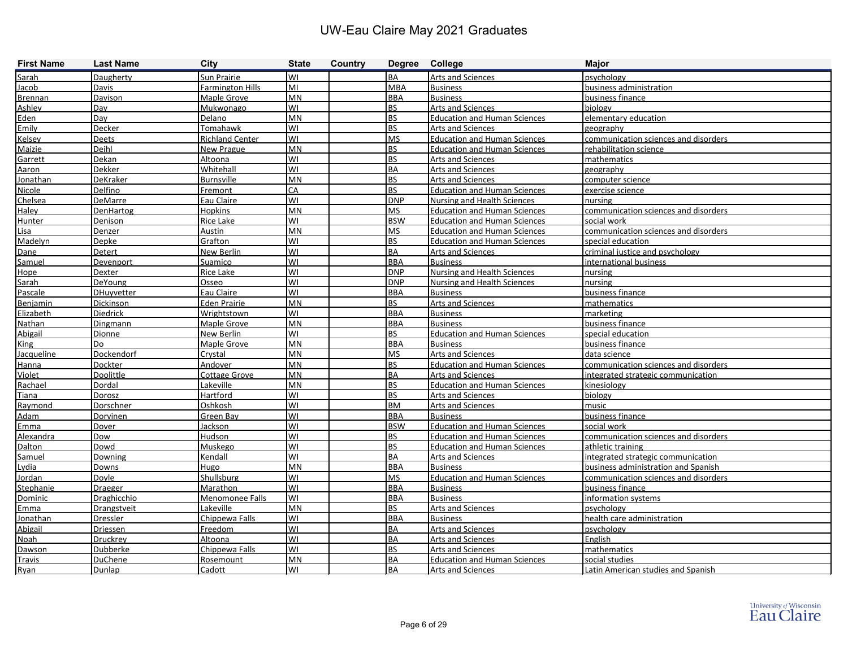| <b>First Name</b>    | <b>Last Name</b>            | <b>City</b>                 | <b>State</b> | Country | Degree College           |                                             | <b>Major</b>                             |
|----------------------|-----------------------------|-----------------------------|--------------|---------|--------------------------|---------------------------------------------|------------------------------------------|
| Sarah                | Daugherty                   | Sun Prairie                 | lwı          |         | <b>BA</b>                | Arts and Sciences                           | psychology                               |
| Jacob                | Davis                       | <b>Farmington Hills</b>     | lмı          |         | <b>MBA</b>               | <b>Business</b>                             | business administration                  |
| <b>Brennan</b>       | Davison                     | Maple Grove                 | MN           |         | <b>BBA</b>               | <b>Business</b>                             | business finance                         |
| Ashley               | Day                         | Mukwonago                   | lwı          |         | <b>BS</b>                | <b>Arts and Sciences</b>                    | biology                                  |
| Eden                 | Day                         | Delano                      | <b>MN</b>    |         | <b>BS</b>                | <b>Education and Human Sciences</b>         | elementary education                     |
| Emily                | Decker                      | Tomahawk                    | lwı          |         | <b>BS</b>                | Arts and Sciences                           | geography                                |
| <b>Kelsey</b>        | Deets                       | <b>Richland Center</b>      | lwi          |         | <b>MS</b>                | <b>Education and Human Sciences</b>         | communication sciences and disorders     |
| Maizie               | Deihl                       | New Prague                  | <b>MN</b>    |         | <b>BS</b>                | <b>Education and Human Sciences</b>         | rehabilitation science                   |
| Garrett              | Dekan                       | Altoona                     | lwı          |         | <b>BS</b>                | <b>Arts and Sciences</b>                    | mathematics                              |
| Aaron                | Dekker                      | Whitehall                   | lwı          |         | <b>BA</b>                | Arts and Sciences                           | geography                                |
| <u>Jonathan</u>      | <b>DeKraker</b>             | <b>Burnsville</b>           | <b>MN</b>    |         | <b>BS</b>                | <b>Arts and Sciences</b>                    | computer science                         |
| Nicole               | Delfino                     | Fremont                     | IСА          |         | <b>BS</b>                | <b>Education and Human Sciences</b>         | exercise science                         |
| Chelsea              | DeMarre                     | Eau Claire                  | lwı          |         | <b>DNP</b>               | <b>Nursing and Health Sciences</b>          | nursing                                  |
| Haley                | <b>DenHartog</b>            | <b>Hopkins</b>              | MN           |         | <b>MS</b>                | <b>Education and Human Sciences</b>         | communication sciences and disorders     |
| Hunter               | <b>Denison</b>              | Rice Lake                   | WI           |         | <b>BSW</b>               | <b>Education and Human Sciences</b>         | social work                              |
| Lisa                 | Denzer                      | Austin                      | <b>MN</b>    |         | <b>MS</b>                | <b>Education and Human Sciences</b>         | communication sciences and disorders     |
| Madelyn              | Depke                       | Grafton                     | lwı          |         | <b>BS</b>                | <b>Education and Human Sciences</b>         | special education                        |
| Dane                 | Detert                      | New Berlin                  | lwı          |         | <b>BA</b>                | <b>Arts and Sciences</b>                    | criminal justice and psychology          |
| Samuel               | Devenport                   | Suamico                     | lwı          |         | <b>BBA</b>               | <b>Business</b>                             | international business                   |
| Hope                 | <b>Dexter</b>               | Rice Lake                   | lwı          |         | <b>DNP</b>               | <b>Nursing and Health Sciences</b>          | nursing                                  |
| Sarah                | <b>DeYoung</b>              | Osseo                       | lwı          |         | <b>DNP</b>               | <b>Nursing and Health Sciences</b>          | nursing                                  |
| Pascale              | <b>DHuyvetter</b>           | Eau Claire                  | lwı          |         | <b>BBA</b>               | <b>Business</b>                             | business finance                         |
| Benjamin             | Dickinson                   | <b>Eden Prairie</b>         | <b>MN</b>    |         | <b>BS</b>                | Arts and Sciences                           | mathematics                              |
| Elizabeth            | Diedrick                    | Wrightstown                 | lwı          |         | <b>BBA</b>               | <b>Business</b>                             | marketing                                |
| Nathan               | Dingmann                    | Maple Grove                 | <b>MN</b>    |         | <b>BBA</b>               | <b>Business</b>                             | business finance                         |
| Abigail              | <b>Dionne</b>               | New Berlin                  | lwı          |         | <b>BS</b>                | <b>Education and Human Sciences</b>         | special education                        |
| <b>King</b>          | Do                          | Maple Grove                 | MN           |         | <b>BBA</b>               | <b>Business</b>                             | business finance                         |
| Jacqueline           | Dockendorf                  | Crystal                     | <b>MN</b>    |         | <b>MS</b>                | Arts and Sciences                           | data science                             |
| Hanna                | Dockter                     | <b>Andover</b>              | MN           |         | <b>BS</b>                | <b>Education and Human Sciences</b>         | communication sciences and disorders     |
| Violet               | Doolittle                   | <b>Cottage Grove</b>        | MN           |         | <b>BA</b>                | <b>Arts and Sciences</b>                    | integrated strategic communication       |
| Rachael              | Dordal                      | Lakeville                   | MN           |         | <b>BS</b>                | <b>Education and Human Sciences</b>         | kinesiology                              |
| Tiana                | Dorosz                      | Hartford                    | lwı          |         | <b>BS</b>                | Arts and Sciences                           | biology                                  |
| Raymond              | Dorschner                   | Oshkosh                     | lwı          |         | <b>BM</b>                | Arts and Sciences                           | music                                    |
| Adam                 | Dorvinen                    | Green Bay                   | lwı          |         | <b>BBA</b>               | <b>Business</b>                             | business finance                         |
| Emma                 | Dover                       | Jackson                     | lwı          |         | <b>BSW</b>               | <b>Education and Human Sciences</b>         | social work                              |
| Alexandra            | Dow                         | Hudson                      | lwı          |         | <b>BS</b>                | <b>Education and Human Sciences</b>         | communication sciences and disorders     |
| Dalton               | Dowd                        | <b>Muskego</b>              | lwı          |         | <b>BS</b>                | <b>Education and Human Sciences</b>         | athletic training                        |
| Samuel               | Downing                     | Kendall                     | lwı          |         | <b>BA</b>                | <b>Arts and Sciences</b>                    | integrated strategic communication       |
| Lydia                | Downs                       | Hugo                        | <b>MN</b>    |         | <b>BBA</b>               | <b>Business</b>                             | business administration and Spanish      |
| Jordan               | Doyle                       | Shullsburg                  | WI<br>WI     |         | <b>MS</b>                | <b>Education and Human Sciences</b>         | communication sciences and disorders     |
| Stephanie<br>Dominic | <b>Draeger</b>              | Marathon                    | WI           |         | <b>BBA</b><br><b>BBA</b> | <b>Business</b>                             | business finance                         |
|                      | Draghicchio                 | Menomonee Falls             | MN           |         | <b>BS</b>                | <b>Business</b><br><b>Arts and Sciences</b> | information systems                      |
| Emma                 | <b>Drangstveit</b>          | Lakeville<br>Chippewa Falls | WI           |         | <b>BBA</b>               |                                             | psychology<br>health care administration |
| Jonathan<br>Abigail  | <b>Dressler</b><br>Driessen | Freedom                     | WI           |         | <b>BA</b>                | <b>Business</b><br><b>Arts and Sciences</b> | psychology                               |
|                      | Druckrey                    |                             | WI           |         | <b>BA</b>                | <b>Arts and Sciences</b>                    | English                                  |
| Noah                 | <b>Dubberke</b>             | Altoona<br>Chippewa Falls   | WI           |         | <b>BS</b>                | <b>Arts and Sciences</b>                    | mathematics                              |
| Dawson               | <b>DuChene</b>              |                             | MN           |         | BA                       | <b>Education and Human Sciences</b>         | social studies                           |
| Travis               |                             | Rosemount                   | WI           |         | BA                       | Arts and Sciences                           | Latin American studies and Spanish       |
| Ryan                 | Dunlap                      | Cadott                      |              |         |                          |                                             |                                          |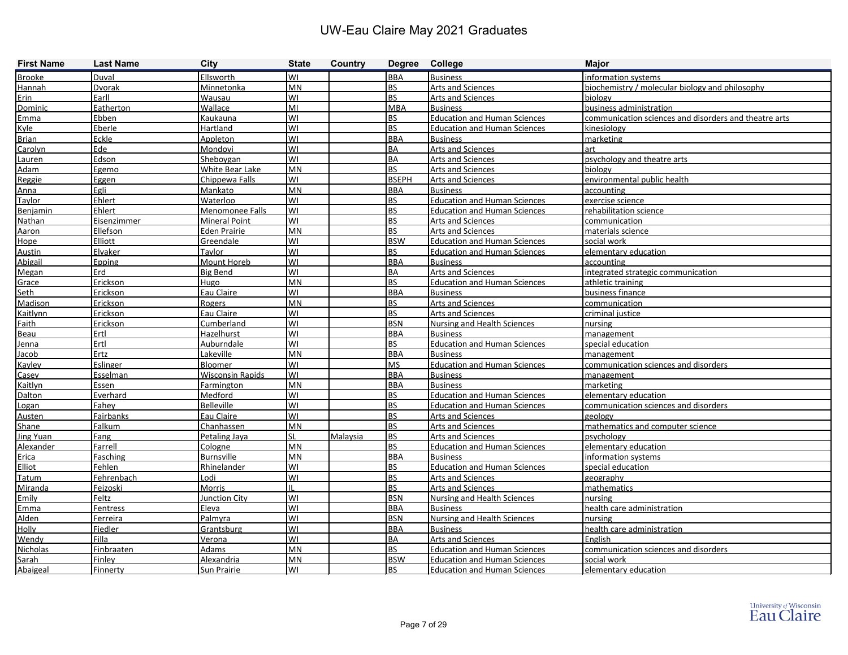| <b>First Name</b> | <b>Last Name</b>  | <b>City</b>             | <b>State</b> | Country  | Degree College |                                     | <b>Major</b>                                          |
|-------------------|-------------------|-------------------------|--------------|----------|----------------|-------------------------------------|-------------------------------------------------------|
| <b>Brooke</b>     | Duval             | Ellsworth               | WI           |          | <b>BBA</b>     | <b>Business</b>                     | information systems                                   |
| Hannah            | Dvorak            | Minnetonka              | <b>MN</b>    |          | BS             | <b>Arts and Sciences</b>            | biochemistry / molecular biology and philosophy       |
| Erin              | Earll             | Wausau                  | WI           |          | <b>BS</b>      | <b>Arts and Sciences</b>            | biology                                               |
| Dominic           | Eatherton         | Wallace                 | MI           |          | <b>MBA</b>     | <b>Business</b>                     | business administration                               |
| Emma              | Ebben             | Kaukauna                | lwı          |          | <b>BS</b>      | <b>Education and Human Sciences</b> | communication sciences and disorders and theatre arts |
| <b>Kyle</b>       | Eberle            | Hartland                | lwı          |          | <b>BS</b>      | <b>Education and Human Sciences</b> | kinesiology                                           |
| <b>Brian</b>      | Eckle             | Appleton                | lwı          |          | <b>BBA</b>     | <b>Business</b>                     | marketing                                             |
| Carolyn           | Ede               | Mondovi                 | WI           |          | BA             | <b>Arts and Sciences</b>            | art                                                   |
| Lauren            | Edson             | Sheboygan               | lwı          |          | BA             | <b>Arts and Sciences</b>            | psychology and theatre arts                           |
| <b>Adam</b>       | Egemo             | White Bear Lake         | MN           |          | <b>BS</b>      | <b>Arts and Sciences</b>            | biology                                               |
| Reggie            | Eggen             | Chippewa Falls          | lwı          |          | <b>BSEPH</b>   | <b>Arts and Sciences</b>            | environmental public health                           |
| <u>Anna</u>       | Egli              | Mankato                 | <b>MN</b>    |          | <b>BBA</b>     | <b>Business</b>                     | accounting                                            |
| Taylor            | Ehlert            | Waterloo                | lwı          |          | <b>BS</b>      | <b>Education and Human Sciences</b> | exercise science                                      |
| <b>Benjamin</b>   | Ehlert            | Menomonee Falls         | lwı          |          | <b>BS</b>      | <b>Education and Human Sciences</b> | rehabilitation science                                |
| Nathan            | Eisenzimmer       | <b>Mineral Point</b>    | lwı          |          | <b>BS</b>      | Arts and Sciences                   | communication                                         |
| Aaron             | Ellefson          | <b>Eden Prairie</b>     | <b>MN</b>    |          | BS             | Arts and Sciences                   | materials science                                     |
| Hope              | Elliott           | Greendale               | WI           |          | <b>BSW</b>     | <b>Education and Human Sciences</b> | social work                                           |
| <b>Austin</b>     | Elvaker           | Tavlor                  | WI           |          | BS             | <b>Education and Human Sciences</b> | elementary education                                  |
| Abigail           | <b>Epping</b>     | Mount Horeb             | lwı          |          | <b>BBA</b>     | <b>Business</b>                     | accounting                                            |
| Megan             | Erd               | <b>Big Bend</b>         | WI           |          | BA             | <b>Arts and Sciences</b>            | integrated strategic communication                    |
| Grace             | Erickson          | Hugo                    | MN           |          | <b>BS</b>      | <b>Education and Human Sciences</b> | athletic training                                     |
| Seth              | Erickson          | Eau Claire              | lwı          |          | <b>BBA</b>     | <b>Business</b>                     | business finance                                      |
| Madison           | Erickson          | Rogers                  | MN           |          | <b>BS</b>      | Arts and Sciences                   | communication                                         |
| Kaitlynn          | Erickson          | Eau Claire              | WI           |          | BS             | <b>Arts and Sciences</b>            | criminal justice                                      |
| <b>Faith</b>      | Erickson          | Cumberland              | WI           |          | <b>BSN</b>     | Nursing and Health Sciences         | nursing                                               |
| Beau              | Ertl              | Hazelhurst              | lwı          |          | <b>BBA</b>     | <b>Business</b>                     | management                                            |
| Jenna             | Ertl              | Auburndale              | WI           |          | <b>BS</b>      | <b>Education and Human Sciences</b> | special education                                     |
| Jacob             | Ertz              | Lakeville               | MN           |          | <b>BBA</b>     | <b>Business</b>                     | management                                            |
| Kayley            | Eslinger          | <b>Bloomer</b>          | WI           |          | <b>MS</b>      | <b>Education and Human Sciences</b> | communication sciences and disorders                  |
| Casev             | Esselman          | <b>Wisconsin Rapids</b> | <b>WI</b>    |          | <b>BBA</b>     | <b>Business</b>                     | management                                            |
| Kaitlyn           | Essen             | Farmington              | MN           |          | <b>BBA</b>     | <b>Business</b>                     | marketing                                             |
| <b>Dalton</b>     | Everhard          | Medford                 | WI           |          | <b>BS</b>      | <b>Education and Human Sciences</b> | elementary education                                  |
| Logan             | Fahey             | <b>Belleville</b>       | lwı          |          | <b>BS</b>      | <b>Education and Human Sciences</b> | communication sciences and disorders                  |
| Austen            | Fairbanks         | Eau Claire              | lwı          |          | <b>BS</b>      | <b>Arts and Sciences</b>            | geologv                                               |
| Shane             | Falkum            | Chanhassen              | MN           |          | <b>BS</b>      | <b>Arts and Sciences</b>            | mathematics and computer science                      |
| Jing Yuan         | Fang              | Petaling Jaya           | lsl          | Malaysia | <b>BS</b>      | <b>Arts and Sciences</b>            | psychology                                            |
| Alexander         | Farrell           | Cologne                 | <b>MN</b>    |          | <b>BS</b>      | <b>Education and Human Sciences</b> | elementary education                                  |
| Erica             | Fasching          | <b>Burnsville</b>       | <b>MN</b>    |          | <b>BBA</b>     | <b>Business</b>                     | information systems                                   |
| <b>Elliot</b>     | Fehlen            | Rhinelander             | WI           |          | <b>BS</b>      | Education and Human Sciences        | special education                                     |
| Tatum             | Fehrenbach        | Lodi                    | lwı          |          | <b>BS</b>      | Arts and Sciences                   | geography                                             |
| Miranda           | Fejzoski          | Morris                  | Ш            |          | <b>BS</b>      | <b>Arts and Sciences</b>            | mathematics                                           |
| Emily             | Feltz             | Junction City           | WI           |          | <b>BSN</b>     | Nursing and Health Sciences         | nursing                                               |
| <u>Emma</u>       | Fentress          | Eleva                   | <b>WI</b>    |          | <b>BBA</b>     | <b>Business</b>                     | health care administration                            |
| <b>Alden</b>      | Ferreira          | Palmyra                 | lwı          |          | <b>BSN</b>     | Nursing and Health Sciences         | nursing                                               |
| <b>Holly</b>      | Fiedler           | Grantsburg              | lwı          |          | <b>BBA</b>     | <b>Business</b>                     | health care administration                            |
| Wendy             | Filla             | <b>Verona</b>           | lwı          |          | <b>BA</b>      | <b>Arts and Sciences</b>            | English                                               |
| <b>Nicholas</b>   | <b>Finbraaten</b> | <b>Adams</b>            | MN           |          | <b>BS</b>      | <b>Education and Human Sciences</b> | communication sciences and disorders                  |
| Sarah             | <b>Finley</b>     | Alexandria              | MN           |          | <b>BSW</b>     | <b>Education and Human Sciences</b> | social work                                           |
| Abaigeal          | Finnerty          | Sun Prairie             | WI           |          | <b>BS</b>      | <b>Education and Human Sciences</b> | elementary education                                  |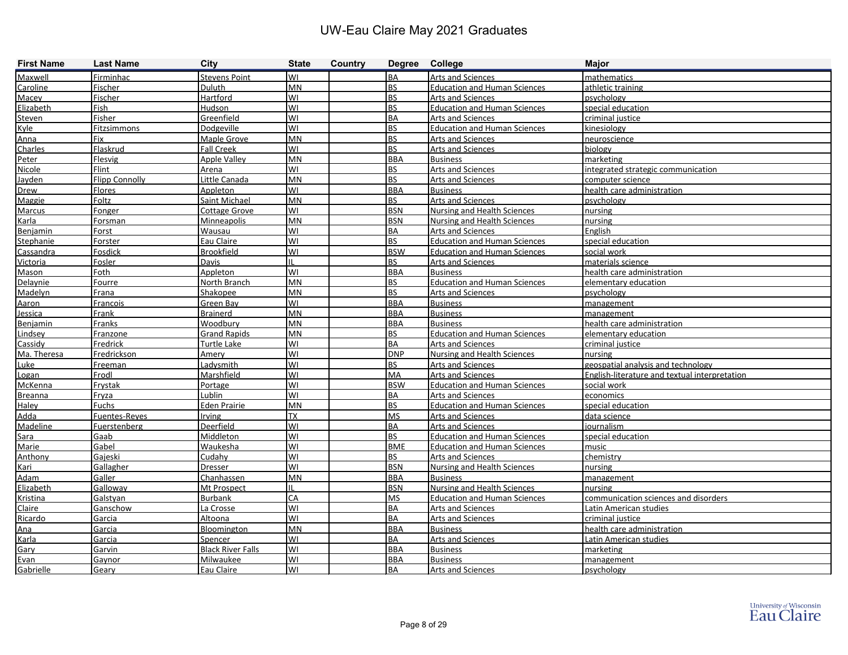| <b>First Name</b> | <b>Last Name</b>      | <b>City</b>              | <b>State</b> | Country | Degree College |                                     | <b>Major</b>                                  |
|-------------------|-----------------------|--------------------------|--------------|---------|----------------|-------------------------------------|-----------------------------------------------|
| Maxwell           | Firminhac             | <b>Stevens Point</b>     | lwı          |         | BA             | <b>Arts and Sciences</b>            | mathematics                                   |
| Caroline          | Fischer               | Duluth                   | <b>MN</b>    |         | <b>BS</b>      | <b>Education and Human Sciences</b> | athletic training                             |
| Macev             | Fischer               | Hartford                 | WI           |         | <b>BS</b>      | <b>Arts and Sciences</b>            | psychology                                    |
| Elizabeth         | Fish                  | Hudson                   | lwı          |         | <b>BS</b>      | <b>Education and Human Sciences</b> | special education                             |
| Steven            | Fisher                | Greenfield               | lwı          |         | <b>BA</b>      | <b>Arts and Sciences</b>            | criminal justice                              |
| Kyle              | Fitzsimmons           | Dodgeville               | lwı          |         | <b>BS</b>      | <b>Education and Human Sciences</b> | kinesiology                                   |
| Anna              | Fix                   | Maple Grove              | MN           |         | <b>BS</b>      | <b>Arts and Sciences</b>            | neuroscience                                  |
| Charles           | Flaskrud              | <b>Fall Creek</b>        | WI           |         | <b>BS</b>      | <b>Arts and Sciences</b>            | biology                                       |
| Peter             | Flesvig               | <b>Apple Valley</b>      | MN           |         | <b>BBA</b>     | <b>Business</b>                     | marketing                                     |
| Nicole            | Flint                 | Arena                    | lwı          |         | <b>BS</b>      | <b>Arts and Sciences</b>            | integrated strategic communication            |
| Jayden            | <b>Flipp Connolly</b> | Little Canada            | MN           |         | <b>BS</b>      | <b>Arts and Sciences</b>            | computer science                              |
| <b>Drew</b>       | <b>Flores</b>         | <b>Appleton</b>          | WI           |         | <b>BBA</b>     | <b>Business</b>                     | health care administration                    |
| Maggie            | Foltz                 | <b>Saint Michael</b>     | MN           |         | <b>BS</b>      | Arts and Sciences                   | psychology                                    |
| Marcus            | Fonger                | <b>Cottage Grove</b>     | lwı          |         | <b>BSN</b>     | Nursing and Health Sciences         | nursing                                       |
| Karla             | Forsman               | Minneapolis              | MN           |         | <b>BSN</b>     | Nursing and Health Sciences         | nursing                                       |
| Benjamin          | Forst                 | Wausau                   | lwı          |         | BA             | <b>Arts and Sciences</b>            | English                                       |
| Stephanie         | Forster               | Eau Claire               | WI           |         | <b>BS</b>      | <b>Education and Human Sciences</b> | special education                             |
| Cassandra         | Fosdick               | <b>Brookfield</b>        | WI           |         | <b>BSW</b>     | <b>Education and Human Sciences</b> | social work                                   |
| Victoria          | Fosler                | Davis                    | IL           |         | <b>BS</b>      | <b>Arts and Sciences</b>            | materials science                             |
| Mason             | Foth                  | <b>Appleton</b>          | WI           |         | <b>BBA</b>     | <b>Business</b>                     | health care administration                    |
| Delaynie          | Fourre                | North Branch             | MN           |         | <b>BS</b>      | <b>Education and Human Sciences</b> | elementary education                          |
| Madelyn           | Frana                 | Shakopee                 | MN           |         | <b>BS</b>      | <b>Arts and Sciences</b>            | psychology                                    |
| Aaron             | Francois              | Green Bay                | lwı          |         | <b>BBA</b>     | <b>Business</b>                     | management                                    |
| Jessica           | Frank                 | Brainerd                 | MN           |         | <b>BBA</b>     | <b>Business</b>                     | management                                    |
| Benjamin          | Franks                | Woodbury                 | <b>MN</b>    |         | <b>BBA</b>     | <b>Business</b>                     | health care administration                    |
| Lindsey           | Franzone              | <b>Grand Rapids</b>      | <b>IMN</b>   |         | <b>BS</b>      | <b>Education and Human Sciences</b> | elementary education                          |
| Cassidy           | Fredrick              | Turtle Lake              | WI           |         | BA             | <b>Arts and Sciences</b>            | criminal justice                              |
| Ma. Theresa       | Fredrickson           | Amery                    | WI           |         | <b>DNP</b>     | <b>Nursing and Health Sciences</b>  | nursing                                       |
| Luke              | Freeman               | Ladysmith                | WI           |         | BS             | <b>Arts and Sciences</b>            | geospatial analysis and technology            |
| Logan             | Frodl                 | Marshfield               | lwı          |         | MA             | <b>Arts and Sciences</b>            | English-literature and textual interpretation |
| McKenna           | Frystak               | Portage                  | lwı          |         | <b>BSW</b>     | <b>Education and Human Sciences</b> | social work                                   |
| <b>Breanna</b>    | Fryza                 | Lublin                   | WI           |         | BA             | Arts and Sciences                   | economics                                     |
| Haley             | <b>Fuchs</b>          | <b>Eden Prairie</b>      | <b>MN</b>    |         | BS             | <b>Education and Human Sciences</b> | special education                             |
| Adda              | Fuentes-Reyes         | Irving                   | ТX           |         | <b>MS</b>      | <b>Arts and Sciences</b>            | data science                                  |
| Madeline          | Fuerstenberg          | Deerfield                | lwı          |         | BA             | <b>Arts and Sciences</b>            | journalism                                    |
| Sara              | Gaab                  | Middleton                | lwı          |         | <b>BS</b>      | <b>Education and Human Sciences</b> | special education                             |
| Marie             | Gabel                 | Waukesha                 | WI           |         | <b>BME</b>     | <b>Education and Human Sciences</b> | music                                         |
| Anthony           | Gajeski               | Cudahy                   | WI           |         | <b>BS</b>      | <b>Arts and Sciences</b>            | chemistry                                     |
| Kari              | <b>Gallagher</b>      | Dresser                  | WI           |         | <b>BSN</b>     | Nursing and Health Sciences         | nursing                                       |
| <b>Adam</b>       | Galler                | Chanhassen               | MN           |         | <b>BBA</b>     | <b>Business</b>                     | management                                    |
| Elizabeth         | Galloway              | Mt Prospect              | ΠL           |         | <b>BSN</b>     | <b>Nursing and Health Sciences</b>  | nursing                                       |
| Kristina          | Galstyan              | <b>Burbank</b>           | <b>CA</b>    |         | <b>MS</b>      | <b>Education and Human Sciences</b> | communication sciences and disorders          |
| Claire            | Ganschow              | La Crosse                | lwı          |         | BA             | <b>Arts and Sciences</b>            | Latin American studies                        |
| Ricardo           | Garcia                | Altoona                  | lwı          |         | BA             | <b>Arts and Sciences</b>            | criminal justice                              |
| Ana               | Garcia                | Bloomington              | MN           |         | <b>BBA</b>     | <b>Business</b>                     | health care administration                    |
| Karla             | Garcia                | Spencer                  | lwı          |         | BA             | <b>Arts and Sciences</b>            | Latin American studies                        |
| Gary              | Garvin                | <b>Black River Falls</b> | lwi          |         | <b>BBA</b>     | <b>Business</b>                     | marketing                                     |
| Evan              | Gaynor                | Milwaukee                | WI           |         | <b>BBA</b>     | <b>Business</b>                     | management                                    |
| Gabrielle         | Geary                 | Eau Claire               | <b>WI</b>    |         | <b>BA</b>      | <b>Arts and Sciences</b>            | psychology                                    |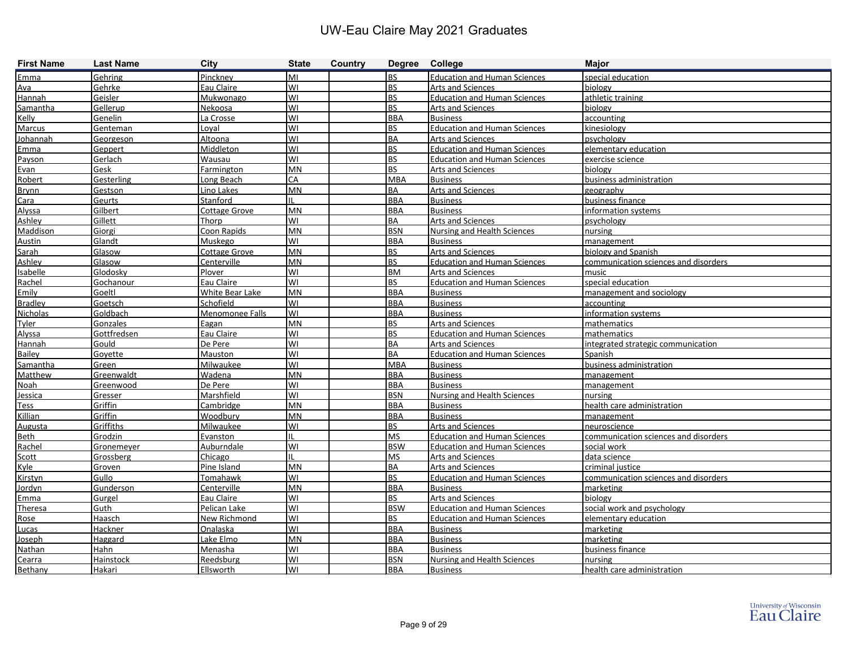| <b>First Name</b> | <b>Last Name</b>  | <b>City</b>          | <b>State</b> | Country | Degree College |                                     | <b>Major</b>                         |
|-------------------|-------------------|----------------------|--------------|---------|----------------|-------------------------------------|--------------------------------------|
| Emma              | Gehring           | Pinckney             | MI           |         | <b>BS</b>      | <b>Education and Human Sciences</b> | special education                    |
| Ava               | Gehrke            | Eau Claire           | WI           |         | <b>BS</b>      | <b>Arts and Sciences</b>            | biology                              |
| Hannah            | Geisler           | Mukwonago            | WI           |         | <b>BS</b>      | <b>Education and Human Sciences</b> | athletic training                    |
| Samantha          | Gellerup          | Nekoosa              | WI           |         | <b>BS</b>      | <b>Arts and Sciences</b>            | biology                              |
| Kelly             | Genelin           | La Crosse            | WI           |         | <b>BBA</b>     | <b>Business</b>                     | accounting                           |
| Marcus            | Genteman          | Loval                | WI           |         | <b>BS</b>      | <b>Education and Human Sciences</b> | kinesiology                          |
| Johannah          | Georgeson         | Altoona              | WI           |         | <b>BA</b>      | <b>Arts and Sciences</b>            | psychology                           |
| Emma              | Geppert           | Middleton            | WI           |         | <b>BS</b>      | <b>Education and Human Sciences</b> | elementary education                 |
| Payson            | Gerlach           | Wausau               | WI           |         | <b>BS</b>      | <b>Education and Human Sciences</b> | exercise science                     |
| Evan              | Gesk              | Farmington           | <b>MN</b>    |         | <b>BS</b>      | <b>Arts and Sciences</b>            | biology                              |
| Robert            | Gesterling        | Long Beach           | CA           |         | <b>MBA</b>     | <b>Business</b>                     | business administration              |
| <b>Brynn</b>      | Gestson           | Lino Lakes           | <b>MN</b>    |         | <b>BA</b>      | <b>Arts and Sciences</b>            | geography                            |
| Cara              | Geurts            | Stanford             |              |         | <b>BBA</b>     | <b>Business</b>                     | business finance                     |
| Alyssa            | Gilbert           | <b>Cottage Grove</b> | <b>MN</b>    |         | <b>BBA</b>     | <b>Business</b>                     | information systems                  |
| Ashley            | Gillett           | Thorp                | WI           |         | <b>BA</b>      | <b>Arts and Sciences</b>            | psychology                           |
| Maddison          | Giorgi            | Coon Rapids          | <b>MN</b>    |         | <b>BSN</b>     | Nursing and Health Sciences         | nursing                              |
| Austin            | Glandt            | Muskego              | WI           |         | <b>BBA</b>     | <b>Business</b>                     | management                           |
| Sarah             | Glasow            | Cottage Grove        | <b>MN</b>    |         | <b>BS</b>      | Arts and Sciences                   | biology and Spanish                  |
| Ashley            | Glasow            | Centerville          | <b>MN</b>    |         | <b>BS</b>      | <b>Education and Human Sciences</b> | communication sciences and disorders |
| Isabelle          | Glodosky          | Plover               | WI           |         | <b>BM</b>      | <b>Arts and Sciences</b>            | music                                |
| Rachel            | Gochanour         | Eau Claire           | WI           |         | <b>BS</b>      | <b>Education and Human Sciences</b> | special education                    |
| Emily             | Goeltl            | White Bear Lake      | MN           |         | <b>BBA</b>     | <b>Business</b>                     | management and sociology             |
| <b>Bradley</b>    | Goetsch           | Schofield            | WI           |         | <b>BBA</b>     | <b>Business</b>                     | accounting                           |
| Nicholas          | Goldbach          | Menomonee Falls      | WI           |         | <b>BBA</b>     | <b>Business</b>                     | information systems                  |
| Tyler             | Gonzales          | Eagan                | <b>MN</b>    |         | <b>BS</b>      | <b>Arts and Sciences</b>            | mathematics                          |
| Alyssa            | Gottfredsen       | Eau Claire           | WI           |         | <b>BS</b>      | <b>Education and Human Sciences</b> | mathematics                          |
| Hannah            | Gould             | De Pere              | WI           |         | <b>BA</b>      | Arts and Sciences                   | integrated strategic communication   |
| <b>Bailey</b>     | Goyette           | Mauston              | WI           |         | <b>BA</b>      | <b>Education and Human Sciences</b> | Spanish                              |
| Samantha          | Green             | Milwaukee            | WI           |         | <b>MBA</b>     | <b>Business</b>                     | business administration              |
| Matthew           | Greenwaldt        | Wadena               | <b>MN</b>    |         | <b>BBA</b>     | <b>Business</b>                     | management                           |
| <b>Noah</b>       | Greenwood         | De Pere              | WI           |         | <b>BBA</b>     | <b>Business</b>                     | management                           |
| Jessica           | Gresser           | Marshfield           | WI           |         | <b>BSN</b>     | Nursing and Health Sciences         | nursing                              |
| Tess              | Griffin           | Cambridge            | <b>MN</b>    |         | <b>BBA</b>     | <b>Business</b>                     | health care administration           |
| Killian           | Griffin           | Woodbury             | <b>MN</b>    |         | <b>BBA</b>     | <b>Business</b>                     | <b>Imanagement</b>                   |
| <b>Augusta</b>    | Griffiths         | Milwaukee            | WI           |         | <b>BS</b>      | Arts and Sciences                   | neuroscience                         |
| Beth              | Grodzin           | Evanston             |              |         | <b>MS</b>      | <b>Education and Human Sciences</b> | communication sciences and disorders |
| Rachel            | <b>Gronemever</b> | Auburndale           | WI           |         | <b>BSW</b>     | <b>Education and Human Sciences</b> | social work                          |
| Scott             | Grossberg         | Chicago              |              |         | <b>MS</b>      | <b>Arts and Sciences</b>            | data science                         |
| Kyle              | Groven            | Pine Island          | <b>MN</b>    |         | <b>BA</b>      | <b>Arts and Sciences</b>            | criminal justice                     |
| Kirstyn           | Gullo             | Tomahawk             | WI           |         | BS.            | <b>Education and Human Sciences</b> | communication sciences and disorders |
| Jordyn            | Gunderson         | Centerville          | <b>MN</b>    |         | <b>BBA</b>     | <b>Business</b>                     | marketing                            |
| Emma              | Gurgel            | Eau Claire           | WI           |         | BS             | Arts and Sciences                   | biology                              |
| Theresa           | Guth              | Pelican Lake         | lwı          |         | <b>BSW</b>     | <b>Education and Human Sciences</b> | social work and psychology           |
| Rose              | Haasch            | New Richmond         | lwı          |         | <b>BS</b>      | <b>Education and Human Sciences</b> | elementary education                 |
| Lucas             | Hackner           | Onalaska             | WI           |         | <b>BBA</b>     | <b>Business</b>                     | marketing                            |
| Joseph            | Haggard           | Lake Elmo            | <b>MN</b>    |         | <b>BBA</b>     | <b>Business</b><br><b>Business</b>  | marketing                            |
| Nathan            | Hahn              | Menasha              | WI           |         | <b>BBA</b>     |                                     | business finance                     |
| Cearra            | Hainstock         | Reedsburg            | WI           |         | <b>BSN</b>     | Nursing and Health Sciences         | nursing                              |
| Bethany           | Hakari            | Ellsworth            | lwı          |         | <b>BBA</b>     | <b>Business</b>                     | health care administration           |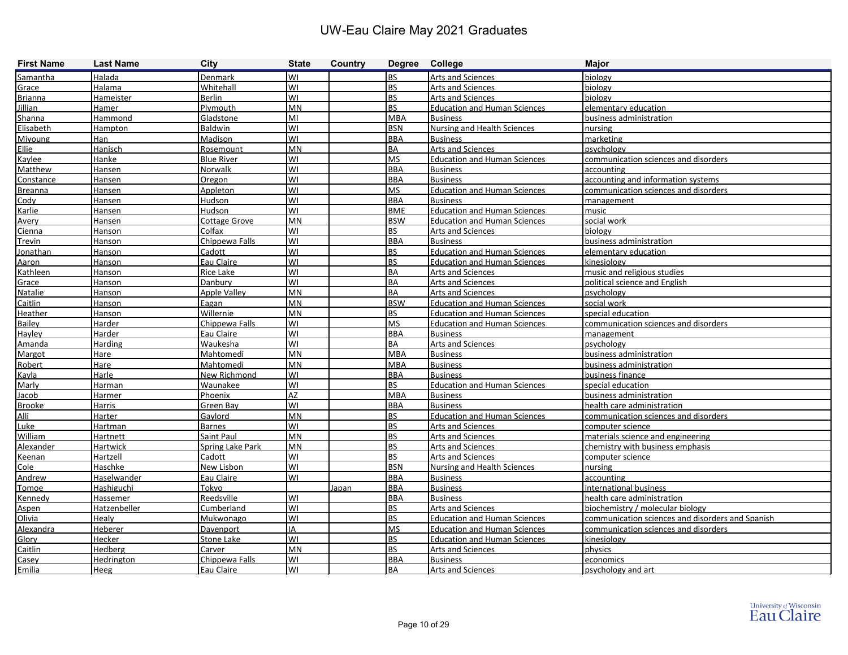| <b>First Name</b> | <b>Last Name</b>  | <b>City</b>             | <b>State</b> | <b>Country</b> | Degree College |                                     | <b>Major</b>                                     |
|-------------------|-------------------|-------------------------|--------------|----------------|----------------|-------------------------------------|--------------------------------------------------|
| Samantha          | Halada            | Denmark                 | lwı          |                | <b>BS</b>      | Arts and Sciences                   | biology                                          |
| Grace             | Halama            | Whitehall               | WI           |                | <b>BS</b>      | Arts and Sciences                   | biology                                          |
| <b>Brianna</b>    | Hameister         | <b>Berlin</b>           | WI           |                | <b>BS</b>      | <b>Arts and Sciences</b>            | biology                                          |
| <b>Jillian</b>    | Hamer             | Plymouth                | <b>MN</b>    |                | <b>BS</b>      | <b>Education and Human Sciences</b> | elementary education                             |
| Shanna            | Hammond           | Gladstone               | lмı          |                | <b>MBA</b>     | <b>Business</b>                     | business administration                          |
| Elisabeth         | Hampton           | Baldwin                 | WI           |                | <b>BSN</b>     | <b>Nursing and Health Sciences</b>  | nursing                                          |
| Miyoung           | Han               | Madison                 | lwı          |                | <b>BBA</b>     | <b>Business</b>                     | marketing                                        |
| Ellie             | Hanisch           | Rosemount               | <b>MN</b>    |                | <b>BA</b>      | Arts and Sciences                   | psychology                                       |
| Kaylee            | Hanke             | <b>Blue River</b>       | lwı          |                | <b>MS</b>      | <b>Education and Human Sciences</b> | communication sciences and disorders             |
| Matthew           | Hansen            | <b>Norwalk</b>          | WI           |                | <b>BBA</b>     | <b>Business</b>                     | accounting                                       |
| Constance         | <b>Hansen</b>     | Oregon                  | lwı          |                | <b>BBA</b>     | <b>Business</b>                     | accounting and information systems               |
| <b>Breanna</b>    | <b>Hansen</b>     | Appleton                | WI           |                | <b>MS</b>      | <b>Education and Human Sciences</b> | communication sciences and disorders             |
| Codv              | <b>Hansen</b>     | Hudson                  | lwı          |                | <b>BBA</b>     | <b>Business</b>                     | management                                       |
| Karlie            | Hansen            | Hudson                  | WI           |                | <b>BME</b>     | <b>Education and Human Sciences</b> | music                                            |
| <u>Avery</u>      | <b>Hansen</b>     | <b>Cottage Grove</b>    | lmn          |                | <b>BSW</b>     | <b>Education and Human Sciences</b> | social work                                      |
| Cienna            | Hanson            | Colfax                  | WI           |                | <b>BS</b>      | <b>Arts and Sciences</b>            | biology                                          |
| Trevin            | Hanson            | Chippewa Falls          | lwı          |                | <b>BBA</b>     | <b>Business</b>                     | business administration                          |
| Jonathan          | Hanson            | Cadott                  | WI           |                | <b>BS</b>      | <b>Education and Human Sciences</b> | elementary education                             |
| Aaron             | <b>Hanson</b>     | Eau Claire              | lwı          |                | <b>BS</b>      | <b>Education and Human Sciences</b> | kinesiology                                      |
| Kathleen          | Hanson            | <b>Rice Lake</b>        | lwı          |                | <b>BA</b>      | <b>Arts and Sciences</b>            | music and religious studies                      |
| Grace             | Hanson            | Danbury                 | lwı          |                | <b>BA</b>      | <b>Arts and Sciences</b>            | political science and English                    |
| Natalie           | Hanson            | Apple Valley            | <b>MN</b>    |                | <b>BA</b>      | <b>Arts and Sciences</b>            | psychology                                       |
| <b>Caitlin</b>    | Hanson            | Eagan                   | <b>MN</b>    |                | <b>BSW</b>     | <b>Education and Human Sciences</b> | social work                                      |
| Heather           | Hanson            | Willernie               | <b>MN</b>    |                | <b>BS</b>      | <b>Education and Human Sciences</b> | special education                                |
| Bailey            | Harder            | Chippewa Falls          | lwı          |                | <b>MS</b>      | <b>Education and Human Sciences</b> | communication sciences and disorders             |
| Hayley            | Harder            | Eau Claire              | lwı          |                | <b>BBA</b>     | <b>Business</b>                     | management                                       |
| Amanda            | <b>Harding</b>    | Waukesha                | lwı          |                | <b>BA</b>      | Arts and Sciences                   | psvchologv                                       |
| Margot            | Hare              | Mahtomedi               | <b>MN</b>    |                | <b>MBA</b>     | <b>Business</b>                     | business administration                          |
| Robert            | Hare              | Mahtomedi               | IMN          |                | <b>MBA</b>     | <b>Business</b>                     | business administration                          |
| Kayla             | Harle             | New Richmond            | lwı          |                | <b>BBA</b>     | <b>Business</b>                     | business finance                                 |
| Marly             | Harman            | Waunakee                | WI           |                | <b>BS</b>      | <b>Education and Human Sciences</b> | special education                                |
| Jacob             | Harmer            | Phoenix                 | <b>AZ</b>    |                | <b>MBA</b>     | <b>Business</b>                     | business administration                          |
| <b>Brooke</b>     | Harris            | Green Bay               | lwı          |                | <b>BBA</b>     | <b>Business</b>                     | health care administration                       |
| Alli              | Harter            | Gavlord                 | <b>MN</b>    |                | <b>BS</b>      | <b>Education and Human Sciences</b> | communication sciences and disorders             |
| <b>Luke</b>       | Hartman           | <b>Barnes</b>           | WI           |                | <b>BS</b>      | Arts and Sciences                   | computer science                                 |
| William           | <b>Hartnett</b>   | Saint Paul              | MN           |                | <b>BS</b>      | Arts and Sciences                   | materials science and engineering                |
| Alexander         | <b>Hartwick</b>   | <b>Spring Lake Park</b> | IMN          |                | <b>BS</b>      | <b>Arts and Sciences</b>            | chemistry with business emphasis                 |
| Keenan            | Hartzell          | Cadott                  | lwı          |                | <b>BS</b>      | <b>Arts and Sciences</b>            | computer science                                 |
| Cole              | Haschke           | New Lisbon              | WI           |                | <b>BSN</b>     | Nursing and Health Sciences         | nursing                                          |
| Andrew            | Haselwander       | Eau Claire              | lwı          |                | <b>BBA</b>     | <b>Business</b>                     | accounting                                       |
| Tomoe             | Hashiguchi        | Tokyo                   |              | Japan          | <b>BBA</b>     | <b>Business</b>                     | international business                           |
| Kennedy           | Hassemer          | Reedsville              | lwı          |                | <b>BBA</b>     | <b>Business</b>                     | health care administration                       |
| Aspen             | Hatzenbeller      | Cumberland              | lwı          |                | <b>BS</b>      | <b>Arts and Sciences</b>            | biochemistry / molecular biology                 |
| Olivia            | Healy             | Mukwonago               | lwı          |                | <b>BS</b>      | <b>Education and Human Sciences</b> | communication sciences and disorders and Spanish |
| Alexandra         | Heberer           | Davenport               | IA           |                | <b>MS</b>      | <b>Education and Human Sciences</b> | communication sciences and disorders             |
| Glory             | Hecker            | Stone Lake              | lwı          |                | <b>BS</b>      | <b>Education and Human Sciences</b> | kinesiology                                      |
| Caitlin           | <b>Hedberg</b>    | Carver                  | <b>MN</b>    |                | <b>BS</b>      | Arts and Sciences                   | physics                                          |
| Casey             | <b>Hedrington</b> | Chippewa Falls          | lwı          |                | <b>BBA</b>     | <b>Business</b>                     | economics                                        |
| Emilia            | Heeg              | Eau Claire              | lwı          |                | BA             | <b>Arts and Sciences</b>            | psychology and art                               |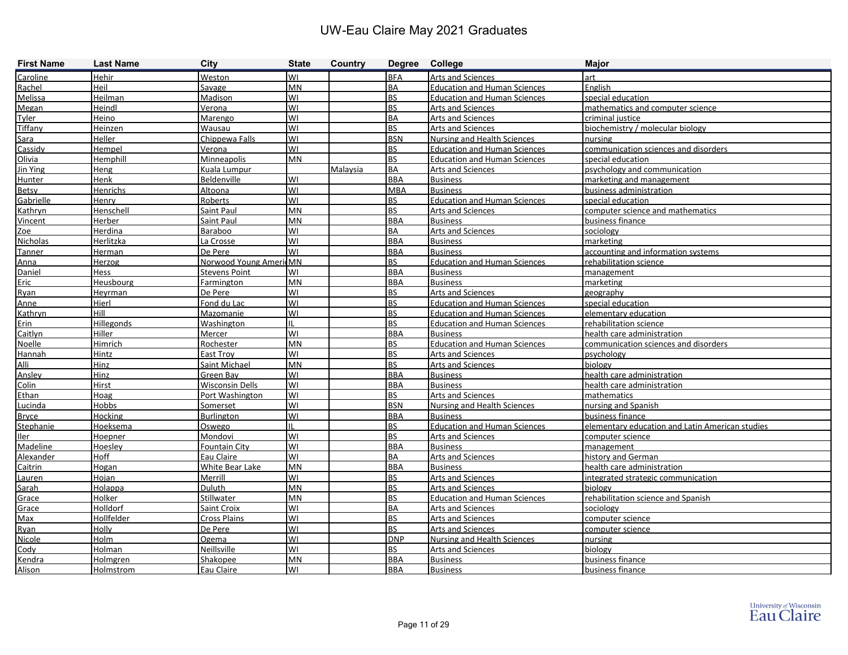| <b>First Name</b> | <b>Last Name</b>  | <b>City</b>            | <b>State</b> | Country  | Degree College |                                     | <b>Major</b>                                    |
|-------------------|-------------------|------------------------|--------------|----------|----------------|-------------------------------------|-------------------------------------------------|
| Caroline          | Hehir             | Weston                 | lwı          |          | <b>BFA</b>     | Arts and Sciences                   | art                                             |
| Rachel            | Heil              | Savage                 | MN           |          | <b>BA</b>      | <b>Education and Human Sciences</b> | English                                         |
| Melissa           | Heilman           | Madison                | WI           |          | <b>BS</b>      | <b>Education and Human Sciences</b> | special education                               |
| Megan             | Heindl            | Verona                 | lwı          |          | <b>BS</b>      | <b>Arts and Sciences</b>            | mathematics and computer science                |
| Tyler             | Heino             | Marengo                | lwı          |          | <b>BA</b>      | <b>Arts and Sciences</b>            | criminal justice                                |
| Tiffany           | Heinzen           | Wausau                 | lwı          |          | <b>BS</b>      | Arts and Sciences                   | biochemistry / molecular biology                |
| Sara              | Heller            | Chippewa Falls         | lwi          |          | <b>BSN</b>     | <b>Nursing and Health Sciences</b>  | nursing                                         |
| Cassidy           | Hempel            | Verona                 | lwı          |          | <b>BS</b>      | <b>Education and Human Sciences</b> | communication sciences and disorders            |
| Olivia            | Hemphill          | Minneapolis            | <b>MN</b>    |          | <b>BS</b>      | <b>Education and Human Sciences</b> | special education                               |
| Jin Ying          | Heng              | Kuala Lumpur           |              | Malaysia | <b>BA</b>      | Arts and Sciences                   | psychology and communication                    |
| Hunter            | Henk              | Beldenville            | WI           |          | <b>BBA</b>     | <b>Business</b>                     | marketing and management                        |
| <b>Betsy</b>      | Henrichs          | Altoona                | lwı          |          | <b>MBA</b>     | <b>Business</b>                     | business administration                         |
| Gabrielle         | Henry             | Roberts                | lwı          |          | <b>BS</b>      | <b>Education and Human Sciences</b> | special education                               |
| Kathryn           | Henschell         | Saint Paul             | MN           |          | <b>BS</b>      | Arts and Sciences                   | computer science and mathematics                |
| Vincent           | Herber            | Saint Paul             | <b>MN</b>    |          | <b>BBA</b>     | <b>Business</b>                     | business finance                                |
| Zoe               | Herdina           | Baraboo                | lwı          |          | <b>BA</b>      | <b>Arts and Sciences</b>            | sociology                                       |
| Nicholas          | Herlitzka         | La Crosse              | lwı          |          | <b>BBA</b>     | <b>Business</b>                     | marketing                                       |
| Tanner            | Herman            | De Pere                | lwı          |          | <b>BBA</b>     | <b>Business</b>                     | accounting and information systems              |
| Anna              | Herzog            | Norwood Young AmericMN |              |          | <b>BS</b>      | <b>Education and Human Sciences</b> | rehabilitation science                          |
| Daniel            | Hess              | <b>Stevens Point</b>   | lwı          |          | <b>BBA</b>     | <b>Business</b>                     | management                                      |
| Eric              | Heusbourg         | Farmington             | MN           |          | <b>BBA</b>     | <b>Business</b>                     | marketing                                       |
| Ryan              | Heyrman           | De Pere                | lwı          |          | <b>BS</b>      | Arts and Sciences                   | geography                                       |
| Anne              | Hierl             | Fond du Lac            | WI           |          | <b>BS</b>      | <b>Education and Human Sciences</b> | special education                               |
| Kathryn           | Hill              | Mazomanie              | lwı          |          | <b>BS</b>      | <b>Education and Human Sciences</b> | elementary education                            |
| Erin              | <b>Hillegonds</b> | Washington             | IIL          |          | <b>BS</b>      | <b>Education and Human Sciences</b> | rehabilitation science                          |
| Caitlyn           | Hiller            | Mercer                 | WI           |          | <b>BBA</b>     | <b>Business</b>                     | health care administration                      |
| Noelle            | Himrich           | Rochester              | MN           |          | <b>BS</b>      | <b>Education and Human Sciences</b> | communication sciences and disorders            |
| Hannah            | Hintz             | East Troy              | lwı          |          | <b>BS</b>      | Arts and Sciences                   | psychology                                      |
| Alli              | Hinz              | Saint Michael          | MN           |          | <b>BS</b>      | <b>Arts and Sciences</b>            | biology                                         |
| Ansley            | Hinz              | Green Bay              | <b>WI</b>    |          | <b>BBA</b>     | <b>Business</b>                     | health care administration                      |
| Colin             | Hirst             | <b>Wisconsin Dells</b> | WI           |          | <b>BBA</b>     | <b>Business</b>                     | health care administration                      |
| Ethan             | Hoag              | Port Washington        | lwı          |          | <b>BS</b>      | Arts and Sciences                   | mathematics                                     |
| Lucinda           | Hobbs             | Somerset               | lwı          |          | <b>BSN</b>     | <b>Nursing and Health Sciences</b>  | nursing and Spanish                             |
| <b>Bryce</b>      | Hocking           | Burlington             | lwı          |          | <b>BBA</b>     | <b>Business</b>                     | business finance                                |
| Stephanie         | Hoeksema          | Oswego                 | Iil          |          | <b>BS</b>      | <b>Education and Human Sciences</b> | elementary education and Latin American studies |
| Iler              | Hoepner           | Mondovi                | WI           |          | <b>BS</b>      | <b>Arts and Sciences</b>            | computer science                                |
| Madeline          | Hoesley           | Fountain City          | lwı          |          | <b>BBA</b>     | <b>Business</b>                     | management                                      |
| Alexander         | Hoff              | Eau Claire             | lwı          |          | <b>BA</b>      | <b>Arts and Sciences</b>            | history and German                              |
| Caitrin           | Hogan             | White Bear Lake        | <b>MN</b>    |          | <b>BBA</b>     | <b>Business</b>                     | health care administration                      |
| Lauren            | Hojan             | Merrill                | <b>WI</b>    |          | <b>BS</b>      | <b>Arts and Sciences</b>            | integrated strategic communication              |
| Sarah             | Holappa           | Duluth                 | MN           |          | <b>BS</b>      | Arts and Sciences                   | biology                                         |
| Grace             | Holker            | <b>Stillwater</b>      | <b>MN</b>    |          | <b>BS</b>      | <b>Education and Human Sciences</b> | rehabilitation science and Spanish              |
| Grace             | Holldorf          | Saint Croix            | WI           |          | BA             | Arts and Sciences                   | sociology                                       |
| Max               | <b>Hollfelder</b> | <b>Cross Plains</b>    | WI           |          | <b>BS</b>      | Arts and Sciences                   | computer science                                |
| Ryan              | <b>Holly</b>      | De Pere                | WI           |          | <b>BS</b>      | <b>Arts and Sciences</b>            | computer science                                |
| Nicole            | <b>Holm</b>       | Ogema                  | WI           |          | <b>DNP</b>     | <b>Nursing and Health Sciences</b>  | nursing                                         |
| Cody              | <b>Holman</b>     | <b>Neillsville</b>     | WI           |          | <b>BS</b>      | <b>Arts and Sciences</b>            | biology                                         |
| Kendra            | <b>Holmgren</b>   | Shakopee               | MN           |          | <b>BBA</b>     | <b>Business</b>                     | business finance                                |
| Alison            | <b>Holmstrom</b>  | Eau Claire             | WI           |          | <b>BBA</b>     | <b>Business</b>                     | business finance                                |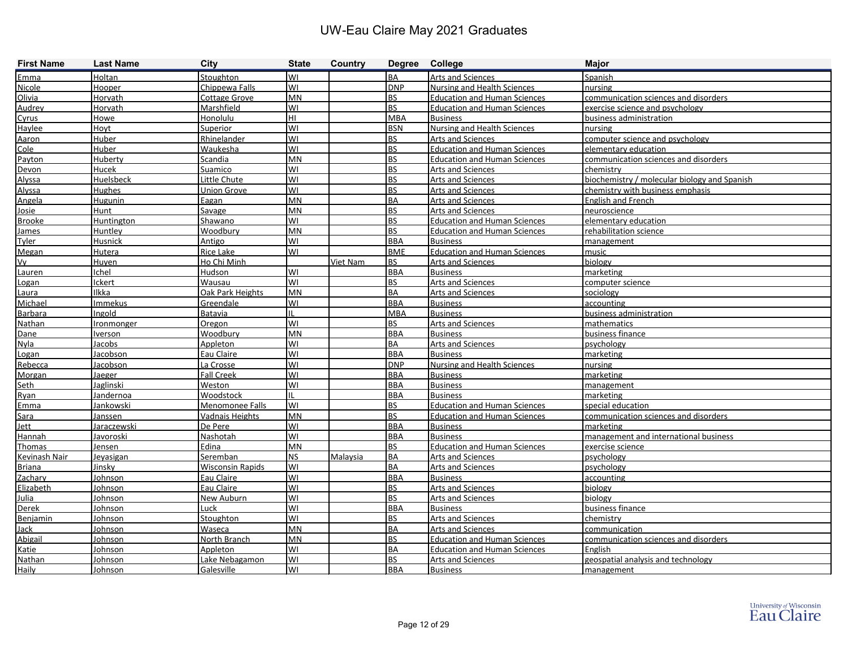| <b>First Name</b> | <b>Last Name</b> | <b>City</b>             | <b>State</b> | Country  | Degree College |                                     | <b>Major</b>                                 |
|-------------------|------------------|-------------------------|--------------|----------|----------------|-------------------------------------|----------------------------------------------|
| Emma              | Holtan           | Stoughton               | lwı          |          | <b>BA</b>      | Arts and Sciences                   | Spanish                                      |
| Nicole            | Hooper           | Chippewa Falls          | lwı          |          | <b>DNP</b>     | <b>Nursing and Health Sciences</b>  | nursing                                      |
| Olivia            | Horvath          | <b>Cottage Grove</b>    | MN           |          | <b>BS</b>      | <b>Education and Human Sciences</b> | communication sciences and disorders         |
| Audrey            | Horvath          | Marshfield              | lwı          |          | <b>BS</b>      | <b>Education and Human Sciences</b> | exercise science and psychology              |
| Cyrus             | Howe             | Honolulu                | HL           |          | <b>MBA</b>     | <b>Business</b>                     | business administration                      |
| Haylee            | Hoyt             | Superior                | lwı          |          | <b>BSN</b>     | <b>Nursing and Health Sciences</b>  | nursing                                      |
| Aaron             | Huber            | Rhinelander             | lwı          |          | <b>BS</b>      | Arts and Sciences                   | computer science and psychology              |
| Cole              | Huber            | Waukesha                | lwı          |          | <b>BS</b>      | <b>Education and Human Sciences</b> | elementary education                         |
| Payton            | Huberty          | Scandia                 | MN           |          | <b>BS</b>      | <b>Education and Human Sciences</b> | communication sciences and disorders         |
| Devon             | Hucek            | Suamico                 | lwı          |          | <b>BS</b>      | Arts and Sciences                   | chemistry                                    |
| Alyssa            | Huelsbeck        | Little Chute            | lwı          |          | <b>BS</b>      | <b>Arts and Sciences</b>            | biochemistry / molecular biology and Spanish |
| Alyssa            | <b>Hughes</b>    | Union Grove             | lwı          |          | <b>BS</b>      | <b>Arts and Sciences</b>            | chemistry with business emphasis             |
| Angela            | <b>Hugunin</b>   | Eagan                   | <b>MN</b>    |          | <b>BA</b>      | <b>Arts and Sciences</b>            | <b>English and French</b>                    |
| Josie             | Hunt             | Savage                  | MN           |          | <b>BS</b>      | Arts and Sciences                   | neuroscience                                 |
| <b>Brooke</b>     | Huntington       | Shawano                 | lwı          |          | <b>BS</b>      | <b>Education and Human Sciences</b> | elementary education                         |
| James             | Huntley          | Woodbury                | <b>MN</b>    |          | <b>BS</b>      | <b>Education and Human Sciences</b> | rehabilitation science                       |
| Tyler             | Husnick          | Antigo                  | lwı          |          | <b>BBA</b>     | <b>Business</b>                     | management                                   |
| Megan             | Hutera           | <b>Rice Lake</b>        | lwı          |          | <b>BME</b>     | <b>Education and Human Sciences</b> | music                                        |
| Vy                | <b>Huyen</b>     | Ho Chi Minh             |              | Viet Nam | <b>BS</b>      | <b>Arts and Sciences</b>            | biology                                      |
| Lauren            | chel             | Hudson                  | lwı          |          | <b>BBA</b>     | <b>Business</b>                     | marketing                                    |
| Logan             | Ickert           | Wausau                  | lwi          |          | <b>BS</b>      | <b>Arts and Sciences</b>            | computer science                             |
| Laura             | <b>Ilkka</b>     | Oak Park Heights        | <b>MN</b>    |          | <b>BA</b>      | <b>Arts and Sciences</b>            | sociology                                    |
| Michael           | Immekus          | Greendale               | lwı          |          | <b>BBA</b>     | <b>Business</b>                     | accounting                                   |
| Barbara           | Ingold           | Batavia                 | Ш            |          | <b>MBA</b>     | <b>Business</b>                     | business administration                      |
| Nathan            | Ironmonger       | Oregon                  | lwı          |          | <b>BS</b>      | Arts and Sciences                   | mathematics                                  |
| Dane              | <b>lverson</b>   | Woodbury                | MN           |          | <b>BBA</b>     | <b>Business</b>                     | business finance                             |
| Nyla              | Jacobs           | Appleton                | lwı          |          | <b>BA</b>      | Arts and Sciences                   | psychology                                   |
| Logan             | Jacobson         | Eau Claire              | lwı          |          | <b>BBA</b>     | <b>Business</b>                     | marketing                                    |
| Rebecca           | Jacobson         | La Crosse               | lwı          |          | <b>DNP</b>     | <b>Nursing and Health Sciences</b>  | nursing                                      |
| Morgan            | Jaeger           | <b>Fall Creek</b>       | WI           |          | <b>BBA</b>     | <b>Business</b>                     | marketing                                    |
| Seth              | Jaglinski        | Weston                  | lwı          |          | <b>BBA</b>     | <b>Business</b>                     | management                                   |
| Ryan              | Jandernoa        | Woodstock               | Iπ           |          | <b>BBA</b>     | <b>Business</b>                     | marketing                                    |
| Emma              | Jankowski        | Menomonee Falls         | lwı          |          | <b>BS</b>      | <b>Education and Human Sciences</b> | special education                            |
| Sara              | Janssen          | <b>Vadnais Heights</b>  | <b>MN</b>    |          | <b>BS</b>      | <b>Education and Human Sciences</b> | communication sciences and disorders         |
| Jett              | Jaraczewski      | De Pere                 | lwı          |          | <b>BBA</b>     | <b>Business</b>                     | marketing                                    |
| Hannah            | <u>Javoroski</u> | Nashotah                | lwı          |          | <b>BBA</b>     | <b>Business</b>                     | management and international business        |
| Thomas            | lensen           | Edina                   | <b>MN</b>    |          | <b>BS</b>      | <b>Education and Human Sciences</b> | exercise science                             |
| Kevinash Nair     | Jevasigan        | Seremban                | <b>NS</b>    | Malaysia | <b>BA</b>      | <b>Arts and Sciences</b>            | psychology                                   |
| <b>Briana</b>     | Jinsky           | <b>Wisconsin Rapids</b> | <b>WI</b>    |          | BA             | <b>Arts and Sciences</b>            | psychology                                   |
| Zachary           | Johnson          | Eau Claire              | <b>WI</b>    |          | <b>BBA</b>     | <b>Business</b>                     | accounting                                   |
| Elizabeth         | <b>Johnson</b>   | Eau Claire              | lwı          |          | <b>BS</b>      | <b>Arts and Sciences</b>            | biology                                      |
| Julia             | Johnson          | New Auburn              | WI           |          | <b>BS</b>      | Arts and Sciences                   | biology                                      |
| Derek             | Johnson          | Luck                    | WI           |          | <b>BBA</b>     | <b>Business</b>                     | business finance                             |
| Benjamin          | Johnson          | Stoughton               | WI           |          | <b>BS</b>      | Arts and Sciences                   | chemistry                                    |
| Jack              | Johnson          | <b>Waseca</b>           | MN           |          | <b>BA</b>      | <b>Arts and Sciences</b>            | communication                                |
| Abigail           | Johnson          | North Branch            | <b>MN</b>    |          | <b>BS</b>      | <b>Education and Human Sciences</b> | communication sciences and disorders         |
| Katie             | Johnson          | Appleton                | WI           |          | <b>BA</b>      | <b>Education and Human Sciences</b> | English                                      |
| Nathan            | Johnson          | Lake Nebagamon          | WI           |          | BS             | Arts and Sciences                   | geospatial analysis and technology           |
| Haily             | <b>Johnson</b>   | Galesville              | WI           |          | <b>BBA</b>     | <b>Business</b>                     | management                                   |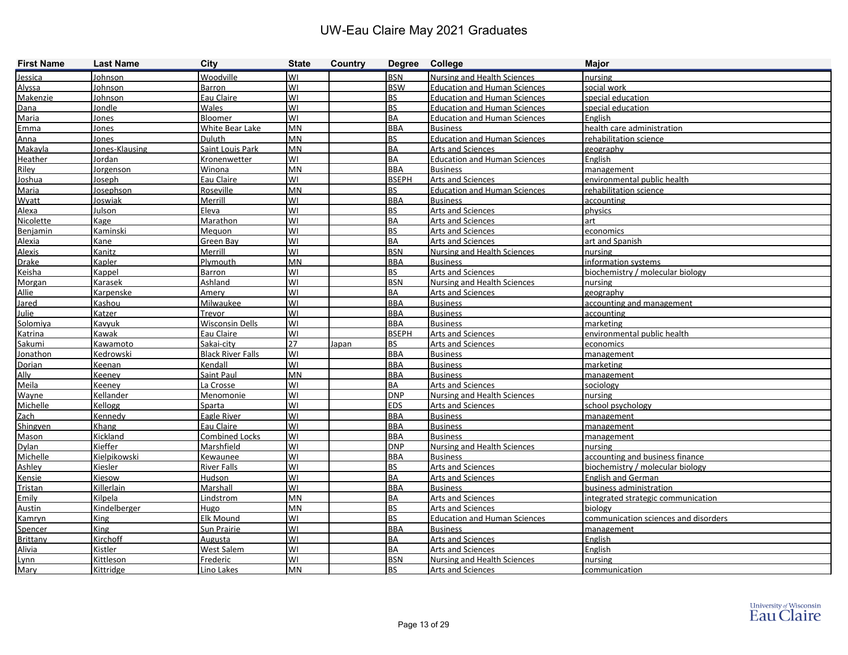| <b>First Name</b> | <b>Last Name</b>    | <b>City</b>              | <b>State</b> | Country | Degree College           |                                     | <b>Major</b>                         |
|-------------------|---------------------|--------------------------|--------------|---------|--------------------------|-------------------------------------|--------------------------------------|
| Jessica           | Johnson             | Woodville                | WI           |         | <b>BSN</b>               | <b>Nursing and Health Sciences</b>  | nursing                              |
| Alyssa            | Johnson             | <b>Barron</b>            | WI           |         | <b>BSW</b>               | <b>Education and Human Sciences</b> | social work                          |
| Makenzie          | Johnson             | Eau Claire               | WI           |         | <b>BS</b>                | <b>Education and Human Sciences</b> | special education                    |
| Dana              | Jondle              | Wales                    | lwı          |         | <b>BS</b>                | <b>Education and Human Sciences</b> | special education                    |
| Maria             | Jones               | Bloomer                  | lwı          |         | <b>BA</b>                | <b>Education and Human Sciences</b> | English                              |
| Emma              | Jones               | White Bear Lake          | <b>MN</b>    |         | <b>BBA</b>               | <b>Business</b>                     | health care administration           |
| Anna              | Jones               | Duluth                   | <b>MN</b>    |         | <b>BS</b>                | <b>Education and Human Sciences</b> | rehabilitation science               |
| Makayla           | Jones-Klausing      | Saint Louis Park         | <b>MN</b>    |         | <b>BA</b>                | Arts and Sciences                   | geography                            |
| Heather           | Jordan              | Kronenwetter             | lwı          |         | <b>BA</b>                | <b>Education and Human Sciences</b> | English                              |
| Riley             | Jorgenson           | Winona                   | <b>MN</b>    |         | <b>BBA</b>               | <b>Business</b>                     | management                           |
| Joshua            | Joseph              | Eau Claire               | WI           |         | <b>BSEPH</b>             | Arts and Sciences                   | environmental public health          |
| Maria             | Josephson           | Roseville                | <b>MN</b>    |         | <b>BS</b>                | <b>Education and Human Sciences</b> | rehabilitation science               |
| Wyatt             | Joswiak             | Merrill                  | lwı          |         | <b>BBA</b>               | <b>Business</b>                     | accounting                           |
| Alexa             | Julson              | Eleva                    | WI           |         | <b>BS</b>                | Arts and Sciences                   | physics                              |
| Nicolette         | <b>Kage</b>         | Marathon                 | WI           |         | <b>BA</b>                | Arts and Sciences                   | art                                  |
| Benjamin          | Kaminski            | Mequon                   | WI           |         | <b>BS</b>                | <b>Arts and Sciences</b>            | economics                            |
| Alexia            | Kane                | Green Bay                | lwı          |         | <b>BA</b>                | Arts and Sciences                   | art and Spanish                      |
| <b>Alexis</b>     | Kanitz              | Merrill                  | WI           |         | <b>BSN</b>               | <b>Nursing and Health Sciences</b>  | nursing                              |
| <b>Drake</b>      | Kapler              | Plymouth                 | MN           |         | <b>BBA</b>               | <b>Business</b>                     | information systems                  |
| Keisha            | Kappel              | Barron                   | WI           |         | <b>BS</b>                | <b>Arts and Sciences</b>            | biochemistry / molecular biology     |
| Morgan            | Karasek             | Ashland                  | lwı          |         | <b>BSN</b>               | <b>Nursing and Health Sciences</b>  | nursing                              |
| Allie             | Karpenske           | Amery                    | lwı          |         | <b>BA</b>                | <b>Arts and Sciences</b>            | geography                            |
| Jared             | Kashou              | <b>Milwaukee</b>         | WI           |         | <b>BBA</b>               | <b>Business</b>                     | accounting and management            |
| Julie             | Katzer              | Trevor                   | WI           |         | <b>BBA</b>               | <b>Business</b>                     | accounting                           |
| Solomiya          | Kavyuk              | <b>Wisconsin Dells</b>   | lwı          |         | <b>BBA</b>               | <b>Business</b>                     | marketing                            |
| Katrina           | Kawak               | Eau Claire               | lwı          |         | <b>BSEPH</b>             | <b>Arts and Sciences</b>            | environmental public health          |
| Sakumi            | Kawamoto            | Sakai-city               | 27           | Japan   | <b>BS</b>                | Arts and Sciences                   | economics                            |
| Jonathon          | Kedrowski           | <b>Black River Falls</b> | lwı          |         | <b>BBA</b>               | <b>Business</b>                     | management                           |
| Dorian            | Keenan              | Kendall                  | lwı          |         | <b>BBA</b>               | <b>Business</b>                     | marketing                            |
| Ally              | Keeney              | Saint Paul               | <b>MN</b>    |         | <b>BBA</b>               | <b>Business</b>                     | management                           |
| Meila             | Keeney              | La Crosse                | WI           |         | <b>BA</b>                | Arts and Sciences                   | sociology                            |
| Wayne             | Kellander           | Menomonie                | WI           |         | <b>DNP</b>               | <b>Nursing and Health Sciences</b>  | nursing                              |
| Michelle          | Kellogg             | Sparta                   | lwı          |         | <b>EDS</b>               | <b>Arts and Sciences</b>            | school psychology                    |
| Zach              | Kennedy             | Eagle River              | lwı          |         | <b>BBA</b>               | <b>Business</b>                     | management                           |
| Shingyen          | Khang               | Eau Claire               | lwı          |         | <b>BBA</b>               | <b>Business</b>                     | management                           |
| Mason             | Kickland            | <b>Combined Locks</b>    | lwı          |         | <b>BBA</b>               | <b>Business</b>                     | management                           |
| <b>Dylan</b>      | Kieffer             | Marshfield               | lwı          |         | <b>DNP</b>               | <b>Nursing and Health Sciences</b>  | nursing                              |
| Michelle          | Kielpikowski        | Kewaunee                 | lwı          |         | <b>BBA</b>               | <b>Business</b>                     | accounting and business finance      |
| Ashley            | Kiesler             | <b>River Falls</b>       | WI           |         | <b>BS</b>                | <b>Arts and Sciences</b>            | biochemistry / molecular biology     |
| Kensie            | Kiesow              | Hudson                   | lwı          |         | BA                       | <b>Arts and Sciences</b>            | English and German                   |
| Tristan           | Killerlain          | Marshall                 | lwı          |         | <b>BBA</b>               | <b>Business</b>                     | business administration              |
| Emily             | Kilpela             | Lindstrom                | MN           |         | <b>BA</b>                | Arts and Sciences                   | integrated strategic communication   |
| Austin            | <b>Kindelberger</b> | Hugo                     | MN           |         | $\overline{\mathsf{BS}}$ | Arts and Sciences                   | biology                              |
| Kamryn            | King                | Elk Mound                | lwı          |         | <b>BS</b>                | <b>Education and Human Sciences</b> | communication sciences and disorders |
| Spencer           | King                | Sun Prairie              | lwı          |         | <b>BBA</b>               | <b>Business</b>                     | management                           |
| <b>Brittany</b>   | Kirchoff            | Augusta                  | lwı          |         | <b>BA</b>                | <b>Arts and Sciences</b>            | English                              |
| Alivia            | Kistler             | West Salem               | lwı          |         | <b>BA</b>                | Arts and Sciences                   | English                              |
| Lynn              | <b>Kittleson</b>    | Frederic                 | lwı          |         | <b>BSN</b>               | <b>Nursing and Health Sciences</b>  | nursing                              |
| Mary              | Kittridge           | Lino Lakes               | MN           |         | <b>BS</b>                | <b>Arts and Sciences</b>            | communication                        |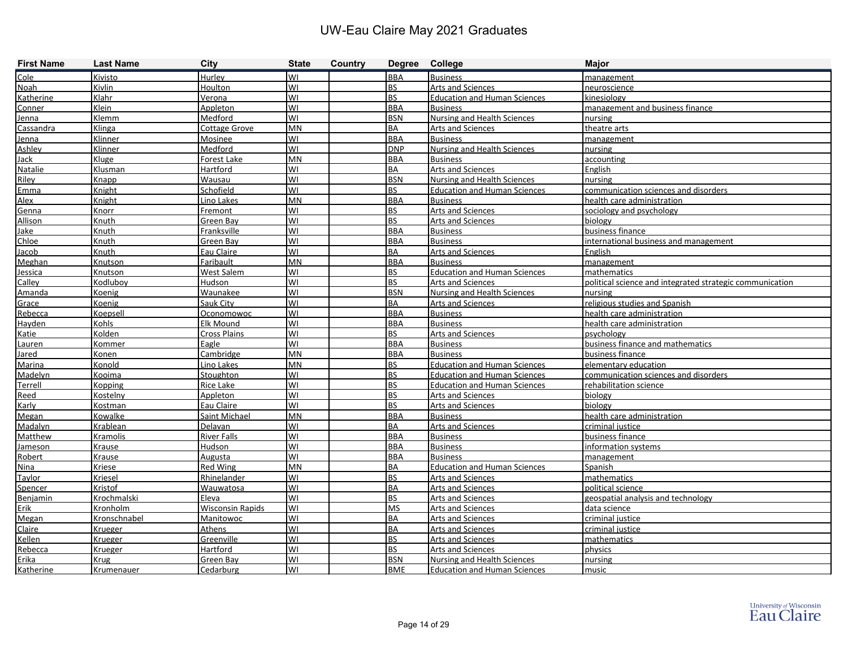| <b>First Name</b> | <b>Last Name</b> | City                    | <b>State</b> | Country | Degree College |                                     | <b>Major</b>                                             |
|-------------------|------------------|-------------------------|--------------|---------|----------------|-------------------------------------|----------------------------------------------------------|
| Cole              | Kivisto          | Hurlev                  | WI           |         | <b>BBA</b>     | <b>Business</b>                     | management                                               |
| Noah              | Kivlin           | Houlton                 | WI           |         | <b>BS</b>      | Arts and Sciences                   | neuroscience                                             |
| Katherine         | Klahr            | <b>Verona</b>           | WI           |         | BS             | <b>Education and Human Sciences</b> | <b>kinesiology</b>                                       |
| Conner            | Klein            | Appleton                | WI           |         | <b>BBA</b>     | <b>Business</b>                     | management and business finance                          |
| Jenna             | Klemm            | Medford                 | WI           |         | <b>BSN</b>     | Nursing and Health Sciences         | nursing                                                  |
| Cassandra         | Klinga           | Cottage Grove           | <b>MN</b>    |         | ВA             | Arts and Sciences                   | theatre arts                                             |
| Jenna             | Klinner          | Mosinee                 | WI           |         | <b>BBA</b>     | <b>Business</b>                     | management                                               |
| Ashley            | Klinner          | Medford                 | WI           |         | <b>DNP</b>     | <b>Nursing and Health Sciences</b>  | nursing                                                  |
| Jack              | Kluge            | Forest Lake             | <b>MN</b>    |         | <b>BBA</b>     | <b>Business</b>                     | accounting                                               |
| Natalie           | Klusman          | Hartford                | WI           |         | ВA             | Arts and Sciences                   | English                                                  |
| Riley             | Knapp            | Wausau                  | WI           |         | <b>BSN</b>     | <b>Nursing and Health Sciences</b>  | nursing                                                  |
| Emma              | Knight           | Schofield               | WI           |         | BS.            | <b>Education and Human Sciences</b> | communication sciences and disorders                     |
| <b>Alex</b>       | Knight           | Lino Lakes              | <b>MN</b>    |         | <b>BBA</b>     | <b>Business</b>                     | health care administration                               |
| Genna             | Knorr            | Fremont                 | WI           |         | <b>BS</b>      | Arts and Sciences                   | sociology and psychology                                 |
| Allison           | Knuth            | Green Bay               | WI           |         | BS.            | Arts and Sciences                   | biology                                                  |
| Jake              | Knuth            | Franksville             | WI           |         | <b>BBA</b>     | <b>Business</b>                     | business finance                                         |
| Chloe             | Knuth            | Green Bay               | WI           |         | <b>BBA</b>     | <b>Business</b>                     | international business and management                    |
| Jacob             | Knuth            | Eau Claire              | WI           |         | ВA             | Arts and Sciences                   | English                                                  |
| Meghan            | Knutson          | Faribault               | MN           |         | <b>BBA</b>     | <b>Business</b>                     | management                                               |
| Jessica           | Knutson          | West Salem              | WI           |         | BS.            | <b>Education and Human Sciences</b> | mathematics                                              |
| Calley            | Kodluboy         | Hudson                  | WI           |         | <b>BS</b>      | <b>Arts and Sciences</b>            | political science and integrated strategic communication |
| Amanda            | Koenig           | Waunakee                | WI           |         | <b>BSN</b>     | <b>Nursing and Health Sciences</b>  | nursing                                                  |
| Grace             | Koenig           | Sauk City               | WI           |         | ВA             | Arts and Sciences                   | religious studies and Spanish                            |
| Rebecca           | Koepsell         | Oconomowoc              | WI           |         | <b>BBA</b>     | <b>Business</b>                     | health care administration                               |
| Hayden            | <b>Kohls</b>     | Elk Mound               | WI           |         | <b>BBA</b>     | <b>Business</b>                     | health care administration                               |
| Katie             | Kolden           | Cross Plains            | WI           |         | BS.            | Arts and Sciences                   | psychology                                               |
| Lauren            | Kommer           | Eagle                   | WI           |         | <b>BBA</b>     | <b>Business</b>                     | business finance and mathematics                         |
| <b>Jared</b>      | Konen            | Cambridge               | MN           |         | <b>BBA</b>     | <b>Business</b>                     | business finance                                         |
| Marina            | Konold           | Lino Lakes              | MN           |         | BS             | <b>Education and Human Sciences</b> | elementary education                                     |
| Madelyn           | Kooima           | Stoughton               | WI           |         | BS             | <b>Education and Human Sciences</b> | communication sciences and disorders                     |
| <b>Terrell</b>    | Kopping          | Rice Lake               | WI           |         | <b>BS</b>      | <b>Education and Human Sciences</b> | rehabilitation science                                   |
| Reed              | Kostelny         | Appleton                | WI           |         | BS             | <b>Arts and Sciences</b>            | biology                                                  |
| Karly             | Kostman          | Eau Claire              | WI           |         | BS.            | <b>Arts and Sciences</b>            | biology                                                  |
| Megan             | Kowalke          | <b>Saint Michael</b>    | <b>MN</b>    |         | <b>BBA</b>     | <b>Business</b>                     | health care administration                               |
| Madalyn           | Krablean         | Delavan                 | WI           |         | ВA             | Arts and Sciences                   | criminal justice                                         |
| Matthew           | Kramolis         | <b>River Falls</b>      | WI           |         | <b>BBA</b>     | <b>Business</b>                     | business finance                                         |
| Jameson           | Krause           | <b>Hudson</b>           | WI           |         | <b>BBA</b>     | <b>Business</b>                     | information systems                                      |
| Robert            | Krause           | <b>Augusta</b>          | WI           |         | <b>BBA</b>     | <b>Business</b>                     | management                                               |
| <b>Nina</b>       | Kriese           | Red Wing                | MN           |         | <b>BA</b>      | <b>Education and Human Sciences</b> | Spanish                                                  |
| Taylor            | Kriesel          | Rhinelander             | WI           |         | <b>BS</b>      | <b>Arts and Sciences</b>            | <b>Imathematics</b>                                      |
| Spencer           | Kristof          | <b>Wauwatosa</b>        | WI           |         | BA             | <b>Arts and Sciences</b>            | political science                                        |
| Benjamin          | Krochmalski      | Eleva                   | WI           |         | BS.            | <b>Arts and Sciences</b>            | geospatial analysis and technology                       |
| Erik              | Kronholm         | <b>Wisconsin Rapids</b> | lwı          |         | <b>MS</b>      | Arts and Sciences                   | data science                                             |
| Megan             | Kronschnabel     | <b>Manitowoc</b>        | WI           |         | ВA             | <b>Arts and Sciences</b>            | criminal justice                                         |
| Claire            | Krueger          | <b>Athens</b>           | WI           |         | ВA             | <b>Arts and Sciences</b>            | criminal justice                                         |
| Kellen            | Krueger          | Greenville              | WI           |         | <b>BS</b>      | <b>Arts and Sciences</b>            | mathematics                                              |
| Rebecca           | Krueger          | <b>Hartford</b>         | lwı          |         | <b>BS</b>      | <b>Arts and Sciences</b>            | physics                                                  |
| Erika             | Krug             | <b>Green Bay</b>        | WI           |         | <b>BSN</b>     | <b>Nursing and Health Sciences</b>  | nursing                                                  |
| Katherine         | Krumenauer       | Cedarburg               | lwı          |         | <b>BME</b>     | <b>Education and Human Sciences</b> | music                                                    |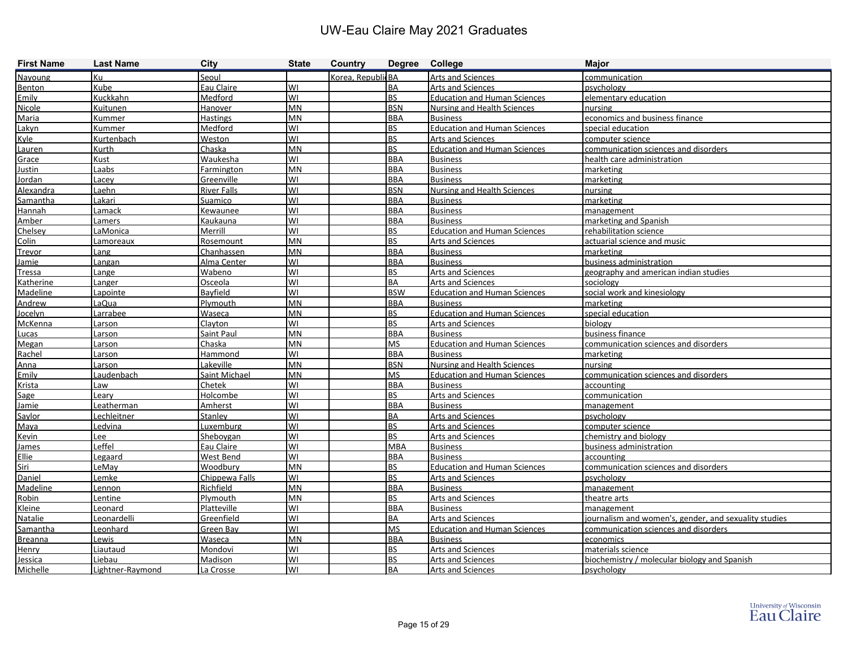| <b>First Name</b> | <b>Last Name</b> | <b>City</b>        | <b>State</b> | <b>Country</b>    | Degree College |                                     | <b>Major</b>                                          |
|-------------------|------------------|--------------------|--------------|-------------------|----------------|-------------------------------------|-------------------------------------------------------|
| Navoung           | Кu               | Seoul              |              | Korea, RepublicBA |                | Arts and Sciences                   | communication                                         |
| Benton            | Kube             | Eau Claire         | lwı          |                   | <b>BA</b>      | Arts and Sciences                   | psychology                                            |
| Emily             | Kuckkahn         | Medford            | lwı          |                   | <b>BS</b>      | <b>Education and Human Sciences</b> | elementary education                                  |
| Nicole            | Kuitunen         | <b>Hanover</b>     | MN           |                   | <b>BSN</b>     | <b>Nursing and Health Sciences</b>  | nursing                                               |
| Maria             | Kummer           | <b>Hastings</b>    | MN           |                   | <b>BBA</b>     | <b>Business</b>                     | economics and business finance                        |
| Lakyn             | Kummer           | Medford            | WI           |                   | <b>BS</b>      | <b>Education and Human Sciences</b> | special education                                     |
| Kyle              | Kurtenbach       | Weston             | lwı          |                   | <b>BS</b>      | Arts and Sciences                   | computer science                                      |
| Lauren            | Kurth            | Chaska             | <b>MN</b>    |                   | <b>BS</b>      | <b>Education and Human Sciences</b> | communication sciences and disorders                  |
| Grace             | Kust             | Waukesha           | lwı          |                   | <b>BBA</b>     | <b>Business</b>                     | health care administration                            |
| <b>Justin</b>     | Laabs            | Farmington         | MN           |                   | <b>BBA</b>     | <b>Business</b>                     | marketing                                             |
| Jordan            | Lacey            | Greenville         | lwı          |                   | <b>BBA</b>     | <b>Business</b>                     | marketing                                             |
| Alexandra         | Laehn            | <b>River Falls</b> | lwı          |                   | <b>BSN</b>     | <b>Nursing and Health Sciences</b>  | nursing                                               |
| Samantha          | Lakari           | Suamico            | lwı          |                   | <b>BBA</b>     | <b>Business</b>                     | marketing                                             |
| Hannah            | Lamack           | Kewaunee           | lwı          |                   | <b>BBA</b>     | <b>Business</b>                     | management                                            |
| Amber             | Lamers           | Kaukauna           | lwı          |                   | <b>BBA</b>     | <b>Business</b>                     | marketing and Spanish                                 |
| Chelsey           | LaMonica         | Merrill            | lwı          |                   | <b>BS</b>      | <b>Education and Human Sciences</b> | rehabilitation science                                |
| Colin             | Lamoreaux        | Rosemount          | MN           |                   | <b>BS</b>      | Arts and Sciences                   | actuarial science and music                           |
| <b>Trevor</b>     | Lang             | Chanhassen         | MN           |                   | <b>BBA</b>     | <b>Business</b>                     | marketing                                             |
| Jamie             | Langan           | Alma Center        | lwı          |                   | <b>BBA</b>     | <b>Business</b>                     | business administration                               |
| <b>Tressa</b>     | Lange            | Wabeno             | lwı          |                   | <b>BS</b>      | <b>Arts and Sciences</b>            | geography and american indian studies                 |
| Katherine         | Langer           | Osceola            | lwı          |                   | <b>BA</b>      | Arts and Sciences                   | sociology                                             |
| Madeline          | Lapointe         | Bayfield           | lwı          |                   | <b>BSW</b>     | <b>Education and Human Sciences</b> | social work and kinesiology                           |
| Andrew            | LaQua            | Plymouth           | <b>MN</b>    |                   | <b>BBA</b>     | <b>Business</b>                     | marketing                                             |
| Jocelyn           | Larrabee         | Waseca             | MN           |                   | <b>BS</b>      | <b>Education and Human Sciences</b> | special education                                     |
| <b>McKenna</b>    | Larson           | Clayton            | lwı          |                   | <b>BS</b>      | Arts and Sciences                   | biology                                               |
| Lucas             | Larson           | Saint Paul         | MN           |                   | <b>BBA</b>     | <b>Business</b>                     | business finance                                      |
| Megan             | Larson           | Chaska             | <b>MN</b>    |                   | <b>MS</b>      | <b>Education and Human Sciences</b> | communication sciences and disorders                  |
| Rachel            | Larson           | Hammond            | WI           |                   | <b>BBA</b>     | <b>Business</b>                     | marketing                                             |
| Anna              | Larson           | Lakeville          | MN           |                   | <b>BSN</b>     | <b>Nursing and Health Sciences</b>  | nursing                                               |
| Emily             | Laudenbach       | Saint Michael      | MN           |                   | <b>MS</b>      | <b>Education and Human Sciences</b> | communication sciences and disorders                  |
| Krista            | Law              | Chetek             | lwı          |                   | <b>BBA</b>     | <b>Business</b>                     | accounting                                            |
| Sage              | Leary            | Holcombe           | lwı          |                   | <b>BS</b>      | <b>Arts and Sciences</b>            | communication                                         |
| Jamie             | Leatherman       | Amherst            | lwı          |                   | <b>BBA</b>     | <b>Business</b>                     | management                                            |
| Saylor            | Lechleitner      | Stanley            | lwı          |                   | <b>BA</b>      | Arts and Sciences                   | psychology                                            |
| Maya              | Ledvina          | Luxemburg          | lwı          |                   | <b>BS</b>      | Arts and Sciences                   | computer science                                      |
| <b>Kevin</b>      | Lee              | Sheboygan          | lwı          |                   | <b>BS</b>      | <b>Arts and Sciences</b>            | chemistry and biology                                 |
| <b>James</b>      | Leffel           | Eau Claire         | lwı          |                   | <b>MBA</b>     | <b>Business</b>                     | business administration                               |
| Ellie             | Legaard          | West Bend          | lwı          |                   | <b>BBA</b>     | <b>Business</b>                     | accounting                                            |
| <b>Siri</b>       | LeMay            | Woodbury           | <b>MN</b>    |                   | <u>IBS</u>     | <b>Education and Human Sciences</b> | communication sciences and disorders                  |
| Daniel            | Lemke            | Chippewa Falls     | WI           |                   | <b>BS</b>      | <b>Arts and Sciences</b>            | psychology                                            |
| Madeline          | Lennon           | Richfield          | MN           |                   | <b>BBA</b>     | <b>Business</b>                     | management                                            |
| Robin             | Lentine          | Plymouth           | MN           |                   | <b>BS</b>      | <b>Arts and Sciences</b>            | theatre arts                                          |
| Kleine            | Leonard          | Platteville        | lwı          |                   | <b>BBA</b>     | <b>Business</b>                     | management                                            |
| Natalie           | Leonardelli      | Greenfield         | lwı          |                   | <b>BA</b>      | <b>Arts and Sciences</b>            | journalism and women's, gender, and sexuality studies |
| Samantha          | Leonhard         | Green Bay          | lwı          |                   | <b>MS</b>      | <b>Education and Human Sciences</b> | communication sciences and disorders                  |
| <b>Breanna</b>    | Lewis            | Waseca             | MN           |                   | <b>BBA</b>     | <b>Business</b>                     | economics                                             |
| Henry             | Liautaud         | Mondovi            | WI           |                   | <b>BS</b>      | <b>Arts and Sciences</b>            | materials science                                     |
| Jessica           | Liebau           | Madison            | WI           |                   | <b>BS</b>      | <b>Arts and Sciences</b>            | biochemistry / molecular biology and Spanish          |
| Michelle          | Lightner-Raymond | La Crosse          | WI           |                   | BA             | Arts and Sciences                   | psychology                                            |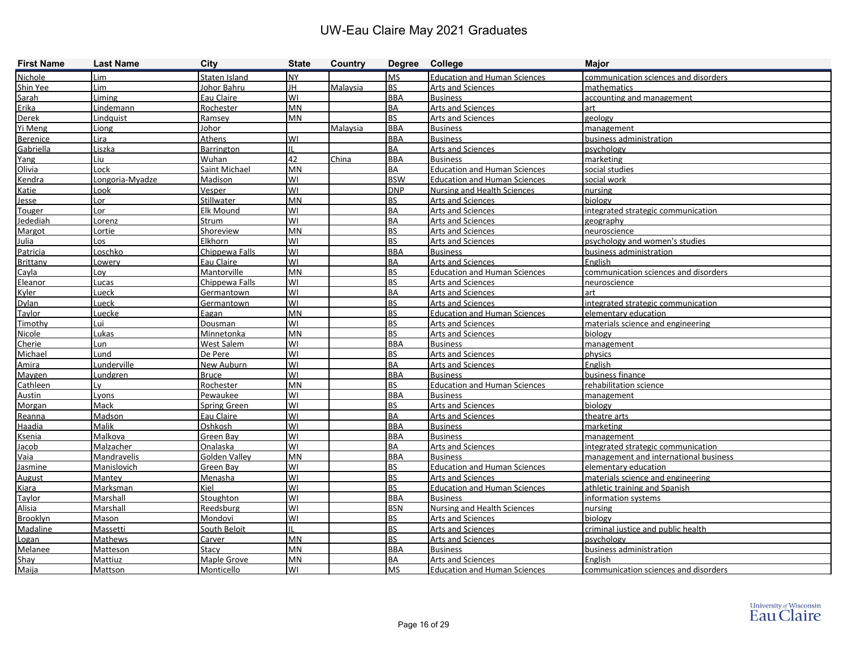| <b>First Name</b> | <b>Last Name</b> | City                 | <b>State</b>           | Country  | Degree College          |                                      | <b>Major</b>                          |
|-------------------|------------------|----------------------|------------------------|----------|-------------------------|--------------------------------------|---------------------------------------|
| Nichole           | Lim              | Staten Island        | <b>NY</b>              |          | <b>MS</b>               | <b>Education and Human Sciences</b>  | communication sciences and disorders  |
| Shin Yee          | Lim              | Johor Bahru          | JH                     | Malaysia | <b>BS</b>               | Arts and Sciences                    | mathematics                           |
| Sarah             | <b>Liming</b>    | Eau Claire           | lwı                    |          | <b>BBA</b>              | <b>Business</b>                      | accounting and management             |
| Erika             | Lindemann        | Rochester            | <b>MN</b>              |          | BA                      | <b>Arts and Sciences</b>             | art                                   |
| <b>Derek</b>      | Lindquist        | Ramsey               | <b>MN</b>              |          | <b>BS</b>               | <b>Arts and Sciences</b>             | geology                               |
| Yi Meng           | Liong            | Johor                |                        | Malaysia | <b>BBA</b>              | <b>Business</b>                      | management                            |
| <b>Berenice</b>   | Lira             | Athens               | lwı                    |          | <b>BBA</b>              | <b>Business</b>                      | business administration               |
| Gabriella         | Liszka           | <b>Barrington</b>    | Ш                      |          | BA                      | Arts and Sciences                    | psychology                            |
| Yang              | Liu              | Wuhan                | 42                     | China    | <b>BBA</b>              | <b>Business</b>                      | marketing                             |
| Olivia            | Lock             | Saint Michael        | MN                     |          | BA                      | <b>Education and Human Sciences</b>  | social studies                        |
| Kendra            | Longoria-Myadze  | Madison              | WI                     |          | <b>BSW</b>              | <b>Education and Human Sciences</b>  | social work                           |
| <b>Katie</b>      | Look             | <u>Vesper</u>        | WI                     |          | <b>DNP</b>              | <b>Nursing and Health Sciences</b>   | nursing                               |
| <u>Jesse</u>      | Lor              | <b>Stillwater</b>    | MN                     |          | BS                      | <b>Arts and Sciences</b>             | biology                               |
| <b>Touger</b>     | Lor              | Elk Mound            | WI                     |          | BA                      | <b>Arts and Sciences</b>             | integrated strategic communication    |
| <b>Jedediah</b>   | Lorenz           | <b>Strum</b>         | lwı                    |          | BA                      | <b>Arts and Sciences</b>             | geography                             |
| Margot            | Lortie           | Shoreview            | MN                     |          | <b>BS</b>               | Arts and Sciences                    | neuroscience                          |
| Julia             | Los              | Elkhorn              | WI                     |          | BS                      | <b>Arts and Sciences</b>             | psychology and women's studies        |
| Patricia          | Loschko          | Chippewa Falls       | lwı                    |          | <b>BBA</b>              | <b>Business</b>                      | business administration               |
| <b>Brittany</b>   | Lowery           | Eau Claire           | lwı                    |          | BA                      | <b>Arts and Sciences</b>             | English                               |
| Cayla             | Lov              | <b>Mantorville</b>   | <b>MN</b>              |          | <b>BS</b>               | <b>Education and Human Sciences</b>  | communication sciences and disorders  |
| Eleanor           | Lucas            | Chippewa Falls       | lwı                    |          | <b>BS</b>               | <b>Arts and Sciences</b>             | <u>neuroscience</u>                   |
| Kvler             | Lueck            | Germantown           | lwı                    |          | BA                      | <b>Arts and Sciences</b>             | art                                   |
| <b>Dylan</b>      | Lueck            | Germantown           | <b>WI</b>              |          | <b>BS</b>               | Arts and Sciences                    | integrated strategic communication    |
| <b>Taylor</b>     | Luecke           | Eagan                | MN                     |          | <b>BS</b>               | <b>Education and Human Sciences</b>  | elementary education                  |
| Timothy           | Lui              | Dousman              | lwı                    |          | <b>BS</b>               | <b>Arts and Sciences</b>             | materials science and engineering     |
| Nicole            | Lukas            | Minnetonka           | <b>MN</b>              |          | <b>BS</b>               | <b>Arts and Sciences</b>             | biology                               |
| Cherie            | Lun              | West Salem           | lwı                    |          | <b>BBA</b>              | <b>Business</b>                      | management                            |
| Michael           | Lund             | De Pere              | WI                     |          | <b>BS</b>               | <b>Arts and Sciences</b>             | physics                               |
| Amira             | Lunderville      | New Auburn           | WI                     |          | BA                      | <b>Arts and Sciences</b>             | English                               |
| Maygen            | Lundgren         | <b>Bruce</b>         | lwı                    |          | <b>BBA</b>              | <b>Business</b>                      | business finance                      |
| Cathleen          | Lv               | Rochester            | <b>MN</b>              |          | BS                      | <b>Education and Human Sciences</b>  | rehabilitation science                |
| <b>Austin</b>     | Lyons            | Pewaukee             | lwı                    |          | <b>BBA</b>              | <b>Business</b>                      | management                            |
| Morgan            | Mack             | <b>Spring Green</b>  | lwı                    |          | BS                      | Arts and Sciences                    | biology                               |
| Reanna            | Madson           | Eau Claire           | lwı                    |          | <b>BA</b>               | <b>Arts and Sciences</b>             | theatre arts                          |
| Haadia            | Malik            | Oshkosh              | lwı                    |          | <b>BBA</b>              | <b>Business</b>                      | marketing                             |
| <b>Ksenia</b>     | Malkova          | Green Bay            | lwı                    |          | <b>BBA</b>              | <b>Business</b>                      | management                            |
| Jacob             | Malzacher        | Onalaska             | lwı                    |          | BA                      | <b>Arts and Sciences</b>             | integrated strategic communication    |
| Vaia              | Mandravelis      | <b>Golden Valley</b> | <b>MN</b>              |          | <b>BBA</b>              | <b>Business</b>                      | management and international business |
| Jasmine           | Manislovich      | Green Bay            | WI                     |          | <b>BS</b>               | <b>Education and Human Sciences</b>  | elementary education                  |
| <b>August</b>     | Mantey           | Menasha              | lwı                    |          | <b>BS</b>               | <b>Arts and Sciences</b>             | materials science and engineering     |
| Kiara             | Marksman         | Kiel                 | lwı                    |          | <b>BS</b>               | <b>Education and Human Sciences</b>  | athletic training and Spanish         |
| <b>Taylor</b>     | Marshall         | <b>Stoughton</b>     | WI                     |          | <b>BBA</b>              | <b>Business</b>                      | information systems                   |
| Alisia            | Marshall         | Reedsburg            | lwı                    |          | <b>BSN</b>              | <b>Nursing and Health Sciences</b>   | nursing                               |
| <b>Brooklyn</b>   | Mason            | Mondovi              | lwı                    |          | <b>BS</b><br><b>BS</b>  | Arts and Sciences                    | biology                               |
| Madaline          | Massetti         | South Beloit         | IL                     |          |                         | <b>Arts and Sciences</b>             | criminal justice and public health    |
| Logan             | <b>Mathews</b>   | <b>Carver</b>        | <b>MN</b><br><b>MN</b> |          | <b>BS</b><br><b>BBA</b> | <b>Arts and Sciences</b>             | psychology                            |
| Melanee           | Matteson         | Stacy                |                        |          | BA                      | <b>Business</b><br>Arts and Sciences | business administration               |
| Shay              | Mattiuz          | Maple Grove          | <b>MN</b>              |          |                         |                                      | English                               |
| Maija             | Mattson          | Monticello           | WI                     |          | <b>MS</b>               | <b>Education and Human Sciences</b>  | communication sciences and disorders  |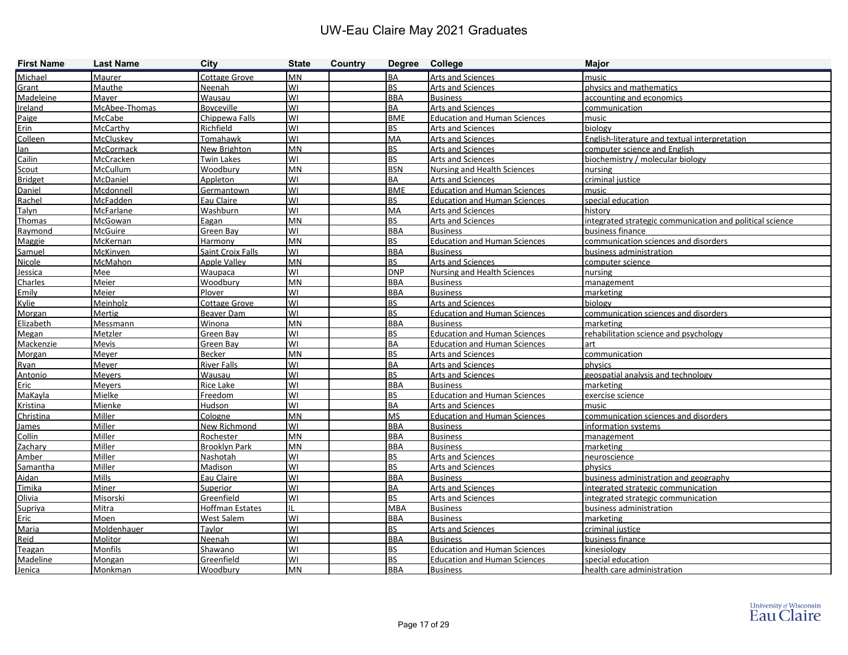| <b>First Name</b> | <b>Last Name</b> | <b>City</b>            | <b>State</b> | Country |            | Degree College                      | <b>Major</b>                                             |
|-------------------|------------------|------------------------|--------------|---------|------------|-------------------------------------|----------------------------------------------------------|
| Michael           | Maurer           | <b>Cottage Grove</b>   | IMN.         |         | <b>BA</b>  | <b>Arts and Sciences</b>            | music                                                    |
| Grant             | Mauthe           | Neenah                 | lwı          |         | <b>BS</b>  | Arts and Sciences                   | physics and mathematics                                  |
| Madeleine         | <b>Mayer</b>     | <b>Wausau</b>          | lwı          |         | <b>BBA</b> | <b>Business</b>                     | accounting and economics                                 |
| Ireland           | McAbee-Thomas    | <b>Boyceville</b>      | lwı          |         | <b>BA</b>  | <b>Arts and Sciences</b>            | communication                                            |
| Paige             | McCabe           | Chippewa Falls         | lwı          |         | <b>BME</b> | <b>Education and Human Sciences</b> | music                                                    |
| Erin              | McCarthy         | Richfield              | lwı          |         | <b>BS</b>  | Arts and Sciences                   | biology                                                  |
| Colleen           | McCluskey        | Tomahawk               | WI           |         | <b>MA</b>  | <b>Arts and Sciences</b>            | English-literature and textual interpretation            |
| lan               | McCormack        | New Brighton           | <b>MN</b>    |         | <b>BS</b>  | <b>Arts and Sciences</b>            | computer science and English                             |
| Cailin            | McCracken        | <b>Twin Lakes</b>      | lwı          |         | <b>BS</b>  | <b>Arts and Sciences</b>            | biochemistry / molecular biology                         |
| Scout             | McCullum         | Woodbury               | <b>MN</b>    |         | <b>BSN</b> | <b>Nursing and Health Sciences</b>  | nursing                                                  |
| <b>Bridget</b>    | McDaniel         | Appleton               | lwı          |         | <b>BA</b>  | <b>Arts and Sciences</b>            | criminal justice                                         |
| Daniel            | Mcdonnell        | Germantown             | WI           |         | <b>BME</b> | <b>Education and Human Sciences</b> | music                                                    |
| Rachel            | <b>McFadden</b>  | Eau Claire             | lwı          |         | <b>BS</b>  | <b>Education and Human Sciences</b> | special education                                        |
| Talyn             | McFarlane        | Washburn               | lwı          |         | <b>MA</b>  | Arts and Sciences                   | history                                                  |
| Thomas            | McGowan          | Eagan                  | <b>MN</b>    |         | <b>BS</b>  | <b>Arts and Sciences</b>            | integrated strategic communication and political science |
| Raymond           | McGuire          | Green Bay              | lwı          |         | <b>BBA</b> | <b>Business</b>                     | business finance                                         |
| Maggie            | McKernan         | Harmony                | <b>MN</b>    |         | <b>BS</b>  | <b>Education and Human Sciences</b> | communication sciences and disorders                     |
| Samuel            | McKinven         | Saint Croix Falls      | lwı          |         | <b>BBA</b> | <b>Business</b>                     | business administration                                  |
| Nicole            | McMahon          | <b>Apple Valley</b>    | MN           |         | <b>BS</b>  | Arts and Sciences                   | computer science                                         |
| Jessica           | <b>Mee</b>       | Waupaca                | WI           |         | <b>DNP</b> | <b>Nursing and Health Sciences</b>  | nursing                                                  |
| Charles           | <b>Meier</b>     | Woodbury               | <b>MN</b>    |         | <b>BBA</b> | <b>Business</b>                     | management                                               |
| Emily             | Meier            | Plover                 | lwı          |         | <b>BBA</b> | <b>Business</b>                     | marketing                                                |
| Kylie             | Meinholz         | <b>Cottage Grove</b>   | lwı          |         | <b>BS</b>  | <b>Arts and Sciences</b>            | biology                                                  |
| Morgan            | Mertig           | Beaver Dam             | WI           |         | <b>BS</b>  | <b>Education and Human Sciences</b> | communication sciences and disorders                     |
| Elizabeth         | Messmann         | Winona                 | <b>MN</b>    |         | <b>BBA</b> | <b>Business</b>                     | marketing                                                |
| Megan             | Metzler          | Green Bay              | WI           |         | <b>BS</b>  | <b>Education and Human Sciences</b> | rehabilitation science and psychology                    |
| Mackenzie         | Mevis            | Green Bay              | WI           |         | <b>BA</b>  | <b>Education and Human Sciences</b> | art                                                      |
| Morgan            | <b>Meyer</b>     | Becker                 | <b>MN</b>    |         | <b>BS</b>  | <b>Arts and Sciences</b>            | communication                                            |
| <b>Ryan</b>       | Meyer            | <b>River Falls</b>     | WI           |         | <b>BA</b>  | <b>Arts and Sciences</b>            | physics                                                  |
| Antonio           | <b>Meyers</b>    | Wausau                 | lwı          |         | <b>BS</b>  | <b>Arts and Sciences</b>            | geospatial analysis and technology                       |
| Eric              | <b>Meyers</b>    | Rice Lake              | lwı          |         | <b>BBA</b> | <b>Business</b>                     | marketing                                                |
| MaKayla           | Mielke           | Freedom                | WI           |         | <b>BS</b>  | <b>Education and Human Sciences</b> | exercise science                                         |
| Kristina          | Mienke           | Hudson                 | lwı          |         | <b>BA</b>  | <b>Arts and Sciences</b>            | music                                                    |
| Christina         | Miller           | Cologne                | <b>MN</b>    |         | <b>MS</b>  | <b>Education and Human Sciences</b> | communication sciences and disorders                     |
| James             | Miller           | New Richmond           | lwı          |         | <b>BBA</b> | <b>Business</b>                     | information systems                                      |
| <b>Collin</b>     | Miller           | Rochester              | MN           |         | <b>BBA</b> | <b>Business</b>                     | management                                               |
| Zachary           | Miller           | <b>Brooklyn Park</b>   | <b>MN</b>    |         | <b>BBA</b> | <b>Business</b>                     | marketing                                                |
| Amber             | Miller           | <b>Nashotah</b>        | lwı          |         | <b>BS</b>  | <b>Arts and Sciences</b>            | neuroscience                                             |
| Samantha          | Miller           | Madison                | WI           |         | <b>BS</b>  | <b>Arts and Sciences</b>            | physics                                                  |
| Aidan             | Mills            | Eau Claire             | lwı          |         | <b>BBA</b> | <b>Business</b>                     | business administration and geography                    |
| Timika            | Miner            | Superior               | lwı          |         | <b>BA</b>  | <b>Arts and Sciences</b>            | integrated strategic communication                       |
| Olivia            | Misorski         | Greenfield             | lwı          |         | <b>BS</b>  | <b>Arts and Sciences</b>            | integrated strategic communication                       |
| Supriya           | Mitra            | <b>Hoffman Estates</b> | IL           |         | <b>MBA</b> | <b>Business</b>                     | business administration                                  |
| Eric              | Moen             | <b>West Salem</b>      | lwı          |         | <b>BBA</b> | <b>Business</b>                     | marketing                                                |
| Maria             | Moldenhauer      | <b>Taylor</b>          | lwı          |         | <b>BS</b>  | <b>Arts and Sciences</b>            | criminal justice                                         |
| Reid              | Molitor          | Neenah                 | lwı          |         | <b>BBA</b> | <b>Business</b>                     | business finance                                         |
| Teagan            | Monfils          | Shawano                | lwı          |         | <b>BS</b>  | <b>Education and Human Sciences</b> | kinesiology                                              |
| Madeline          | Mongan           | Greenfield             | lwı          |         | <b>BS</b>  | <b>Education and Human Sciences</b> | special education                                        |
| Jenica            | Monkman          | Woodbury               | MN           |         | <b>BBA</b> | <b>Business</b>                     | health care administration                               |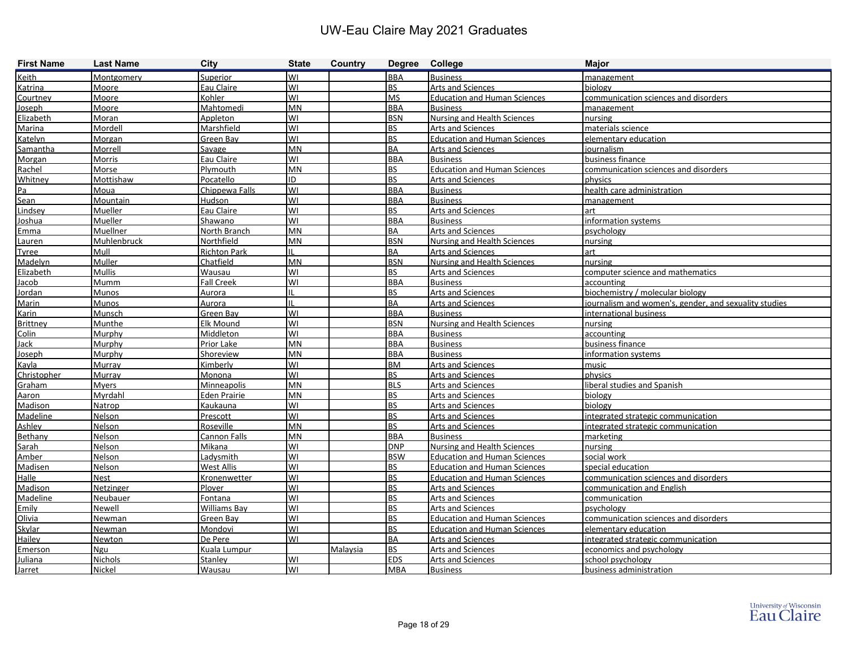| <b>First Name</b> | <b>Last Name</b>   | City                | <b>State</b> | Country  | Degree College |                                     | <b>Major</b>                                          |
|-------------------|--------------------|---------------------|--------------|----------|----------------|-------------------------------------|-------------------------------------------------------|
| Keith             | Montgomery         | Superior            | WI           |          | <b>BBA</b>     | <b>Business</b>                     | management                                            |
| Katrina           | <b>Moore</b>       | Eau Claire          | WI           |          | <b>BS</b>      | <b>Arts and Sciences</b>            | biology                                               |
| Courtney          | Moore              | Kohler              | WI           |          | <b>MS</b>      | <b>Education and Human Sciences</b> | communication sciences and disorders                  |
| Joseph            | Moore              | Mahtomedi           | MN           |          | <b>BBA</b>     | <b>Business</b>                     | management                                            |
| Elizabeth         | Moran              | Appleton            | WI           |          | <b>BSN</b>     | Nursing and Health Sciences         | nursing                                               |
| Marina            | Mordell            | Marshfield          | WI           |          | <b>BS</b>      | Arts and Sciences                   | materials science                                     |
| Katelyn           | <b>Morgan</b>      | Green Bay           | WI           |          | <b>BS</b>      | <b>Education and Human Sciences</b> | elementary education                                  |
| Samantha          | Morrell            | Savage              | <b>MN</b>    |          | BA             | <b>Arts and Sciences</b>            | iournalism                                            |
| Morgan            | Morris             | Eau Claire          | WI           |          | <b>BBA</b>     | <b>Business</b>                     | business finance                                      |
| Rachel            | Morse              | Plymouth            | MN           |          | <b>BS</b>      | <b>Education and Human Sciences</b> | communication sciences and disorders                  |
| Whitney           | Mottishaw          | Pocatello           | ID           |          | <b>BS</b>      | Arts and Sciences                   | physics                                               |
| Pa                | Moua               | Chippewa Falls      | WI           |          | <b>BBA</b>     | <b>Business</b>                     | health care administration                            |
| Sean              | Mountain           | Hudson              | WI           |          | <b>BBA</b>     | <b>Business</b>                     | management                                            |
| Lindsey           | Mueller            | Eau Claire          | WI           |          | <b>BS</b>      | <b>Arts and Sciences</b>            | lart                                                  |
| Joshua            | Mueller            | Shawano             | WI           |          | <b>BBA</b>     | <b>Business</b>                     | information systems                                   |
| Emma              | Muellner           | North Branch        | <b>MN</b>    |          | <b>BA</b>      | <b>Arts and Sciences</b>            | psychology                                            |
| Lauren            | <b>Muhlenbruck</b> | Northfield          | <b>MN</b>    |          | <b>BSN</b>     | <b>Nursing and Health Sciences</b>  | nursing                                               |
| Tyree             | Mull               | <b>Richton Park</b> |              |          | BA             | <b>Arts and Sciences</b>            | lart                                                  |
| Madelyn           | Muller             | Chatfield           | MN           |          | <b>BSN</b>     | <b>Nursing and Health Sciences</b>  | nursing                                               |
| Elizabeth         | <b>Mullis</b>      | Wausau              | WI           |          | BS             | <b>Arts and Sciences</b>            | computer science and mathematics                      |
| Jacob             | <b>Mumm</b>        | <b>Fall Creek</b>   | WI           |          | <b>BBA</b>     | <b>Business</b>                     | accounting                                            |
| Jordan            | <b>Munos</b>       | Aurora              |              |          | <b>BS</b>      | <b>Arts and Sciences</b>            | biochemistry / molecular biology                      |
| Marin             | Munos              | Aurora              |              |          | BA             | Arts and Sciences                   | journalism and women's, gender, and sexuality studies |
| Karin             | Munsch             | Green Bay           | WI           |          | <b>BBA</b>     | <b>Business</b>                     | international business                                |
| <b>Brittney</b>   | Munthe             | Elk Mound           | WI           |          | <b>BSN</b>     | <b>Nursing and Health Sciences</b>  | nursing                                               |
| Colin             | Murphy             | Middleton           | WI           |          | <b>BBA</b>     | <b>Business</b>                     | accounting                                            |
| Jack              | Murphy             | Prior Lake          | MN           |          | <b>BBA</b>     | <b>Business</b>                     | business finance                                      |
| <b>Joseph</b>     | Murphy             | Shoreview           | MN           |          | <b>BBA</b>     | <b>Business</b>                     | information systems                                   |
| Kayla             | <b>Murray</b>      | Kimberly            | WI           |          | <b>BM</b>      | <b>Arts and Sciences</b>            | music                                                 |
| Christopher       | <b>Murray</b>      | Monona              | WI           |          | <b>BS</b>      | <b>Arts and Sciences</b>            | physics                                               |
| Graham            | <b>Myers</b>       | Minneapolis         | <b>MN</b>    |          | <b>BLS</b>     | <b>Arts and Sciences</b>            | liberal studies and Spanish                           |
| Aaron             | Myrdahl            | Eden Prairie        | MN           |          | <b>BS</b>      | Arts and Sciences                   | biology                                               |
| Madison           | Natrop             | <b>Kaukauna</b>     | WI           |          | <b>BS</b>      | <b>Arts and Sciences</b>            | biology                                               |
| Madeline          | Nelson             | Prescott            | WI           |          | <b>BS</b>      | <b>Arts and Sciences</b>            | integrated strategic communication                    |
| Ashley            | Nelson             | Roseville           | <b>MN</b>    |          | <b>BS</b>      | <b>Arts and Sciences</b>            | integrated strategic communication                    |
| Bethany           | Nelson             | Cannon Falls        | MN           |          | <b>BBA</b>     | <b>Business</b>                     | marketing                                             |
| Sarah             | Nelson             | Mikana              | W١           |          | <b>DNP</b>     | <b>Nursing and Health Sciences</b>  | nursing                                               |
| Amber             | Nelson             | Ladysmith           | WI           |          | <b>BSW</b>     | <b>Education and Human Sciences</b> | social work                                           |
| Madisen           | Nelson             | <b>West Allis</b>   | WI           |          | <b>BS</b>      | <b>Education and Human Sciences</b> | special education                                     |
| Halle             | Nest               | Kronenwetter        | lwı          |          | <b>BS</b>      | <b>Education and Human Sciences</b> | communication sciences and disorders                  |
| Madison           | Netzinger          | Plover              | lwı          |          | <b>BS</b>      | <b>Arts and Sciences</b>            | communication and English                             |
| <b>Madeline</b>   | <b>Neubauer</b>    | Fontana             | WI           |          | <b>BS</b>      | Arts and Sciences                   | communication                                         |
| Emily             | Newell             | <b>Williams Bay</b> | WI           |          | <b>BS</b>      | Arts and Sciences                   | psychology                                            |
| Olivia            | Newman             | Green Bay           | WI           |          | <b>BS</b>      | <b>Education and Human Sciences</b> | communication sciences and disorders                  |
| <b>Skylar</b>     | <b>Newman</b>      | Mondovi             | WI           |          | <b>BS</b>      | <b>Education and Human Sciences</b> | elementary education                                  |
| Hailey            | Newton             | De Pere             | WI           |          | BA             | <b>Arts and Sciences</b>            | integrated strategic communication                    |
| Emerson           | Ngu                | Kuala Lumpur        |              | Malaysia | <b>BS</b>      | <b>Arts and Sciences</b>            | economics and psychology                              |
| Juliana           | <b>Nichols</b>     | Stanley             | lwı          |          | <b>EDS</b>     | <b>Arts and Sciences</b>            | school psychology                                     |
| <b>Jarret</b>     | Nickel             | Wausau              | lwı          |          | <b>MBA</b>     | <b>Business</b>                     | business administration                               |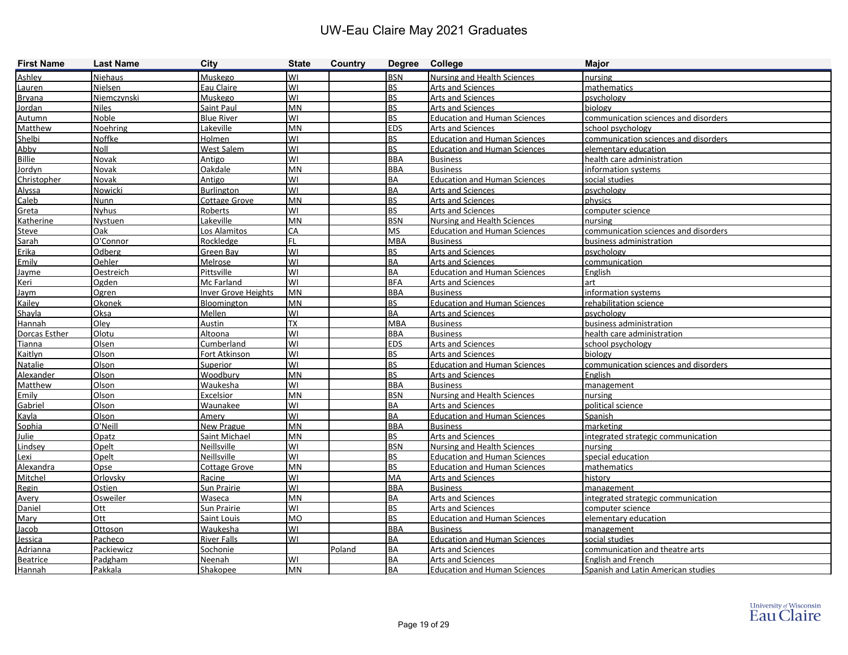| <b>First Name</b> | <b>Last Name</b> | <b>City</b>                | <b>State</b> | Country | Degree College |                                     | <b>Major</b>                         |
|-------------------|------------------|----------------------------|--------------|---------|----------------|-------------------------------------|--------------------------------------|
| Ashley            | <b>Niehaus</b>   | Muskego                    | lwı          |         | <b>BSN</b>     | Nursing and Health Sciences         | nursing                              |
| Lauren            | Nielsen          | Eau Claire                 | lwı          |         | <b>BS</b>      | Arts and Sciences                   | mathematics                          |
| <b>Bryana</b>     | Niemczynski      | <b>Muskego</b>             | lwı          |         | <b>BS</b>      | <b>Arts and Sciences</b>            | psychology                           |
| Jordan            | <b>Niles</b>     | Saint Paul                 | MN           |         | <b>BS</b>      | <b>Arts and Sciences</b>            | biology                              |
| Autumn            | Noble            | <b>Blue River</b>          | lwı          |         | <b>BS</b>      | <b>Education and Human Sciences</b> | communication sciences and disorders |
| Matthew           | Noehring         | Lakeville                  | MN           |         | <b>EDS</b>     | Arts and Sciences                   | school psychology                    |
| Shelbi            | Noffke           | <b>Holmen</b>              | lwı          |         | <b>BS</b>      | <b>Education and Human Sciences</b> | communication sciences and disorders |
| Abby              | Noll             | <b>West Salem</b>          | lwı          |         | <b>BS</b>      | <b>Education and Human Sciences</b> | elementary education                 |
| Billie            | Novak            | Antigo                     | lwı          |         | <b>BBA</b>     | <b>Business</b>                     | health care administration           |
| Jordyn            | Novak            | Oakdale                    | MN           |         | <b>BBA</b>     | <b>Business</b>                     | information systems                  |
| Christopher       | Novak            | Antigo                     | lwı          |         | <b>BA</b>      | <b>Education and Human Sciences</b> | social studies                       |
| Alyssa            | Nowicki          | Burlington                 | lwı          |         | <b>BA</b>      | Arts and Sciences                   | psychology                           |
| Caleb             | <b>Nunn</b>      | <b>Cottage Grove</b>       | MN           |         | <b>BS</b>      | <b>Arts and Sciences</b>            | physics                              |
| Greta             | <b>Nyhus</b>     | Roberts                    | lwı          |         | <b>BS</b>      | <b>Arts and Sciences</b>            | computer science                     |
| Katherine         | Nystuen          | Lakeville                  | <b>MN</b>    |         | <b>BSN</b>     | <b>Nursing and Health Sciences</b>  | nursing                              |
| <b>Steve</b>      | Oak              | Los Alamitos               | <b>I</b> CA  |         | <b>MS</b>      | <b>Education and Human Sciences</b> | communication sciences and disorders |
| Sarah             | O'Connor         | Rockledge                  | FL           |         | <b>MBA</b>     | <b>Business</b>                     | business administration              |
| Erika             | Odberg           | Green Bay                  | lwı          |         | <b>BS</b>      | Arts and Sciences                   | psychology                           |
| Emily             | Oehler           | Melrose                    | lwı          |         | <b>BA</b>      | Arts and Sciences                   | communication                        |
| Jayme             | <b>Oestreich</b> | <b>Pittsville</b>          | lwı          |         | <b>BA</b>      | <b>Education and Human Sciences</b> | English                              |
| Keri              | Ogden            | Mc Farland                 | lwı          |         | <b>BFA</b>     | <b>Arts and Sciences</b>            | art                                  |
| Jaym              | Ogren            | <b>Inver Grove Heights</b> | MN           |         | <b>BBA</b>     | <b>Business</b>                     | information systems                  |
| Kailey            | Okonek           | Bloomington                | MN           |         | <b>BS</b>      | <b>Education and Human Sciences</b> | rehabilitation science               |
| Shayla            | Oksa             | Mellen                     | lwı          |         | <b>BA</b>      | <b>Arts and Sciences</b>            | psychology                           |
| Hannah            | Olev             | Austin                     | <b>TX</b>    |         | <b>MBA</b>     | <b>Business</b>                     | business administration              |
| Dorcas Esther     | Olotu            | Altoona                    | lwı          |         | <b>BBA</b>     | <b>Business</b>                     | health care administration           |
| Tianna            | Olsen            | Cumberland                 | lwı          |         | <b>EDS</b>     | Arts and Sciences                   | school psychology                    |
| Kaitlyn           | Olson            | Fort Atkinson              | WI           |         | <b>BS</b>      | Arts and Sciences                   | biology                              |
| Natalie           | Olson            | <b>Superior</b>            | lwı          |         | <b>BS</b>      | <b>Education and Human Sciences</b> | communication sciences and disorders |
| Alexander         | Olson            | Woodbury                   | <b>MN</b>    |         | <b>BS</b>      | <b>Arts and Sciences</b>            | English                              |
| Matthew           | Olson            | Waukesha                   | WI           |         | <b>BBA</b>     | <b>Business</b>                     | management                           |
| Emily             | Olson            | Excelsior                  | lmn          |         | <b>BSN</b>     | <b>Nursing and Health Sciences</b>  | nursing                              |
| Gabriel           | Olson            | Waunakee                   | lwı          |         | <b>BA</b>      | Arts and Sciences                   | political science                    |
| Kayla             | Olson            | Amerv                      | lwı          |         | <b>BA</b>      | <b>Education and Human Sciences</b> | Spanish                              |
| Sophia            | O'Neill          | New Prague                 | <b>MN</b>    |         | <b>BBA</b>     | <b>Business</b>                     | marketing                            |
| Julie             | Opatz            | Saint Michael              | MN           |         | <b>BS</b>      | Arts and Sciences                   | integrated strategic communication   |
| Lindsey           | Opelt            | Neillsville                | lwı          |         | <b>BSN</b>     | <b>Nursing and Health Sciences</b>  | nursing                              |
| Lexi              | Opelt            | Neillsville                | lwı          |         | <b>BS</b>      | <b>Education and Human Sciences</b> | special education                    |
| Alexandra         | Opse             | <b>Cottage Grove</b>       | <b>MN</b>    |         | <u>IBS</u>     | <b>Education and Human Sciences</b> | mathematics                          |
| Mitchel           | Orlovsky         | Racine                     | lwı          |         | MA             | <b>Arts and Sciences</b>            | history                              |
| Regin             | Ostien           | Sun Prairie                | lwı          |         | <b>BBA</b>     | <b>Business</b>                     | management                           |
| Avery             | <b>Osweiler</b>  | Waseca                     | MN           |         | <b>BA</b>      | Arts and Sciences                   | integrated strategic communication   |
| Daniel            | Ott              | Sun Prairie                | WI           |         | <b>BS</b>      | Arts and Sciences                   | computer science                     |
| Mary              | Ott              | Saint Louis                | MO           |         | <b>BS</b>      | <b>Education and Human Sciences</b> | elementary education                 |
| Jacob             | Ottoson          | Waukesha                   | WI           |         | <b>BBA</b>     | <b>Business</b>                     | management                           |
| Jessica           | Pacheco          | <b>River Falls</b>         | lwı          |         | <b>BA</b>      | <b>Education and Human Sciences</b> | social studies                       |
| Adrianna          | Packiewicz       | Sochonie                   |              | Poland  | <b>BA</b>      | <b>Arts and Sciences</b>            | communication and theatre arts       |
| Beatrice          | Padgham          | Neenah                     | WI           |         | <b>BA</b>      | Arts and Sciences                   | English and French                   |
| Hannah            | Pakkala          | Shakopee                   | MN           |         | BA             | <b>Education and Human Sciences</b> | Spanish and Latin American studies   |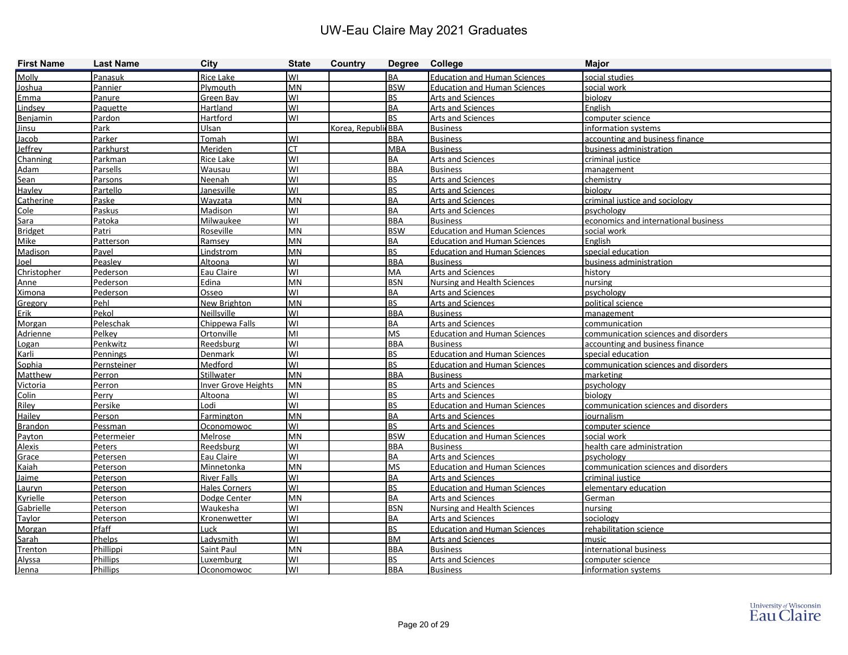| <b>First Name</b> | <b>Last Name</b> | <b>City</b>                | <b>State</b> | Country             | Degree College |                                     | <b>Major</b>                         |
|-------------------|------------------|----------------------------|--------------|---------------------|----------------|-------------------------------------|--------------------------------------|
| Molly             | Panasuk          | <b>Rice Lake</b>           | lwı          |                     | <b>BA</b>      | <b>Education and Human Sciences</b> | social studies                       |
| <u>Joshua</u>     | Pannier          | Plymouth                   | MN           |                     | <b>BSW</b>     | <b>Education and Human Sciences</b> | social work                          |
| Emma              | Panure           | Green Bay                  | lwı          |                     | <b>BS</b>      | <b>Arts and Sciences</b>            | biology                              |
| Lindsev           | Paquette         | Hartland                   | lwı          |                     | <b>BA</b>      | <b>Arts and Sciences</b>            | English                              |
| Benjamin          | Pardon           | Hartford                   | lwi          |                     | <b>BS</b>      | <b>Arts and Sciences</b>            | computer science                     |
| <b>Jinsu</b>      | Park             | Ulsan                      |              | Korea, Republic BBA |                | <b>Business</b>                     | information systems                  |
| Jacob             | Parker           | Tomah                      | WI           |                     | <b>BBA</b>     | <b>Business</b>                     | accounting and business finance      |
| Jeffrey           | Parkhurst        | Meriden                    | <b>CT</b>    |                     | <b>MBA</b>     | <b>Business</b>                     | business administration              |
| Channing          | Parkman          | <b>Rice Lake</b>           | lwı          |                     | <b>BA</b>      | Arts and Sciences                   | criminal justice                     |
| <b>Adam</b>       | Parsells         | Wausau                     | lwı          |                     | <b>BBA</b>     | <b>Business</b>                     | management                           |
| Sean              | <b>Parsons</b>   | Neenah                     | lwı          |                     | <b>BS</b>      | Arts and Sciences                   | chemistry                            |
| Hayley            | Partello         | Janesville                 | WI           |                     | <b>BS</b>      | <b>Arts and Sciences</b>            | biology                              |
| Catherine         | Paske            | Wayzata                    | <b>MN</b>    |                     | <b>BA</b>      | <b>Arts and Sciences</b>            | criminal justice and sociology       |
| Cole              | Paskus           | Madison                    | WI           |                     | <b>BA</b>      | Arts and Sciences                   | psychology                           |
| Sara              | Patoka           | <b>Milwaukee</b>           | WI           |                     | <b>BBA</b>     | <b>Business</b>                     | economics and international business |
| <b>Bridget</b>    | Patri            | Roseville                  | <b>MN</b>    |                     | <b>BSW</b>     | <b>Education and Human Sciences</b> | social work                          |
| Mike              | Patterson        | Ramsey                     | <b>MN</b>    |                     | <b>BA</b>      | <b>Education and Human Sciences</b> | English                              |
| Madison           | Pavel            | Lindstrom                  | <b>MN</b>    |                     | <b>BS</b>      | <b>Education and Human Sciences</b> | special education                    |
| Joel              | Peasley          | Altoona                    | lwı          |                     | <b>BBA</b>     | <b>Business</b>                     | business administration              |
| Christopher       | Pederson         | Eau Claire                 | lwı          |                     | <b>MA</b>      | Arts and Sciences                   | history                              |
| Anne              | Pederson         | Edina                      | <b>MN</b>    |                     | <b>BSN</b>     | <b>Nursing and Health Sciences</b>  | nursing                              |
| <b>Ximona</b>     | Pederson         | Osseo                      | lwı          |                     | <b>BA</b>      | <b>Arts and Sciences</b>            | psychology                           |
| Gregory           | Pehl             | New Brighton               | MN           |                     | <b>BS</b>      | Arts and Sciences                   | political science                    |
| <b>Erik</b>       | Pekol            | Neillsville                | lwı          |                     | <b>BBA</b>     | <b>Business</b>                     | management                           |
| Morgan            | Peleschak        | Chippewa Falls             | lwı          |                     | <b>BA</b>      | Arts and Sciences                   | communication                        |
| Adrienne          | Pelkey           | Ortonville                 | lмı          |                     | <b>MS</b>      | <b>Education and Human Sciences</b> | communication sciences and disorders |
| Logan             | Penkwitz         | Reedsburg                  | lwı          |                     | <b>BBA</b>     | <b>Business</b>                     | accounting and business finance      |
| Karli             | <b>Pennings</b>  | Denmark                    | lwı          |                     | <b>BS</b>      | <b>Education and Human Sciences</b> | special education                    |
| Sophia            | Pernsteiner      | Medford                    | WI           |                     | <b>BS</b>      | <b>Education and Human Sciences</b> | communication sciences and disorders |
| Matthew           | Perron           | Stillwater                 | MN           |                     | <b>BBA</b>     | <b>Business</b>                     | marketing                            |
| Victoria          | Perron           | <b>Inver Grove Heights</b> | <b>MN</b>    |                     | <b>BS</b>      | Arts and Sciences                   | psychology                           |
| Colin             | Perry            | Altoona                    | lwı          |                     | <b>BS</b>      | Arts and Sciences                   | biology                              |
| Riley             | Persike          | Lodi                       | lwı          |                     | <b>BS</b>      | <b>Education and Human Sciences</b> | communication sciences and disorders |
| Hailey            | Person           | Farmington                 | <b>MN</b>    |                     | <b>BA</b>      | <b>Arts and Sciences</b>            | journalism                           |
| <b>Brandon</b>    | Pessman          | Oconomowoc                 | lwı          |                     | <b>BS</b>      | Arts and Sciences                   | computer science                     |
| Payton            | Petermeier       | Melrose                    | MN           |                     | <b>BSW</b>     | <b>Education and Human Sciences</b> | social work                          |
| <b>Alexis</b>     | Peters           | Reedsburg                  | lwı          |                     | <b>BBA</b>     | <b>Business</b>                     | health care administration           |
| Grace             | <b>Petersen</b>  | Eau Claire                 | lwı          |                     | <b>BA</b>      | <b>Arts and Sciences</b>            | psychology                           |
| Kaiah             | <b>Peterson</b>  | Minnetonka                 | <b>MN</b>    |                     | <b>MS</b>      | <b>Education and Human Sciences</b> | communication sciences and disorders |
| Jaime             | Peterson         | <b>River Falls</b>         | WI           |                     | BA             | <b>Arts and Sciences</b>            | criminal justice                     |
| Lauryn            | Peterson         | <b>Hales Corners</b>       | WI           |                     | <b>BS</b>      | <b>Education and Human Sciences</b> | elementary education                 |
| Kyrielle          | <b>Peterson</b>  | Dodge Center               | MN           |                     | <b>BA</b>      | <b>Arts and Sciences</b>            | German                               |
| Gabrielle         | Peterson         | Waukesha                   | WI           |                     | <b>BSN</b>     | <b>Nursing and Health Sciences</b>  | nursing                              |
| Taylor            | Peterson         | Kronenwetter               | WI           |                     | <b>BA</b>      | <b>Arts and Sciences</b>            | sociology                            |
| Morgan            | Pfaff            | Luck                       | WI           |                     | <b>BS</b>      | <b>Education and Human Sciences</b> | rehabilitation science               |
| Sarah             | <b>Phelps</b>    | Ladysmith                  | lwı          |                     | <b>BM</b>      | <b>Arts and Sciences</b>            | music                                |
| Trenton           | Phillippi        | Saint Paul                 | <b>MN</b>    |                     | <b>BBA</b>     | <b>Business</b>                     | international business               |
| Alyssa            | <b>Phillips</b>  | Luxemburg                  | WI           |                     | <b>BS</b>      | <b>Arts and Sciences</b>            | computer science                     |
| Jenna             | <b>Phillips</b>  | Oconomowoc                 | WI           |                     | <b>BBA</b>     | <b>Business</b>                     | information systems                  |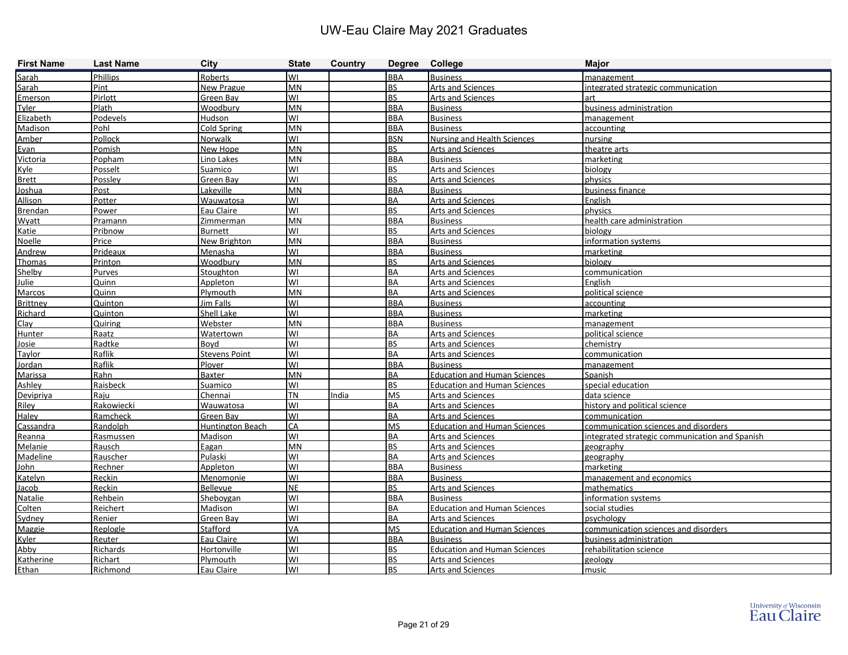| <b>First Name</b> | <b>Last Name</b> | <b>City</b>          | <b>State</b> | Country | Degree College |                                     | <b>Major</b>                                   |
|-------------------|------------------|----------------------|--------------|---------|----------------|-------------------------------------|------------------------------------------------|
| Sarah             | Phillips         | Roberts              | lwı          |         | <b>BBA</b>     | <b>Business</b>                     | management                                     |
| Sarah             | Pint             | New Prague           | <b>MN</b>    |         | <b>BS</b>      | Arts and Sciences                   | integrated strategic communication             |
| Emerson           | Pirlott          | Green Bay            | WI           |         | <b>BS</b>      | <b>Arts and Sciences</b>            | art                                            |
| Tyler             | Plath            | Woodbury             | <b>MN</b>    |         | <b>BBA</b>     | <b>Business</b>                     | business administration                        |
| Elizabeth         | <b>Podevels</b>  | Hudson               | lwı          |         | <b>BBA</b>     | <b>Business</b>                     | management                                     |
| Madison           | Pohl             | Cold Spring          | <b>MN</b>    |         | <b>BBA</b>     | <b>Business</b>                     | accounting                                     |
| Amber             | Pollock          | Norwalk              | WI           |         | <b>BSN</b>     | <b>Nursing and Health Sciences</b>  | nursing                                        |
| Evan              | Pomish           | New Hope             | <b>MN</b>    |         | <b>BS</b>      | <b>Arts and Sciences</b>            | theatre arts                                   |
| Victoria          | Popham           | Lino Lakes           | <b>MN</b>    |         | <b>BBA</b>     | <b>Business</b>                     | marketing                                      |
| Kyle              | Posselt          | Suamico              | WI           |         | <b>BS</b>      | Arts and Sciences                   | biology                                        |
| <b>Brett</b>      | Possley          | Green Bay            | WI           |         | <b>BS</b>      | <b>Arts and Sciences</b>            | physics                                        |
| Joshua            | Post             | Lakeville            | <b>MN</b>    |         | <b>BBA</b>     | <b>Business</b>                     | business finance                               |
| <b>Allison</b>    | Potter           | Wauwatosa            | lwı          |         | <b>BA</b>      | <b>Arts and Sciences</b>            | English                                        |
| Brendan           | Power            | Eau Claire           | WI           |         | <b>BS</b>      | Arts and Sciences                   | <b>physics</b>                                 |
| Wyatt             | Pramann          | Zimmerman            | <b>MN</b>    |         | <b>BBA</b>     | <b>Business</b>                     | health care administration                     |
| Katie             | Pribnow          | <b>Burnett</b>       | WI           |         | <b>BS</b>      | <b>Arts and Sciences</b>            | biology                                        |
| <b>Noelle</b>     | Price            | New Brighton         | <b>MN</b>    |         | <b>BBA</b>     | <b>Business</b>                     | information systems                            |
| Andrew            | Prideaux         | Menasha              | WI           |         | <b>BBA</b>     | <b>Business</b>                     | marketing                                      |
| Thomas            | Printon          | Woodbury             | MN           |         | <b>BS</b>      | <b>Arts and Sciences</b>            | biology                                        |
| Shelby            | <b>Purves</b>    | Stoughton            | lwı          |         | <b>BA</b>      | <b>Arts and Sciences</b>            | communication                                  |
| Julie             | Quinn            | Appleton             | lwı          |         | <b>BA</b>      | <b>Arts and Sciences</b>            | English                                        |
| Marcos            | Quinn            | Plymouth             | <b>MN</b>    |         | <b>BA</b>      | <b>Arts and Sciences</b>            | political science                              |
| <b>Brittney</b>   | Quinton          | <b>Jim Falls</b>     | WI           |         | <b>BBA</b>     | <b>Business</b>                     | accounting                                     |
| Richard           | <b>Quinton</b>   | Shell Lake           | WI           |         | <b>BBA</b>     | <b>Business</b>                     | marketing                                      |
| Clay              | Quiring          | Webster              | <b>MN</b>    |         | <b>BBA</b>     | <b>Business</b>                     | management                                     |
| Hunter            | Raatz            | Watertown            | lwı          |         | <b>BA</b>      | <b>Arts and Sciences</b>            | political science                              |
| Josie             | Radtke           | Boyd                 | lwı          |         | <b>BS</b>      | Arts and Sciences                   | chemistry                                      |
| Taylor            | Raflik           | <b>Stevens Point</b> | lwı          |         | <b>BA</b>      | Arts and Sciences                   | communication                                  |
| Jordan            | Raflik           | Plover               | lwı          |         | <b>BBA</b>     | <b>Business</b>                     | management                                     |
| Marissa           | Rahn             | Baxter               | <b>MN</b>    |         | <b>BA</b>      | <b>Education and Human Sciences</b> | Spanish                                        |
| Ashley            | Raisbeck         | Suamico              | WI           |         | <b>BS</b>      | <b>Education and Human Sciences</b> | special education                              |
| Devipriya         | Raju             | Chennai              | <b>TN</b>    | India   | <b>MS</b>      | <b>Arts and Sciences</b>            | data science                                   |
| Riley             | Rakowiecki       | Wauwatosa            | lwı          |         | <b>BA</b>      | Arts and Sciences                   | history and political science                  |
| Haley             | Ramcheck         | Green Bay            | lwı          |         | <b>BA</b>      | Arts and Sciences                   | communication                                  |
| Cassandra         | Randolph         | Huntington Beach     | <b>CA</b>    |         | <b>MS</b>      | <b>Education and Human Sciences</b> | communication sciences and disorders           |
| Reanna            | Rasmussen        | <b>Madison</b>       | lwı          |         | <b>BA</b>      | <b>Arts and Sciences</b>            | integrated strategic communication and Spanish |
| Melanie           | Rausch           | Eagan                | <b>MN</b>    |         | <b>BS</b>      | <b>Arts and Sciences</b>            | geography                                      |
| Madeline          | Rauscher         | Pulaski              | lwı          |         | <b>BA</b>      | <b>Arts and Sciences</b>            | geography                                      |
| John              | Rechner          | Appleton             | WI           |         | <b>BBA</b>     | <b>Business</b>                     | marketing                                      |
| Katelyn           | Reckin           | Menomonie            | lwı          |         | <b>BBA</b>     | <b>Business</b>                     | management and economics                       |
| Jacob             | Reckin           | Bellevue             | <b>NE</b>    |         | <b>BS</b>      | <b>Arts and Sciences</b>            | mathematics                                    |
| Natalie           | Rehbein          | Sheboygan            | lwı          |         | <b>BBA</b>     | <b>Business</b>                     | information systems                            |
| Colten            | Reichert         | Madison              | lwı          |         | <b>BA</b>      | <b>Education and Human Sciences</b> | social studies                                 |
| Sydney            | Renier           | Green Bay            | lwı          |         | <b>BA</b>      | Arts and Sciences                   | psychology                                     |
| Maggie            | Replogle         | Stafford             | <b>VA</b>    |         | <b>MS</b>      | <b>Education and Human Sciences</b> | communication sciences and disorders           |
| <b>Kyler</b>      | Reuter           | Eau Claire           | lwı          |         | <b>BBA</b>     | <b>Business</b>                     | business administration                        |
| Abby              | Richards         | Hortonville          | lwı          |         | <b>BS</b>      | <b>Education and Human Sciences</b> | rehabilitation science                         |
| Katherine         | Richart          | Plymouth             | lwı          |         | <b>BS</b>      | Arts and Sciences                   | geology                                        |
| Ethan             | Richmond         | Eau Claire           | lwı          |         | <b>BS</b>      | <b>Arts and Sciences</b>            | music                                          |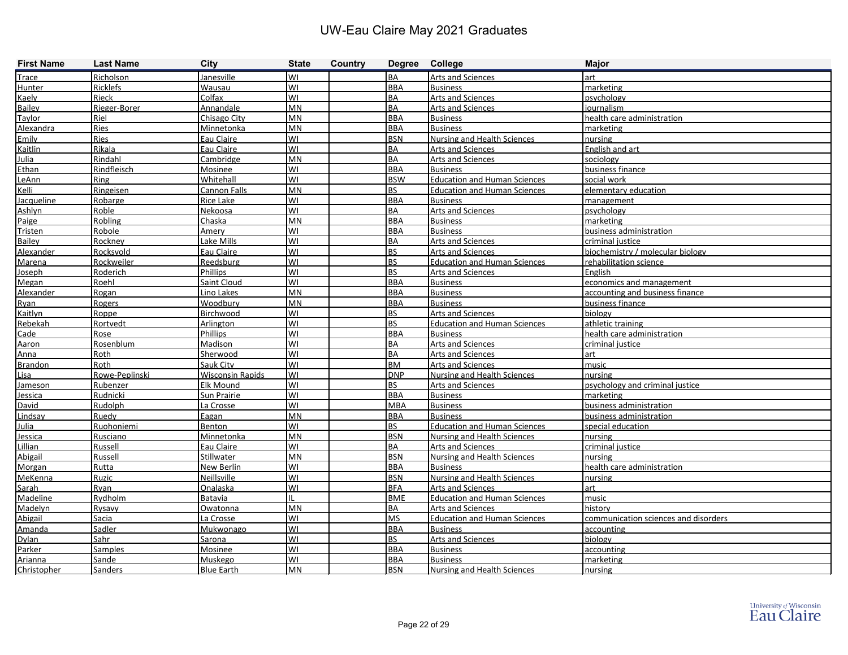| <b>First Name</b> | <b>Last Name</b> | <b>City</b>             | <b>State</b> | Country |            | Degree College                      | <b>Major</b>                         |
|-------------------|------------------|-------------------------|--------------|---------|------------|-------------------------------------|--------------------------------------|
| Trace             | Richolson        | Janesville              | lwı          |         | <b>BA</b>  | Arts and Sciences                   | art                                  |
| <b>Hunter</b>     | Ricklefs         | Wausau                  | lwı          |         | <b>BBA</b> | <b>Business</b>                     | marketing                            |
| Kaely             | Rieck            | Colfax                  | lwı          |         | <b>BA</b>  | <b>Arts and Sciences</b>            | psychology                           |
| <b>Bailey</b>     | Rieger-Borer     | Annandale               | <b>MN</b>    |         | <b>BA</b>  | <b>Arts and Sciences</b>            | journalism                           |
| Taylor            | Riel             | Chisago City            | <b>MN</b>    |         | <b>BBA</b> | <b>Business</b>                     | health care administration           |
| Alexandra         | Ries             | Minnetonka              | <b>MN</b>    |         | <b>BBA</b> | <b>Business</b>                     | marketing                            |
| Emily             | Ries             | Eau Claire              | WI           |         | <b>BSN</b> | <b>Nursing and Health Sciences</b>  | nursing                              |
| Kaitlin           | Rikala           | Eau Claire              | lwı          |         | <b>BA</b>  | Arts and Sciences                   | English and art                      |
| Julia             | Rindahl          | Cambridge               | <b>MN</b>    |         | <b>BA</b>  | Arts and Sciences                   | sociology                            |
| Ethan             | Rindfleisch      | Mosinee                 | WI           |         | <b>BBA</b> | <b>Business</b>                     | business finance                     |
| LeAnn             | Ring             | Whitehall               | WI           |         | <b>BSW</b> | <b>Education and Human Sciences</b> | social work                          |
| Kelli             | Ringeisen        | <b>Cannon Falls</b>     | MN           |         | <b>BS</b>  | <b>Education and Human Sciences</b> | elementary education                 |
| Jacqueline        | Robarge          | <b>Rice Lake</b>        | WI           |         | <b>BBA</b> | <b>Business</b>                     | management                           |
| Ashlyn            | Roble            | Nekoosa                 | WI           |         | <b>BA</b>  | Arts and Sciences                   | psychology                           |
| Paige             | Robling          | Chaska                  | <b>MN</b>    |         | <b>BBA</b> | <b>Business</b>                     | marketing                            |
| Tristen           | Robole           | Amery                   | WI           |         | <b>BBA</b> | <b>Business</b>                     | business administration              |
| Bailey            | Rockney          | Lake Mills              | lwı          |         | <b>BA</b>  | Arts and Sciences                   | criminal justice                     |
| Alexander         | Rocksvold        | Eau Claire              | lwı          |         | <b>BS</b>  | Arts and Sciences                   | biochemistry / molecular biology     |
| Marena            | Rockweiler       | Reedsburg               | lwı          |         | <b>BS</b>  | <b>Education and Human Sciences</b> | rehabilitation science               |
| Joseph            | Roderich         | <b>Phillips</b>         | lwı          |         | <b>BS</b>  | <b>Arts and Sciences</b>            | English                              |
| Megan             | Roehl            | <b>Saint Cloud</b>      | WI           |         | <b>BBA</b> | <b>Business</b>                     | economics and management             |
| Alexander         | Rogan            | Lino Lakes              | <b>MN</b>    |         | <b>BBA</b> | <b>Business</b>                     | accounting and business finance      |
| Ryan              | Rogers           | Woodbury                | <b>MN</b>    |         | <b>BBA</b> | <b>Business</b>                     | business finance                     |
| Kaitlyn           | Roppe            | Birchwood               | WI           |         | <b>BS</b>  | Arts and Sciences                   | biology                              |
| Rebekah           | Rortvedt         | Arlington               | WI           |         | <b>BS</b>  | <b>Education and Human Sciences</b> | athletic training                    |
| Cade              | Rose             | Phillips                | lwı          |         | <b>BBA</b> | <b>Business</b>                     | health care administration           |
| Aaron             | Rosenblum        | Madison                 | WI           |         | <b>BA</b>  | Arts and Sciences                   | criminal justice                     |
| Anna              | Roth             | Sherwood                | WI           |         | <b>BA</b>  | <b>Arts and Sciences</b>            | art                                  |
| <b>Brandon</b>    | Roth             | Sauk City               | WI           |         | <b>BM</b>  | Arts and Sciences                   | music                                |
| Lisa              | Rowe-Peplinski   | <b>Wisconsin Rapids</b> | lwı          |         | <b>DNP</b> | <b>Nursing and Health Sciences</b>  | nursing                              |
| Jameson           | Rubenzer         | <b>Elk Mound</b>        | lwı          |         | <b>BS</b>  | <b>Arts and Sciences</b>            | psychology and criminal justice      |
| Jessica           | Rudnicki         | Sun Prairie             | WI           |         | <b>BBA</b> | <b>Business</b>                     | marketing                            |
| David             | Rudolph          | La Crosse               | lwı          |         | <b>MBA</b> | <b>Business</b>                     | business administration              |
| Lindsay           | Ruedy            | Eagan                   | <b>MN</b>    |         | <b>BBA</b> | <b>Business</b>                     | business administration              |
| Julia             | Ruohoniemi       | Benton                  | lwı          |         | <b>BS</b>  | <b>Education and Human Sciences</b> | special education                    |
| Jessica           | <b>Rusciano</b>  | Minnetonka              | <b>MN</b>    |         | <b>BSN</b> | <b>Nursing and Health Sciences</b>  | nursing                              |
| <b>Lillian</b>    | Russell          | Eau Claire              | WI           |         | <b>BA</b>  | <b>Arts and Sciences</b>            | criminal justice                     |
| Abigail           | Russell          | <b>Stillwater</b>       | <b>MN</b>    |         | <b>BSN</b> | <b>Nursing and Health Sciences</b>  | nursing                              |
| Morgan            | Rutta            | New Berlin              | <b>WI</b>    |         | <b>BBA</b> | <b>Business</b>                     | health care administration           |
| <b>MeKenna</b>    | Ruzic            | Neillsville             | lwı          |         | <b>BSN</b> | Nursing and Health Sciences         | nursing                              |
| Sarah             | Ryan             | Onalaska                | WI           |         | <b>BFA</b> | Arts and Sciences                   | art                                  |
| <b>Madeline</b>   | Rydholm          | Batavia                 | Ш            |         | <b>BME</b> | <b>Education and Human Sciences</b> | music                                |
| Madelyn           | Rysavy           | Owatonna                | MN           |         | <b>BA</b>  | Arts and Sciences                   | history                              |
| Abigail           | Sacia            | La Crosse               | lwı          |         | <b>MS</b>  | <b>Education and Human Sciences</b> | communication sciences and disorders |
| Amanda            | Sadler           | Mukwonago               | lwı          |         | <b>BBA</b> | <b>Business</b>                     | accounting                           |
| <b>Dylan</b>      | Sahr             | Sarona                  | lwı          |         | <b>BS</b>  | <b>Arts and Sciences</b>            | biology                              |
| Parker            | Samples          | Mosinee                 | lwı          |         | <b>BBA</b> | <b>Business</b>                     | accounting                           |
| Arianna           | Sande            | Muskego                 | lwı          |         | <b>BBA</b> | <b>Business</b>                     | marketing                            |
| Christopher       | <b>Sanders</b>   | <b>Blue Earth</b>       | MN           |         | <b>BSN</b> | Nursing and Health Sciences         | nursing                              |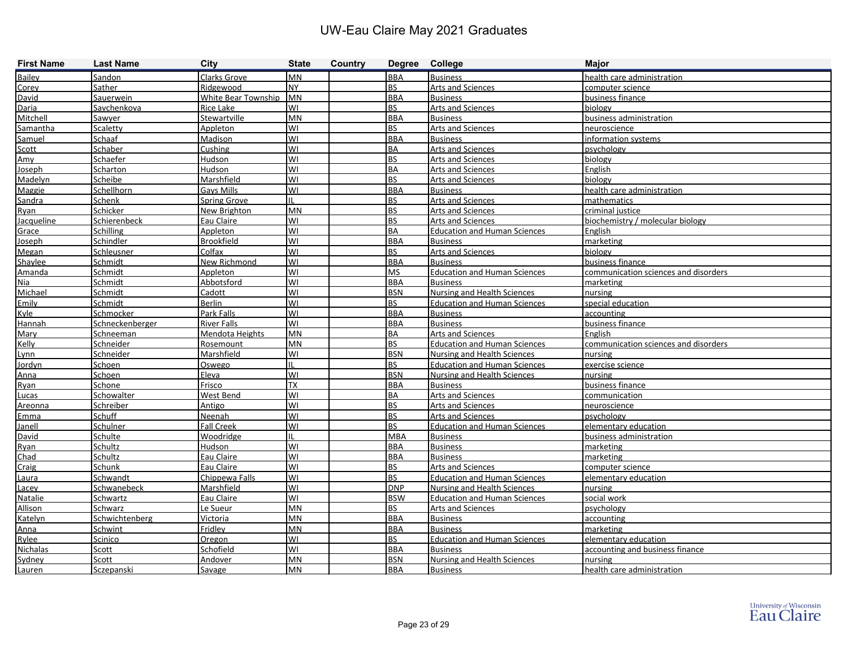| <b>First Name</b> | <b>Last Name</b> | <b>City</b>                | <b>State</b> | Country | Degree College          |                                     | <b>Major</b>                         |
|-------------------|------------------|----------------------------|--------------|---------|-------------------------|-------------------------------------|--------------------------------------|
| Bailey            | Sandon           | Clarks Grove               | <b>MN</b>    |         | <b>BBA</b>              | <b>Business</b>                     | health care administration           |
| Corey             | Sather           | Ridgewood                  | <b>NY</b>    |         | <b>BS</b>               | <b>Arts and Sciences</b>            | computer science                     |
| David             | Sauerwein        | <b>White Bear Township</b> | <b>MN</b>    |         | <b>BBA</b>              | <b>Business</b>                     | business finance                     |
| Daria             | Savchenkova      | Rice Lake                  | lwı          |         | <b>BS</b>               | <b>Arts and Sciences</b>            | biology                              |
| Mitchell          | Sawyer           | Stewartville               | <b>MN</b>    |         | <b>BBA</b>              | <b>Business</b>                     | business administration              |
| Samantha          | Scaletty         | Appleton                   | lwı          |         | <b>BS</b>               | <b>Arts and Sciences</b>            | neuroscience                         |
| Samuel            | Schaaf           | Madison                    | lwı          |         | <b>BBA</b>              | <b>Business</b>                     | information systems                  |
| Scott             | Schaber          | Cushing                    | lwı          |         | <b>BA</b>               | Arts and Sciences                   | psychology                           |
| Amy               | Schaefer         | Hudson                     | lwı          |         | <b>BS</b>               | Arts and Sciences                   | biology                              |
| Joseph            | Scharton         | Hudson                     | WI           |         | <b>BA</b>               | Arts and Sciences                   | English                              |
| Madelyn           | Scheibe          | Marshfield                 | lwı          |         | <b>BS</b>               | Arts and Sciences                   | biology                              |
| Maggie            | Schellhorn       | Gays Mills                 | WI           |         | <b>BBA</b>              | <b>Business</b>                     | health care administration           |
| Sandra            | <b>Schenk</b>    | <b>Spring Grove</b>        |              |         | <b>BS</b>               | <b>Arts and Sciences</b>            | mathematics                          |
| Ryan              | Schicker         | New Brighton               | <b>MN</b>    |         | <b>BS</b>               | Arts and Sciences                   | criminal justice                     |
| <b>Jacqueline</b> | Schierenbeck     | Eau Claire                 | WI           |         | <b>BS</b>               | Arts and Sciences                   | biochemistry / molecular biology     |
| Grace             | Schilling        | Appleton                   | WI           |         | <b>BA</b>               | <b>Education and Human Sciences</b> | English                              |
| Joseph            | Schindler        | Brookfield                 | lwı          |         | <b>BBA</b>              | <b>Business</b>                     | marketing                            |
| Megan             | Schleusner       | Colfax                     | lwı          |         | <b>BS</b>               | <b>Arts and Sciences</b>            | biology                              |
| Shaylee           | Schmidt          | New Richmond               | lwı          |         | <b>BBA</b>              | <b>Business</b>                     | business finance                     |
| Amanda            | Schmidt          | Appleton                   | lwı          |         | <b>MS</b>               | <b>Education and Human Sciences</b> | communication sciences and disorders |
| Nia               | Schmidt          | Abbotsford                 | lwı          |         | <b>BBA</b>              | <b>Business</b>                     | marketing                            |
| Michael           | Schmidt          | Cadott                     | lwı          |         | <b>BSN</b>              | <b>Nursing and Health Sciences</b>  | nursing                              |
| Emily             | Schmidt          | <b>Berlin</b>              | WI           |         | <b>BS</b>               | <b>Education and Human Sciences</b> | special education                    |
| Kyle              | Schmocker        | <b>Park Falls</b>          | WI           |         | <b>BBA</b>              | <b>Business</b>                     | accounting                           |
| Hannah            | Schneckenberger  | <b>River Falls</b>         | lwı          |         | <b>BBA</b>              | <b>Business</b>                     | business finance                     |
| Mary              | Schneeman        | Mendota Heights            | <b>MN</b>    |         | <b>BA</b>               | <b>Arts and Sciences</b>            | English                              |
| Kelly             | Schneider        | Rosemount                  | <b>MN</b>    |         | <b>BS</b>               | <b>Education and Human Sciences</b> | communication sciences and disorders |
| Lvnn              | Schneider        | Marshfield                 | WI           |         | <b>BSN</b>              | <b>Nursing and Health Sciences</b>  | nursing                              |
| Jordyn            | Schoen           | Oswego                     |              |         | <b>BS</b>               | <b>Education and Human Sciences</b> | exercise science                     |
| Anna              | Schoen           | Eleva                      | lwı          |         | <b>BSN</b>              | <b>Nursing and Health Sciences</b>  | nursing                              |
| Ryan              | Schone           | Frisco                     | <b>TX</b>    |         | <b>BBA</b>              | <b>Business</b>                     | business finance                     |
| Lucas             | Schowalter       | West Bend                  | WI           |         | <b>BA</b>               | Arts and Sciences                   | communication                        |
| Areonna           | Schreiber        | Antigo                     | WI           |         | <b>BS</b>               | <b>Arts and Sciences</b>            | neuroscience                         |
| Emma              | Schuff           | Neenah                     | lwı          |         | <b>BS</b>               | Arts and Sciences                   | psychology                           |
| Janell            | Schulner         | <b>Fall Creek</b>          | WI           |         | <b>BS</b>               | <b>Education and Human Sciences</b> | elementary education                 |
| David             | Schulte          | Woodridge                  |              |         | <b>MBA</b>              | <b>Business</b>                     | business administration              |
| Ryan              | Schultz          | Hudson                     | lwı          |         | <b>BBA</b>              | <b>Business</b>                     | marketing                            |
| Chad              | Schultz          | Eau Claire                 | lwı          |         | <b>BBA</b>              | <b>Business</b>                     | marketing                            |
| Craig             | Schunk           | Eau Claire                 | <b>WI</b>    |         | <b>BS</b>               | <b>Arts and Sciences</b>            | computer science                     |
| Laura             | Schwandt         | Chippewa Falls             | lwı          |         | <b>BS</b>               | <b>Education and Human Sciences</b> | elementary education                 |
| Lacey             | Schwanebeck      | Marshfield                 | lwı          |         | <b>DNP</b>              | Nursing and Health Sciences         | nursing                              |
| Natalie           | Schwartz         | Eau Claire                 | lwı          |         | <b>BSW</b>              | <b>Education and Human Sciences</b> | social work                          |
| Allison           | Schwarz          | Le Sueur                   | <b>MN</b>    |         | <b>BS</b>               | <b>Arts and Sciences</b>            | psychology                           |
| Katelyn           | Schwichtenberg   | <b>Victoria</b>            | MN           |         | <b>BBA</b>              | <b>Business</b>                     | accounting                           |
| Anna              | <b>Schwint</b>   | Fridley                    | MN           |         | <b>BBA</b><br><b>BS</b> | <b>Business</b>                     | marketing                            |
| Rylee             | Scinico          | Oregon                     | lwı<br>lwı   |         |                         | <b>Education and Human Sciences</b> | elementary education                 |
| Nichalas          | Scott            | Schofield                  |              |         | <b>BBA</b>              | <b>Business</b>                     | accounting and business finance      |
| Sydney            | Scott            | Andover                    | MN           |         | <b>BSN</b>              | Nursing and Health Sciences         | nursing                              |
| Lauren            | Sczepanski       | Savage                     | MN           |         | <b>BBA</b>              | <b>Business</b>                     | health care administration           |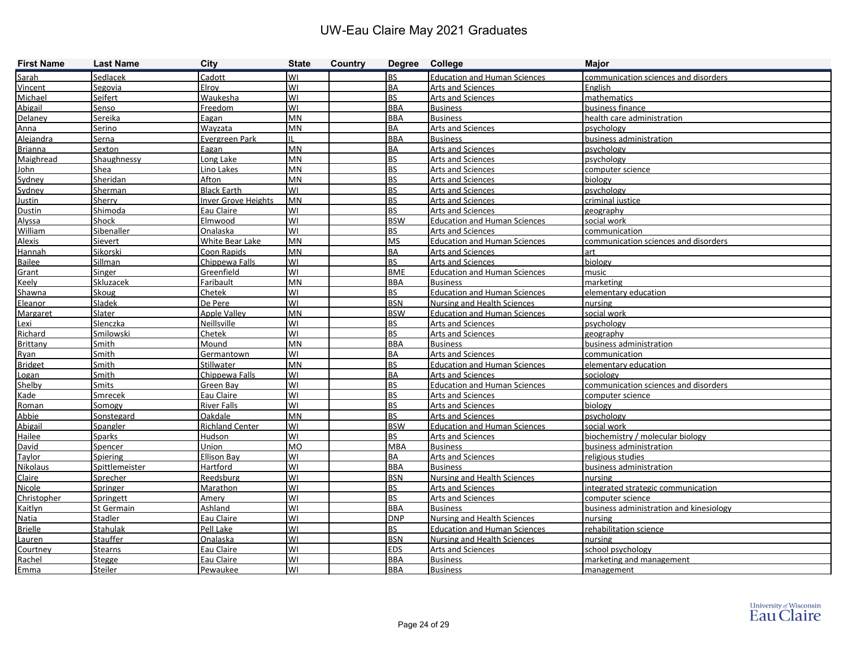| <b>First Name</b> | <b>Last Name</b> | <b>City</b>                | <b>State</b> | <b>Country</b> | Degree College |                                     | <b>Major</b>                            |
|-------------------|------------------|----------------------------|--------------|----------------|----------------|-------------------------------------|-----------------------------------------|
| Sarah             | Sedlacek         | Cadott                     | lwı          |                | <b>BS</b>      | <b>Education and Human Sciences</b> | communication sciences and disorders    |
| Vincent           | Segovia          | Elroy                      | lwı          |                | <b>BA</b>      | Arts and Sciences                   | English                                 |
| Michael           | <b>Seifert</b>   | Waukesha                   | lwı          |                | <b>BS</b>      | <b>Arts and Sciences</b>            | mathematics                             |
| Abigail           | Senso            | Freedom                    | lwı          |                | <b>BBA</b>     | <b>Business</b>                     | business finance                        |
| Delaney           | Sereika          | Eagan                      | <b>MN</b>    |                | <b>BBA</b>     | <b>Business</b>                     | health care administration              |
| Anna              | Serino           | Wayzata                    | <b>MN</b>    |                | <b>BA</b>      | Arts and Sciences                   | psychology                              |
| Alejandra         | Serna            | Evergreen Park             |              |                | <b>BBA</b>     | <b>Business</b>                     | business administration                 |
| <b>Brianna</b>    | Sexton           | Eagan                      | <b>MN</b>    |                | <b>BA</b>      | <b>Arts and Sciences</b>            | psychology                              |
| Maighread         | Shaughnessy      | Long Lake                  | <b>MN</b>    |                | <b>BS</b>      | <b>Arts and Sciences</b>            | psychology                              |
| John              | Shea             | Lino Lakes                 | <b>MN</b>    |                | <b>BS</b>      | Arts and Sciences                   | computer science                        |
| Sydney            | Sheridan         | Afton                      | <b>MN</b>    |                | <b>BS</b>      | <b>Arts and Sciences</b>            | biology                                 |
| Sydney            | Sherman          | <b>Black Earth</b>         | WI           |                | <b>BS</b>      | <b>Arts and Sciences</b>            | psychology                              |
| <b>Justin</b>     | Sherry           | <b>Inver Grove Heights</b> | <b>MN</b>    |                | <b>BS</b>      | Arts and Sciences                   | criminal justice                        |
| Dustin            | Shimoda          | Eau Claire                 | lwı          |                | <b>BS</b>      | <b>Arts and Sciences</b>            | geography                               |
| Alyssa            | Shock            | Elmwood                    | WI           |                | <b>BSW</b>     | <b>Education and Human Sciences</b> | social work                             |
| William           | Sibenaller       | Onalaska                   | lwı          |                | <b>BS</b>      | <b>Arts and Sciences</b>            | communication                           |
| <b>Alexis</b>     | Sievert          | White Bear Lake            | <b>MN</b>    |                | <b>MS</b>      | <b>Education and Human Sciences</b> | communication sciences and disorders    |
| Hannah            | Sikorski         | Coon Rapids                | <b>MN</b>    |                | <b>BA</b>      | <b>Arts and Sciences</b>            | art                                     |
| Bailee            | Sillman          | Chippewa Falls             | lwı          |                | <b>BS</b>      | Arts and Sciences                   | biology                                 |
| Grant             | <b>Singer</b>    | Greenfield                 | WI           |                | <b>BME</b>     | <b>Education and Human Sciences</b> | music                                   |
| <b>Keely</b>      | <b>Skluzacek</b> | Faribault                  | <b>MN</b>    |                | <b>BBA</b>     | <b>Business</b>                     | marketing                               |
| Shawna            | Skoug            | Chetek                     | lwı          |                | <b>BS</b>      | <b>Education and Human Sciences</b> | elementary education                    |
| Eleanor           | Sladek           | De Pere                    | WI           |                | <b>BSN</b>     | Nursing and Health Sciences         | nursing                                 |
| Margaret          | Slater           | <b>Apple Valley</b>        | <b>MN</b>    |                | <b>BSW</b>     | <b>Education and Human Sciences</b> | social work                             |
| Lexi              | Slenczka         | Neillsville                | WI           |                | <b>BS</b>      | <b>Arts and Sciences</b>            | psychology                              |
| Richard           | Smilowski        | Chetek                     | WI           |                | <b>BS</b>      | <b>Arts and Sciences</b>            | geography                               |
| Brittany          | Smith            | Mound                      | <b>MN</b>    |                | <b>BBA</b>     | <b>Business</b>                     | business administration                 |
| Ryan              | Smith            | Germantown                 | WI           |                | <b>BA</b>      | Arts and Sciences                   | communication                           |
| <b>Bridget</b>    | <b>Smith</b>     | <b>Stillwater</b>          | <b>MN</b>    |                | <b>BS</b>      | <b>Education and Human Sciences</b> | elementary education                    |
| Logan             | Smith            | Chippewa Falls             | lwı          |                | <b>BA</b>      | <b>Arts and Sciences</b>            | sociology                               |
| Shelby            | Smits            | <b>Green Bay</b>           | lwı          |                | <b>BS</b>      | <b>Education and Human Sciences</b> | communication sciences and disorders    |
| Kade              | Smrecek          | Eau Claire                 | WI           |                | <b>BS</b>      | Arts and Sciences                   | computer science                        |
| Roman             | Somogy           | <b>River Falls</b>         | lwı          |                | <b>BS</b>      | <b>Arts and Sciences</b>            | biology                                 |
| Abbie             | Sonstegard       | Oakdale                    | <b>MN</b>    |                | <b>BS</b>      | Arts and Sciences                   | psychology                              |
| Abigail           | Spangler         | <b>Richland Center</b>     | lwı          |                | <b>BSW</b>     | <b>Education and Human Sciences</b> | social work                             |
| Hailee            | Sparks           | Hudson                     | lwı          |                | <b>BS</b>      | <b>Arts and Sciences</b>            | biochemistry / molecular biology        |
| David             | <b>Spencer</b>   | Union                      | lмо          |                | <b>MBA</b>     | <b>Business</b>                     | business administration                 |
| Taylor            | <b>Spiering</b>  | <b>Ellison Bay</b>         | lwı          |                | <b>BA</b>      | <b>Arts and Sciences</b>            | religious studies                       |
| <b>Nikolaus</b>   | Spittlemeister   | Hartford                   | WI           |                | <b>BBA</b>     | <b>Business</b>                     | business administration                 |
| Claire            | Sprecher         | Reedsburg                  | lwı          |                | <b>BSN</b>     | Nursing and Health Sciences         | nursing                                 |
| Nicole            | <b>Springer</b>  | Marathon                   | lwı          |                | <b>BS</b>      | <b>Arts and Sciences</b>            | integrated strategic communication      |
| Christopher       | Springett        | Amery                      | lwı          |                | <b>BS</b>      | Arts and Sciences                   | computer science                        |
| Kaitlyn           | St Germain       | Ashland                    | lwı          |                | <b>BBA</b>     | <b>Business</b>                     | business administration and kinesiology |
| Natia             | Stadler          | Eau Claire                 | lwı          |                | <b>DNP</b>     | <b>Nursing and Health Sciences</b>  | nursing                                 |
| <b>Brielle</b>    | <b>Stahulak</b>  | Pell Lake                  | lwı          |                | <b>BS</b>      | <b>Education and Human Sciences</b> | rehabilitation science                  |
| Lauren            | <b>Stauffer</b>  | Onalaska                   | lwı          |                | <b>BSN</b>     | <b>Nursing and Health Sciences</b>  | nursing                                 |
| Courtney          | <b>Stearns</b>   | Eau Claire                 | lwı          |                | <b>EDS</b>     | <b>Arts and Sciences</b>            | school psychology                       |
| Rachel            | Stegge           | Eau Claire                 | lwı          |                | <b>BBA</b>     | <b>Business</b>                     | marketing and management                |
| Emma              | <b>Steiler</b>   | Pewaukee                   | lwı          |                | <b>BBA</b>     | <b>Business</b>                     | management                              |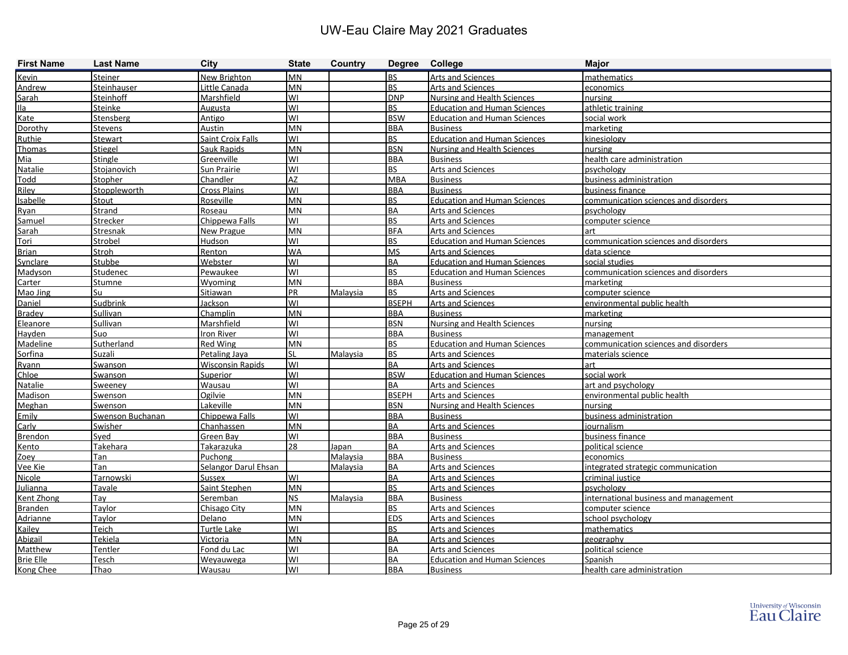| <b>First Name</b> | <b>Last Name</b>    | City                    | <b>State</b> | Country         | Degree College |                                     | <b>Major</b>                          |
|-------------------|---------------------|-------------------------|--------------|-----------------|----------------|-------------------------------------|---------------------------------------|
| Kevin             | Steiner             | New Brighton            | <b>MN</b>    |                 | <b>BS</b>      | <b>Arts and Sciences</b>            | mathematics                           |
| Andrew            | Steinhauser         | Little Canada           | MN           |                 | <b>BS</b>      | <b>Arts and Sciences</b>            | economics                             |
| Sarah             | <b>Steinhoff</b>    | Marshfield              | WI           |                 | <b>DNP</b>     | <b>Nursing and Health Sciences</b>  | nursing                               |
| Ila               | Steinke             | Augusta                 | WI           |                 | <b>BS</b>      | <b>Education and Human Sciences</b> | athletic training                     |
| Kate              | Stensberg           | Antigo                  | WI           |                 | <b>BSW</b>     | <b>Education and Human Sciences</b> | social work                           |
| Dorothy           | Stevens             | Austin                  | <b>MN</b>    |                 | <b>BBA</b>     | <b>Business</b>                     | <b>Imarketing</b>                     |
| Ruthie            | <b>Stewart</b>      | Saint Croix Falls       | WI           |                 | BS             | <b>Education and Human Sciences</b> | kinesiology                           |
| Thomas            | <b>Stiegel</b>      | Sauk Rapids             | <b>MN</b>    |                 | <b>BSN</b>     | <b>Nursing and Health Sciences</b>  | nursing                               |
| Mia               | Stingle             | Greenville              | WI           |                 | <b>BBA</b>     | <b>Business</b>                     | health care administration            |
| Natalie           | Stojanovich         | Sun Prairie             | WI           |                 | <b>BS</b>      | Arts and Sciences                   | <b>I</b> psychology                   |
| Todd              | Stopher             | Chandler                | AZ           |                 | <b>MBA</b>     | <b>Business</b>                     | business administration               |
| Riley             | <b>Stoppleworth</b> | Cross Plains            | WI           |                 | <b>BBA</b>     | <b>Business</b>                     | business finance                      |
| Isabelle          | Stout               | Roseville               | <b>MN</b>    |                 | <b>BS</b>      | <b>Education and Human Sciences</b> | communication sciences and disorders  |
| Ryan              | Strand              | Roseau                  | <b>MN</b>    |                 | BA             | Arts and Sciences                   | psychology                            |
| Samuel            | Strecker            | Chippewa Falls          | WI           |                 | <b>BS</b>      | Arts and Sciences                   | computer science                      |
| Sarah             | Stresnak            | New Prague              | <b>MN</b>    |                 | <b>BFA</b>     | <b>Arts and Sciences</b>            | art                                   |
| Tori              | Strobel             | Hudson                  | WI           |                 | <b>BS</b>      | <b>Education and Human Sciences</b> | communication sciences and disorders  |
| <b>Brian</b>      | Stroh               | Renton                  | <b>WA</b>    |                 | <b>MS</b>      | <b>Arts and Sciences</b>            | data science                          |
| Synclare          | Stubbe              | Webster                 | WI           |                 | BA             | <b>Education and Human Sciences</b> | social studies                        |
| Madyson           | Studenec            | Pewaukee                | WI           |                 | <b>BS</b>      | <b>Education and Human Sciences</b> | communication sciences and disorders  |
| Carter            | <b>Stumne</b>       | Wyoming                 | MN           |                 | <b>BBA</b>     | <b>Business</b>                     | marketing                             |
| Mao Jing          | Su                  | Sitiawan                | PR           | Malaysia        | BS             | <b>Arts and Sciences</b>            | computer science                      |
| Daniel            | Sudbrink            | Jackson                 | WI           |                 | <b>BSEPH</b>   | Arts and Sciences                   | environmental public health           |
| <b>Bradey</b>     | Sullivan            | Champlin                | MN           |                 | <b>BBA</b>     | <b>Business</b>                     | marketing                             |
| Eleanore          | Sullivan            | Marshfield              | WI           |                 | <b>BSN</b>     | <b>Nursing and Health Sciences</b>  | nursing                               |
| Hayden            | Suo                 | Iron River              | WI           |                 | <b>BBA</b>     | <b>Business</b>                     | management                            |
| Madeline          | Sutherland          | <b>Red Wing</b>         | MN           |                 | <b>BS</b>      | <b>Education and Human Sciences</b> | communication sciences and disorders  |
| Sorfina           | Suzali              | Petaling Jaya           | SL           | Malaysia        | <b>BS</b>      | <b>Arts and Sciences</b>            | materials science                     |
| Ryann             | Swanson             | <b>Wisconsin Rapids</b> | WI           |                 | BA             | <b>Arts and Sciences</b>            | art                                   |
| Chloe             | Swanson             | <b>Superior</b>         | WI           |                 | <b>BSW</b>     | <b>Education and Human Sciences</b> | social work                           |
| Natalie           | Sweeney             | Wausau                  | WI           |                 | BA             | Arts and Sciences                   | art and psychology                    |
| Madison           | Swenson             | Ogilvie                 | MN           |                 | <b>BSEPH</b>   | Arts and Sciences                   | environmental public health           |
| Meghan            | Swenson             | Lakeville               | <b>MN</b>    |                 | <b>BSN</b>     | <b>Nursing and Health Sciences</b>  | nursing                               |
| Emily             | Swenson Buchanan    | Chippewa Falls          | WI           |                 | <b>BBA</b>     | <b>Business</b>                     | business administration               |
| Carly             | Swisher             | Chanhassen              | <b>MN</b>    |                 | BA             | <b>Arts and Sciences</b>            | iournalism                            |
| <b>Brendon</b>    | Syed                | Green Bay               | WI           |                 | <b>BBA</b>     | <b>Business</b>                     | business finance                      |
| Kento             | <b>Takehara</b>     | <b>Takarazuka</b>       | 28           | Japan           | BA             | <b>Arts and Sciences</b>            | political science                     |
| Zoev              | Tan                 | Puchong                 |              | Malaysia        | <b>BBA</b>     | <b>Business</b>                     | economics                             |
| Vee Kie           | Tan                 | Selangor Darul Ehsan    |              | Malaysia        | <b>BA</b>      | <b>Arts and Sciences</b>            | integrated strategic communication    |
| Nicole            | Tarnowski           | Sussex                  | lwı          |                 | BA             | Arts and Sciences                   | criminal justice                      |
| <b>Julianna</b>   | Tavale              | Saint Stephen           | <b>MN</b>    |                 | BS             | Arts and Sciences                   | psychology                            |
| Kent Zhong        | Tay                 | Seremban                | <b>NS</b>    | <b>Malaysia</b> | <b>BBA</b>     | <b>Business</b>                     | international business and management |
| <b>Branden</b>    | Taylor              | Chisago City            | <b>MN</b>    |                 | BS             | <b>Arts and Sciences</b>            | computer science                      |
| Adrianne          | <b>Taylor</b>       | Delano                  | MN           |                 | <b>EDS</b>     | <b>Arts and Sciences</b>            | school psychology                     |
| Kailey            | Teich               | Turtle Lake             | WI           |                 | <b>BS</b>      | <b>Arts and Sciences</b>            | mathematics                           |
| Abigail           | <b>Tekiela</b>      | Victoria                | <b>MN</b>    |                 | BA             | <b>Arts and Sciences</b>            | geography                             |
| Matthew           | Tentler             | Fond du Lac             | WI           |                 | BA             | <b>Arts and Sciences</b>            | political science                     |
| <b>Brie Elle</b>  | <b>Tesch</b>        | Weyauwega               | WI           |                 | BA             | <b>Education and Human Sciences</b> | Spanish                               |
| Kong Chee         | Thao                | Wausau                  | lwı          |                 | <b>BBA</b>     | <b>Business</b>                     | health care administration            |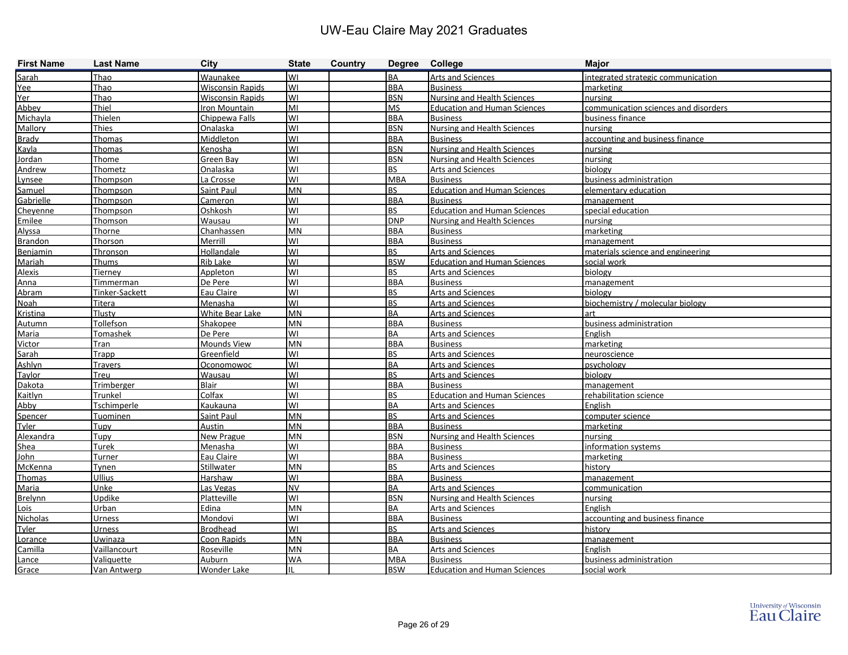| <b>First Name</b> | <b>Last Name</b>   | City                    | <b>State</b> | Country | Degree College |                                     | <b>Major</b>                         |
|-------------------|--------------------|-------------------------|--------------|---------|----------------|-------------------------------------|--------------------------------------|
| Sarah             | Thao               | Waunakee                | WI           |         | <b>BA</b>      | <b>Arts and Sciences</b>            | lintegrated strategic communication  |
| Yee               | Thao               | <b>Wisconsin Rapids</b> | WI           |         | <b>BBA</b>     | <b>Business</b>                     | marketing                            |
| Yer               | Thao               | <b>Wisconsin Rapids</b> | lwı          |         | <b>BSN</b>     | Nursing and Health Sciences         | nursing                              |
| Abbey             | Thiel              | Iron Mountain           | lмı          |         | <b>MS</b>      | <b>Education and Human Sciences</b> | communication sciences and disorders |
| Michayla          | <b>Thielen</b>     | Chippewa Falls          | lwı          |         | <b>BBA</b>     | <b>Business</b>                     | business finance                     |
| Mallory           | <b>Thies</b>       | Onalaska                | WI           |         | <b>BSN</b>     | Nursing and Health Sciences         | nursing                              |
| <b>Brady</b>      | Thomas             | Middleton               | WI           |         | <b>BBA</b>     | <b>Business</b>                     | accounting and business finance      |
| Kayla             | Thomas             | Kenosha                 | WI           |         | <b>BSN</b>     | Nursing and Health Sciences         | nursing                              |
| Jordan            | Thome              | Green Bay               | WI           |         | <b>BSN</b>     | Nursing and Health Sciences         | nursing                              |
| Andrew            | Thometz            | Onalaska                | WI           |         | <b>BS</b>      | <b>Arts and Sciences</b>            | biology                              |
| Lynsee            | Thompson           | La Crosse               | WI           |         | <b>MBA</b>     | <b>Business</b>                     | business administration              |
| Samuel            | Thompson           | Saint Paul              | MN           |         | <b>BS</b>      | <b>Education and Human Sciences</b> | elementary education                 |
| Gabrielle         | Thompson           | Cameron                 | WI           |         | <b>BBA</b>     | <b>Business</b>                     | management                           |
| Cheyenne          | Thompson           | Oshkosh                 | WI           |         | <b>BS</b>      | <b>Education and Human Sciences</b> | special education                    |
| Emilee            | Thomson            | Wausau                  | WI           |         | <b>DNP</b>     | Nursing and Health Sciences         | nursing                              |
| Alyssa            | Thorne             | Chanhassen              | <b>MN</b>    |         | <b>BBA</b>     | <b>Business</b>                     | marketing                            |
| Brandon           | Thorson            | Merrill                 | WI           |         | <b>BBA</b>     | <b>Business</b>                     | management                           |
| Benjamin          | Thronson           | Hollandale              | WI           |         | <b>BS</b>      | Arts and Sciences                   | materials science and engineering    |
| Mariah            | Thums              | Rib Lake                | WI           |         | <b>BSW</b>     | <b>Education and Human Sciences</b> | social work                          |
| <b>Alexis</b>     | Tierney            | Appleton                | WI           |         | <b>BS</b>      | <b>Arts and Sciences</b>            | biology                              |
| Anna              | Timmerman          | De Pere                 | WI           |         | <b>BBA</b>     | <b>Business</b>                     | management                           |
| Abram             | Tinker-Sackett     | Eau Claire              | WI           |         | <b>BS</b>      | <b>Arts and Sciences</b>            | biology                              |
| <b>Noah</b>       | Titera             | Menasha                 | WI           |         | <b>BS</b>      | Arts and Sciences                   | biochemistry / molecular biology     |
| Kristina          | Tlusty             | White Bear Lake         | MN           |         | <b>BA</b>      | <b>Arts and Sciences</b>            | lart                                 |
| Autumn            | Tollefson          | Shakopee                | <b>MN</b>    |         | <b>BBA</b>     | <b>Business</b>                     | business administration              |
| Maria             | Tomashek           | De Pere                 | WI           |         | <b>BA</b>      | <b>Arts and Sciences</b>            | English                              |
| Victor            | Tran               | Mounds View             | <b>MN</b>    |         | <b>BBA</b>     | <b>Business</b>                     | marketing                            |
| Sarah             | Trapp              | Greenfield              | WI           |         | <b>BS</b>      | Arts and Sciences                   | neuroscience                         |
| Ashlyn            | <b>Travers</b>     | Oconomowoc              | WI           |         | <b>BA</b>      | <b>Arts and Sciences</b>            | psychology                           |
| Taylor            | Treu               | Wausau                  | WI           |         | <b>BS</b>      | Arts and Sciences                   | biology                              |
| Dakota            | <b>Trimberger</b>  | Blair                   | WI           |         | <b>BBA</b>     | <b>Business</b>                     | management                           |
| Kaitlyn           | Trunkel            | Colfax                  | WI           |         | <b>BS</b>      | <b>Education and Human Sciences</b> | rehabilitation science               |
| Abby              | <b>Tschimperle</b> | Kaukauna                | WI           |         | <b>BA</b>      | <b>Arts and Sciences</b>            | English                              |
| Spencer           | Tuominen           | Saint Paul              | <b>MN</b>    |         | <b>BS</b>      | <b>Arts and Sciences</b>            | computer science                     |
| Tyler             | Tupy               | Austin                  | MN           |         | <b>BBA</b>     | <b>Business</b>                     | marketing                            |
| Alexandra         | Tupy               | <b>New Prague</b>       | MN           |         | <b>BSN</b>     | <b>Nursing and Health Sciences</b>  | nursing                              |
| Shea              | Turek              | Menasha                 | WI           |         | <b>BBA</b>     | <b>Business</b>                     | information systems                  |
| John              | <b>Turner</b>      | Eau Claire              | WI           |         | <b>BBA</b>     | <b>Business</b>                     | marketing                            |
| McKenna           | Tynen              | Stillwater              | <b>MN</b>    |         | <b>BS</b>      | <b>Arts and Sciences</b>            | history                              |
| Thomas            | <b>Ullius</b>      | Harshaw                 | WI           |         | <b>BBA</b>     | <b>Business</b>                     | <b>Imanagement</b>                   |
| Maria             | Unke               | Las Vegas               | <b>NV</b>    |         | <b>BA</b>      | <b>Arts and Sciences</b>            | communication                        |
| <b>Brelynn</b>    | Updike             | Platteville             | WI           |         | <b>BSN</b>     | Nursing and Health Sciences         | nursing                              |
| Lois              | Urban              | Edina                   | MN           |         | <b>BA</b>      | <b>Arts and Sciences</b>            | English                              |
| Nicholas          | <b>Urness</b>      | Mondovi                 | WI           |         | <b>BBA</b>     | <b>Business</b>                     | accounting and business finance      |
| Tyler             | Urness             | <b>Brodhead</b>         | WI           |         | <b>BS</b>      | <b>Arts and Sciences</b>            | history                              |
| Lorance           | Uwinaza            | Coon Rapids             | <b>MN</b>    |         | <b>BBA</b>     | <b>Business</b>                     | management                           |
| Camilla           | Vaillancourt       | Roseville               | <b>MN</b>    |         | <b>BA</b>      | <b>Arts and Sciences</b>            | English                              |
| Lance             | Valiquette         | Auburn                  | <b>WA</b>    |         | MBA            | <b>Business</b>                     | business administration              |
| Grace             | Van Antwerp        | <b>Wonder Lake</b>      | IL           |         | <b>BSW</b>     | <b>Education and Human Sciences</b> | social work                          |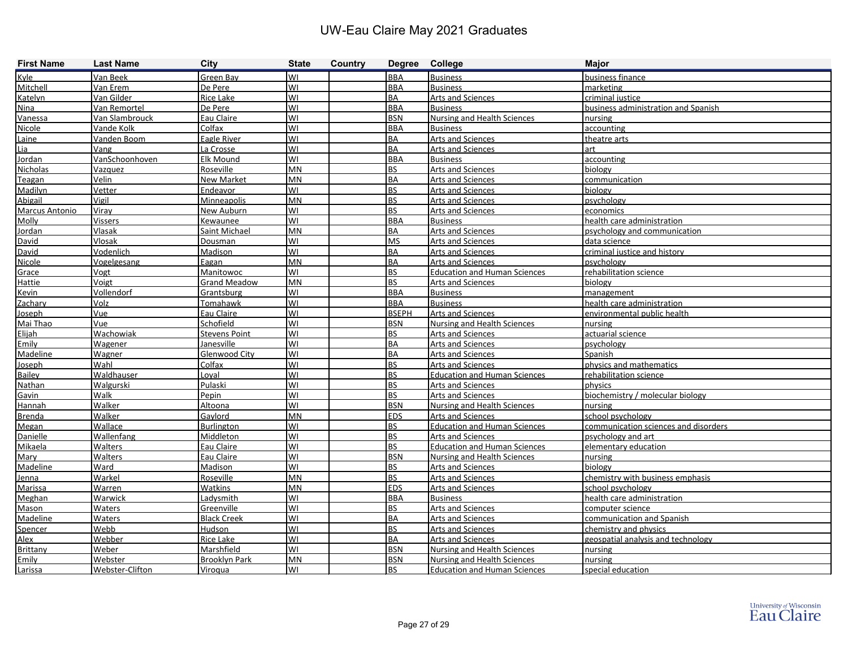| <b>First Name</b>     | <b>Last Name</b> | <b>City</b>          | <b>State</b> | Country | Degree College |                                     | <b>Major</b>                         |
|-----------------------|------------------|----------------------|--------------|---------|----------------|-------------------------------------|--------------------------------------|
| Kyle                  | Van Beek         | Green Bay            | WI           |         | <b>BBA</b>     | Business                            | business finance                     |
| Mitchell              | Van Erem         | De Pere              | WI           |         | <b>BBA</b>     | <b>Business</b>                     | <b>I</b> marketing                   |
| Katelyn               | Van Gilder       | <b>Rice Lake</b>     | WI           |         | <b>BA</b>      | <b>Arts and Sciences</b>            | criminal justice                     |
| Nina                  | Van Remortel     | De Pere              | WI           |         | <b>BBA</b>     | <b>Business</b>                     | business administration and Spanish  |
| Vanessa               | Van Slambrouck   | Eau Claire           | WI           |         | <b>BSN</b>     | Nursing and Health Sciences         | nursing                              |
| Nicole                | Vande Kolk       | Colfax               | WI           |         | <b>BBA</b>     | <b>Business</b>                     | accounting                           |
| Laine                 | Vanden Boom      | Eagle River          | WI           |         | <b>BA</b>      | <b>Arts and Sciences</b>            | theatre arts                         |
| Lia                   | Vang             | La Crosse            | WI           |         | <b>BA</b>      | <b>Arts and Sciences</b>            | art                                  |
| Jordan                | VanSchoonhoven   | Elk Mound            | WI           |         | <b>BBA</b>     | <b>Business</b>                     | accounting                           |
| <b>Nicholas</b>       | Vazquez          | Roseville            | <b>MN</b>    |         | <b>BS</b>      | <b>Arts and Sciences</b>            | biology                              |
| Teagan                | Velin            | <b>New Market</b>    | MN           |         | <b>BA</b>      | <b>Arts and Sciences</b>            | communication                        |
| Madilyn               | Vetter           | Endeavor             | WI           |         | <b>BS</b>      | <b>Arts and Sciences</b>            | biology                              |
| Abigail               | Vigil            | <b>Minneapolis</b>   | <b>MN</b>    |         | <b>BS</b>      | <b>Arts and Sciences</b>            | psychology                           |
| <b>Marcus Antonio</b> | Viray            | New Auburn           | WI           |         | <b>BS</b>      | <b>Arts and Sciences</b>            | economics                            |
| Molly                 | Vissers          | Kewaunee             | WI           |         | <b>BBA</b>     | <b>Business</b>                     | health care administration           |
| Jordan                | Vlasak           | Saint Michael        | MN           |         | <b>BA</b>      | <b>Arts and Sciences</b>            | psychology and communication         |
| David                 | Vlosak           | Dousman              | WI           |         | <b>MS</b>      | <b>Arts and Sciences</b>            | data science                         |
| David                 | Vodenlich        | Madison              | WI           |         | <b>BA</b>      | <b>Arts and Sciences</b>            | criminal justice and history         |
| Nicole                | Vogelgesang      | Eagan                | <b>MN</b>    |         | <b>BA</b>      | <b>Arts and Sciences</b>            | psychology                           |
| Grace                 | Vogt             | Manitowoc            | WI           |         | <b>BS</b>      | <b>Education and Human Sciences</b> | rehabilitation science               |
| Hattie                | Voigt            | <b>Grand Meadow</b>  | <b>MN</b>    |         | <b>BS</b>      | <b>Arts and Sciences</b>            | biology                              |
| <b>Kevin</b>          | Vollendorf       | Grantsburg           | WI           |         | <b>BBA</b>     | <b>Business</b>                     | management                           |
| Zachary               | Volz             | Tomahawk             | WI           |         | <b>BBA</b>     | <b>Business</b>                     | health care administration           |
| Joseph                | Vue              | Eau Claire           | WI           |         | <b>BSEPH</b>   | Arts and Sciences                   | environmental public health          |
| Mai Thao              | Vue              | Schofield            | WI           |         | <b>BSN</b>     | Nursing and Health Sciences         | nursing                              |
| Elijah                | Wachowiak        | <b>Stevens Point</b> | WI           |         | <b>BS</b>      | <b>Arts and Sciences</b>            | actuarial science                    |
| Emily                 | Wagener          | Janesville           | WI           |         | <b>BA</b>      | <b>Arts and Sciences</b>            | psychology                           |
| Madeline              | Wagner           | <b>Glenwood City</b> | WI           |         | <b>BA</b>      | <b>Arts and Sciences</b>            | Spanish                              |
| Joseph                | Wahl             | Colfax               | WI           |         | <b>BS</b>      | <b>Arts and Sciences</b>            | physics and mathematics              |
| <b>Bailey</b>         | Waldhauser       | Loval                | WI           |         | <b>BS</b>      | <b>Education and Human Sciences</b> | rehabilitation science               |
| Nathan                | Walgurski        | Pulaski              | WI           |         | <b>BS</b>      | Arts and Sciences                   | physics                              |
| Gavin                 | Walk             | Pepin                | WI           |         | <b>BS</b>      | Arts and Sciences                   | biochemistry / molecular biology     |
| Hannah                | Walker           | Altoona              | WI           |         | <b>BSN</b>     | Nursing and Health Sciences         | nursing                              |
| <b>Brenda</b>         | Walker           | Gaylord              | MN           |         | <b>EDS</b>     | Arts and Sciences                   | school psychology                    |
| Megan                 | Wallace          | <b>Burlington</b>    | WI           |         | <b>BS</b>      | <b>Education and Human Sciences</b> | communication sciences and disorders |
| Danielle              | Wallenfang       | Middleton            | WI           |         | <b>BS</b>      | <b>Arts and Sciences</b>            | psychology and art                   |
| Mikaela               | Walters          | Eau Claire           | WI           |         | <b>BS</b>      | <b>Education and Human Sciences</b> | elementary education                 |
| Mary                  | Walters          | Eau Claire           | WI           |         | <b>BSN</b>     | Nursing and Health Sciences         | nursing                              |
| Madeline              | Ward             | Madison              | <b>WI</b>    |         | <b>BS</b>      | <b>Arts and Sciences</b>            | biology                              |
| Jenna                 | Warkel           | Roseville            | <b>MN</b>    |         | <b>BS</b>      | Arts and Sciences                   | chemistry with business emphasis     |
| Marissa               | <b>Warren</b>    | Watkins              | <b>MN</b>    |         | <b>EDS</b>     | <b>Arts and Sciences</b>            | school psychology                    |
| Meghan                | Warwick          | Ladysmith            | WI           |         | <b>BBA</b>     | <b>Business</b>                     | health care administration           |
| Mason                 | Waters           | Greenville           | lwı          |         | <b>BS</b>      | <b>Arts and Sciences</b>            | computer science                     |
| Madeline              | Waters           | <b>Black Creek</b>   | WI           |         | <b>BA</b>      | <b>Arts and Sciences</b>            | communication and Spanish            |
| <b>Spencer</b>        | Webb             | Hudson               | WI           |         | <b>BS</b>      | <b>Arts and Sciences</b>            | chemistry and physics                |
| Alex                  | Webber           | Rice Lake            | WI           |         | <b>BA</b>      | <b>Arts and Sciences</b>            | geospatial analysis and technology   |
| Brittany              | Weber            | Marshfield           | lwı          |         | <b>BSN</b>     | Nursing and Health Sciences         | nursing                              |
| Emily                 | Webster          | <b>Brooklyn Park</b> | MN           |         | <b>BSN</b>     | Nursing and Health Sciences         | nursing                              |
| Larissa               | Webster-Clifton  | Viroqua              | lwı          |         | BS.            | <b>Education and Human Sciences</b> | special education                    |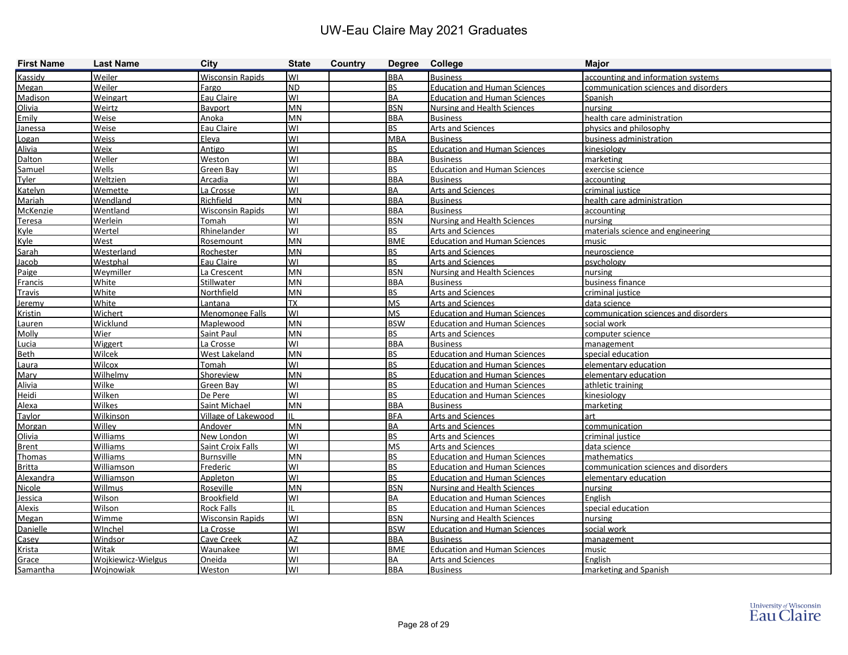| <b>First Name</b> | <b>Last Name</b>   | <b>City</b>              | <b>State</b> | Country | Degree College |                                     | <b>Major</b>                         |
|-------------------|--------------------|--------------------------|--------------|---------|----------------|-------------------------------------|--------------------------------------|
| Kassidy           | Weiler             | <b>Wisconsin Rapids</b>  | lwı          |         | <b>BBA</b>     | <b>Business</b>                     | accounting and information systems   |
| Megan             | Weiler             | Fargo                    | ND.          |         | <b>BS</b>      | <b>Education and Human Sciences</b> | communication sciences and disorders |
| <b>Madison</b>    | <b>Weingart</b>    | Eau Claire               | lwı          |         | BA             | <b>Education and Human Sciences</b> | Spanish                              |
| Olivia            | Weirtz             | Bayport                  | MN           |         | <b>BSN</b>     | <b>Nursing and Health Sciences</b>  | nursing                              |
| Emily             | Weise              | Anoka                    | MN           |         | <b>BBA</b>     | <b>Business</b>                     | health care administration           |
| Janessa           | Weise              | Eau Claire               | WI           |         | <b>BS</b>      | Arts and Sciences                   | physics and philosophy               |
| Logan             | Weiss              | Eleva                    | WI           |         | <b>MBA</b>     | <b>Business</b>                     | business administration              |
| Alivia            | Weix               | Antigo                   | lwı          |         | lbs.           | <b>Education and Human Sciences</b> | kinesiology                          |
| <b>Dalton</b>     | Weller             | Weston                   | lwı          |         | BBA            | <b>Business</b>                     | marketing                            |
| Samuel            | Wells              | Green Bay                | lwı          |         | <b>BS</b>      | <b>Education and Human Sciences</b> | exercise science                     |
| <b>Tyler</b>      | Weltzien           | Arcadia                  | lwı          |         | <b>BBA</b>     | <b>Business</b>                     | accounting                           |
| Katelyn           | Wemette            | La Crosse                | WI           |         | <b>BA</b>      | Arts and Sciences                   | criminal justice                     |
| Mariah            | Wendland           | Richfield                | MN           |         | BBA            | <b>Business</b>                     | health care administration           |
| McKenzie          | Wentland           | <b>Wisconsin Rapids</b>  | lwı          |         | <b>BBA</b>     | <b>Business</b>                     | accounting                           |
| <b>Teresa</b>     | Werlein            | Tomah                    | lwı          |         | <b>BSN</b>     | Nursing and Health Sciences         | nursing                              |
| Kyle              | Wertel             | Rhinelander              | lwı          |         | l BS           | Arts and Sciences                   | materials science and engineering    |
| Kyle              | West               | Rosemount                | <b>MN</b>    |         | <b>BME</b>     | <b>Education and Human Sciences</b> | music                                |
| Sarah             | Westerland         | Rochester                | MN           |         | <b>BS</b>      | Arts and Sciences                   | neuroscience                         |
| Jacob             | Westphal           | Eau Claire               | lwı          |         | <b>BS</b>      | Arts and Sciences                   | psychology                           |
| Paige             | Weymiller          | La Crescent              | MN           |         | <b>BSN</b>     | <b>Nursing and Health Sciences</b>  | nursing                              |
| Francis           | White              | <b>Stillwater</b>        | <b>MN</b>    |         | BBA            | <b>Business</b>                     | business finance                     |
| <b>Travis</b>     | White              | Northfield               | MN           |         | <b>BS</b>      | <b>Arts and Sciences</b>            | criminal justice                     |
| Jeremy            | White              | Lantana                  | <b>TX</b>    |         | <b>MS</b>      | Arts and Sciences                   | data science                         |
| <b>Kristin</b>    | Wichert            | <b>Menomonee Falls</b>   | lwı          |         | <b>MS</b>      | <b>Education and Human Sciences</b> | communication sciences and disorders |
| Lauren            | Wicklund           | Maplewood                | MN           |         | <b>BSW</b>     | <b>Education and Human Sciences</b> | social work                          |
| Molly             | Wier               | Saint Paul               | MN           |         | <b>BS</b>      | Arts and Sciences                   | computer science                     |
| Lucia             | Wiggert            | La Crosse                | lwı          |         | <b>BBA</b>     | <b>Business</b>                     | management                           |
| Beth              | Wilcek             | West Lakeland            | MN           |         | <b>BS</b>      | <b>Education and Human Sciences</b> | special education                    |
| <u>Laura</u>      | <b>Wilcox</b>      | <b>Tomah</b>             | WI           |         | l BS           | <b>Education and Human Sciences</b> | elementary education                 |
| Mary              | Wilhelmy           | <b>Shoreview</b>         | <b>MN</b>    |         | l BS           | <b>Education and Human Sciences</b> | elementary education                 |
| Alivia            | Wilke              | Green Bay                | WI           |         | <b>BS</b>      | <b>Education and Human Sciences</b> | athletic training                    |
| Heidi             | Wilken             | De Pere                  | lwı          |         | <b>BS</b>      | <b>Education and Human Sciences</b> | kinesiology                          |
| Alexa             | Wilkes             | Saint Michael            | MN           |         | <b>BBA</b>     | <b>Business</b>                     | marketing                            |
| Taylor            | <b>Wilkinson</b>   | Village of Lakewood      | Iн.          |         | BFA            | <b>Arts and Sciences</b>            | art                                  |
| Morgan            | Willey             | Andover                  | <b>MN</b>    |         | BA             | Arts and Sciences                   | communication                        |
| Olivia            | Williams           | New London               | lwı          |         | <b>BS</b>      | <b>Arts and Sciences</b>            | criminal justice                     |
| <b>Brent</b>      | <b>Williams</b>    | <b>Saint Croix Falls</b> | lwı          |         | <b>MS</b>      | <b>Arts and Sciences</b>            | data science                         |
| Thomas            | <b>Williams</b>    | <b>Burnsville</b>        | <b>MN</b>    |         | l BS           | <b>Education and Human Sciences</b> | mathematics                          |
| <b>Britta</b>     | Williamson         | Frederic                 | <b>WI</b>    |         | <b>BS</b>      | <b>Education and Human Sciences</b> | communication sciences and disorders |
| Alexandra         | Williamson         | Appleton                 | lwı          |         | <b>BS</b>      | <b>Education and Human Sciences</b> | elementary education                 |
| Nicole            | Willmus            | Roseville                | MN           |         | <b>BSN</b>     | <b>Nursing and Health Sciences</b>  | nursing                              |
| Jessica           | Wilson             | <b>Brookfield</b>        | lwı          |         | BA             | <b>Education and Human Sciences</b> | English                              |
| Alexis            | <b>Wilson</b>      | Rock Falls               | Iil          |         | BS             | <b>Education and Human Sciences</b> | special education                    |
| Megan             | Wimme              | <b>Wisconsin Rapids</b>  | WI           |         | <b>BSN</b>     | <b>Nursing and Health Sciences</b>  | nursing                              |
| Danielle          | WInchel            | La Crosse                | lwı          |         | <b>BSW</b>     | <b>Education and Human Sciences</b> | social work                          |
| Casev             | Windsor            | Cave Creek               | <b>AZ</b>    |         | <b>BBA</b>     | <b>Business</b>                     | management                           |
| Krista            | Witak              | Waunakee                 | WI           |         | <b>BME</b>     | <b>Education and Human Sciences</b> | music                                |
| Grace             | Wojkiewicz-Wielgus | Oneida                   | WI           |         | <b>BA</b>      | Arts and Sciences                   | English                              |
| Samantha          | Wojnowiak          | <b>Weston</b>            | WI           |         | <b>BBA</b>     | <b>Business</b>                     | marketing and Spanish                |